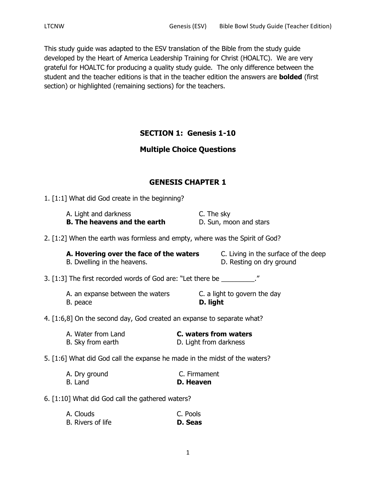This study guide was adapted to the ESV translation of the Bible from the study guide developed by the Heart of America Leadership Training for Christ (HOALTC). We are very grateful for HOALTC for producing a quality study guide. The only difference between the student and the teacher editions is that in the teacher edition the answers are **bolded** (first section) or highlighted (remaining sections) for the teachers.

# **SECTION 1: Genesis 1-10**

# **Multiple Choice Questions**

# **GENESIS CHAPTER 1**

1. [1:1] What did God create in the beginning?

A. Light and darkness C. The sky **B. The heavens and the earth** D. Sun, moon and stars

2. [1:2] When the earth was formless and empty, where was the Spirit of God?

| A. Hovering over the face of the waters | C. Living in the surface of the deep |
|-----------------------------------------|--------------------------------------|
| B. Dwelling in the heavens.             | D. Resting on dry ground             |

3. [1:3] The first recorded words of God are: "Let there be  $\blacksquare$ "

A. an expanse between the waters **C.** a light to govern the day B. peace **D. light**

4. [1:6,8] On the second day, God created an expanse to separate what?

| A. Water from Land | C. waters from waters  |
|--------------------|------------------------|
| B. Sky from earth  | D. Light from darkness |

# 5. [1:6] What did God call the expanse he made in the midst of the waters?

| A. Dry ground | C. Firmament |
|---------------|--------------|
| B. Land       | D. Heaven    |

6. [1:10] What did God call the gathered waters?

| A. Clouds         | C. Pools |  |
|-------------------|----------|--|
| B. Rivers of life | D. Seas  |  |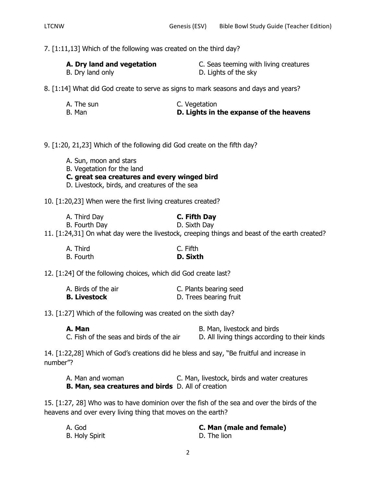7. [1:11,13] Which of the following was created on the third day?

| A. Dry land and vegetation | C. Seas teeming with living creatures |
|----------------------------|---------------------------------------|
| B. Dry land only           | D. Lights of the sky                  |

8. [1:14] What did God create to serve as signs to mark seasons and days and years?

| A. The sun | C. Vegetation                           |
|------------|-----------------------------------------|
| B. Man     | D. Lights in the expanse of the heavens |

9. [1:20, 21,23] Which of the following did God create on the fifth day?

- A. Sun, moon and stars
- B. Vegetation for the land
- **C. great sea creatures and every winged bird**
- D. Livestock, birds, and creatures of the sea

10. [1:20,23] When were the first living creatures created?

| A. Third Day  | C. Fifth Day |
|---------------|--------------|
| B. Fourth Day | D. Sixth Day |

11. [1:24,31] On what day were the livestock, creeping things and beast of the earth created?

| A. Third  | C. Fifth |
|-----------|----------|
| B. Fourth | D. Sixth |

12. [1:24] Of the following choices, which did God create last?

| A. Birds of the air | C. Plants bearing seed |
|---------------------|------------------------|
| <b>B. Livestock</b> | D. Trees bearing fruit |

13. [1:27] Which of the following was created on the sixth day?

| A. Man                                   | B. Man, livestock and birds                   |
|------------------------------------------|-----------------------------------------------|
| C. Fish of the seas and birds of the air | D. All living things according to their kinds |

14. [1:22,28] Which of God's creations did he bless and say, "Be fruitful and increase in number"?

A. Man and woman C. Man, livestock, birds and water creatures **B. Man, sea creatures and birds** D. All of creation

15. [1:27, 28] Who was to have dominion over the fish of the sea and over the birds of the heavens and over every living thing that moves on the earth?

| A. God                | C. Man (male and female) |
|-----------------------|--------------------------|
| <b>B. Holy Spirit</b> | D. The lion              |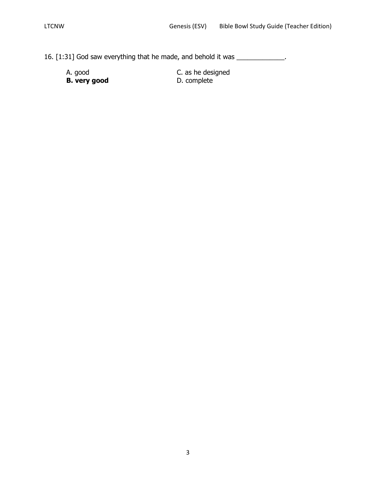- 16. [1:31] God saw everything that he made, and behold it was \_\_\_\_\_\_\_\_\_\_\_\_\_.
	- A. good C. as he designed<br> **B. very good** C. as he designed<br>
	D. complete **B. very good**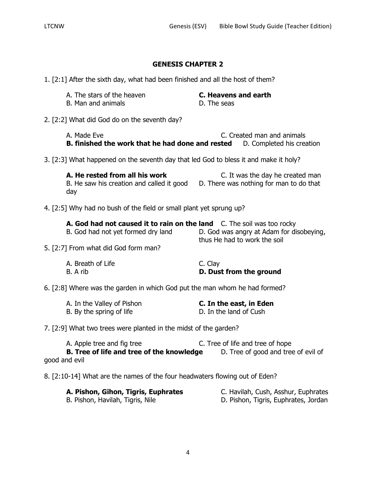1. [2:1] After the sixth day, what had been finished and all the host of them?

| A. The stars of the heaven                   | C. Heavens and earth |
|----------------------------------------------|----------------------|
| B. Man and animals                           | D. The seas          |
| 2. [2:2] What did God do on the seventh day? |                      |

A. Made Eve **C.** Created man and animals **B. finished the work that he had done and rested** D. Completed his creation

3. [2:3] What happened on the seventh day that led God to bless it and make it holy?

**A. He rested from all his work** C. It was the day he created man B. He saw his creation and called it good D. There was nothing for man to do that day

4. [2:5] Why had no bush of the field or small plant yet sprung up?

| <b>A. God had not caused it to rain on the land</b> C. The soil was too rocky |                                          |
|-------------------------------------------------------------------------------|------------------------------------------|
| B. God had not yet formed dry land                                            | D. God was angry at Adam for disobeying, |
| -- -                                                                          | thus He had to work the soil             |

5. [2:7] From what did God form man?

| A. Breath of Life | C. Clay                 |
|-------------------|-------------------------|
| B. A rib          | D. Dust from the ground |

6. [2:8] Where was the garden in which God put the man whom he had formed?

| A. In the Valley of Pishon | C. In the east, in Eden |
|----------------------------|-------------------------|
| B. By the spring of life   | D. In the land of Cush  |

7. [2:9] What two trees were planted in the midst of the garden?

A. Apple tree and fig tree C. Tree of life and tree of hope **B. Tree of life and tree of the knowledge** D. Tree of good and tree of evil of good and evil

8. [2:10-14] What are the names of the four headwaters flowing out of Eden?

| A. Pishon, Gihon, Tigris, Euphrates | C. Havilah, Cush, Asshur, Euphrates  |
|-------------------------------------|--------------------------------------|
| B. Pishon, Havilah, Tigris, Nile    | D. Pishon, Tigris, Euphrates, Jordan |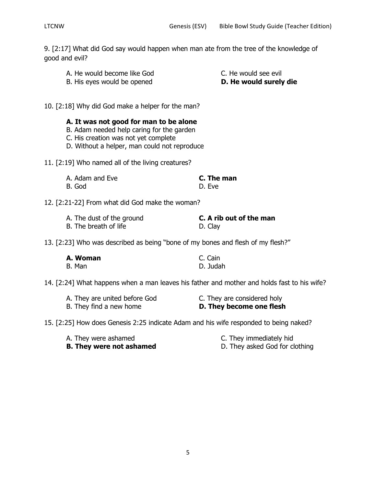9. [2:17] What did God say would happen when man ate from the tree of the knowledge of good and evil?

- A. He would become like God C. He would see evil
- B. His eyes would be opened **D. He would surely die**

10. [2:18] Why did God make a helper for the man?

**A. It was not good for man to be alone**

- B. Adam needed help caring for the garden
- C. His creation was not yet complete
- D. Without a helper, man could not reproduce
- 11. [2:19] Who named all of the living creatures?

| A. Adam and Eve | C. The man |
|-----------------|------------|
| B. God          | D. Eve     |

12. [2:21-22] From what did God make the woman?

| A. The dust of the ground | C. A rib out of the man |
|---------------------------|-------------------------|
| B. The breath of life     | D. Clay                 |

13. [2:23] Who was described as being "bone of my bones and flesh of my flesh?"

| A. Woman | C. Cain  |
|----------|----------|
| B. Man   | D. Judah |

14. [2:24] What happens when a man leaves his father and mother and holds fast to his wife?

| A. They are united before God | C. They are considered holy |
|-------------------------------|-----------------------------|
| B. They find a new home       | D. They become one flesh    |

15. [2:25] How does Genesis 2:25 indicate Adam and his wife responded to being naked?

- A. They were ashamed **C.** They immediately hid
- 
- **B. They were not ashamed** D. They asked God for clothing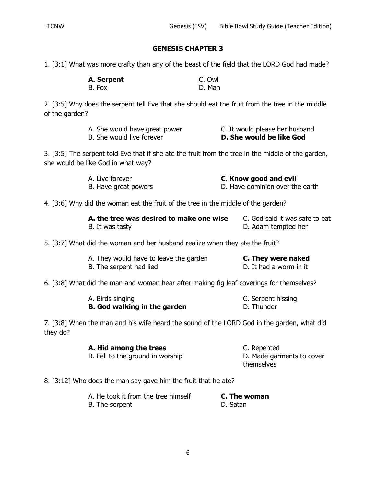1. [3:1] What was more crafty than any of the beast of the field that the LORD God had made?

| A. Serpent | C. Owl |
|------------|--------|
| B. Fox     | D. Man |

2. [3:5] Why does the serpent tell Eve that she should eat the fruit from the tree in the middle of the garden?

| A. She would have great power | C. It would please her husband |
|-------------------------------|--------------------------------|
| B. She would live forever     | D. She would be like God       |

3. [3:5] The serpent told Eve that if she ate the fruit from the tree in the middle of the garden, she would be like God in what way?

| A. Live forever      | C. Know good and evil           |
|----------------------|---------------------------------|
| B. Have great powers | D. Have dominion over the earth |

4. [3:6] Why did the woman eat the fruit of the tree in the middle of the garden?

| A. the tree was desired to make one wise | C. God said it was safe to eat |
|------------------------------------------|--------------------------------|
| B. It was tasty                          | D. Adam tempted her            |

5. [3:7] What did the woman and her husband realize when they ate the fruit?

| A. They would have to leave the garden | C. They were naked     |
|----------------------------------------|------------------------|
| B. The serpent had lied                | D. It had a worm in it |

6. [3:8] What did the man and woman hear after making fig leaf coverings for themselves?

| A. Birds singing                    | C. Serpent hissing |
|-------------------------------------|--------------------|
| <b>B.</b> God walking in the garden | D. Thunder         |

7. [3:8] When the man and his wife heard the sound of the LORD God in the garden, what did they do?

> **A. Hid among the trees** C. Repented B. Fell to the ground in worship D. Made garments to cover themselves

## 8. [3:12] Who does the man say gave him the fruit that he ate?

| A. He took it from the tree himself | C. The woman |
|-------------------------------------|--------------|
| B. The serpent                      | D. Satan     |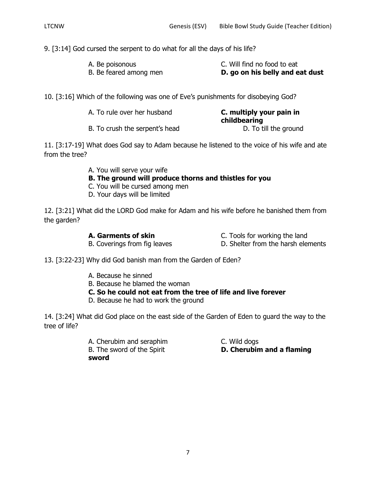9. [3:14] God cursed the serpent to do what for all the days of his life?

| A. Be poisonous        | C. Will find no food to eat     |
|------------------------|---------------------------------|
| B. Be feared among men | D. go on his belly and eat dust |

10. [3:16] Which of the following was one of Eve's punishments for disobeying God?

| A. To rule over her husband    | C. multiply your pain in<br>childbearing |
|--------------------------------|------------------------------------------|
| B. To crush the serpent's head | D. To till the ground                    |

11. [3:17-19] What does God say to Adam because he listened to the voice of his wife and ate from the tree?

A. You will serve your wife

# **B. The ground will produce thorns and thistles for you**

- C. You will be cursed among men
- D. Your days will be limited

12. [3:21] What did the LORD God make for Adam and his wife before he banished them from the garden?

**A. Garments of skin** C. Tools for working the land

B. Coverings from fig leaves D. Shelter from the harsh elements

- 
- 13. [3:22-23] Why did God banish man from the Garden of Eden?
	- A. Because he sinned
	- B. Because he blamed the woman
	- **C. So he could not eat from the tree of life and live forever**
	- D. Because he had to work the ground

14. [3:24] What did God place on the east side of the Garden of Eden to guard the way to the tree of life?

> A. Cherubim and seraphim C. Wild dogs **sword**

B. The sword of the Spirit **D. Cherubim and a flaming**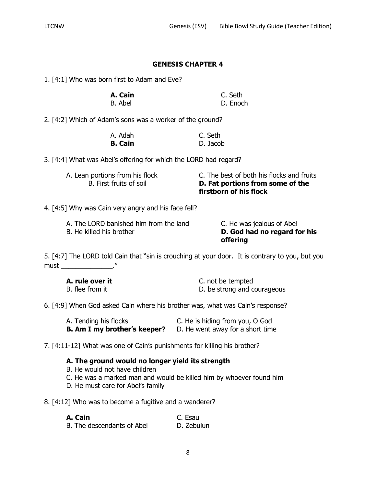1. [4:1] Who was born first to Adam and Eve?

| A. Cain | C. Seth |          |
|---------|---------|----------|
| B. Abel |         | D. Enoch |

2. [4:2] Which of Adam's sons was a worker of the ground?

| A. Adah        | C. Seth  |
|----------------|----------|
| <b>B. Cain</b> | D. Jacob |

3. [4:4] What was Abel's offering for which the LORD had regard?

| A. Lean portions from his flock | C. The best of both his flocks and fruits |
|---------------------------------|-------------------------------------------|
| B. First fruits of soil         | D. Fat portions from some of the          |
|                                 | firstborn of his flock                    |

4. [4:5] Why was Cain very angry and his face fell?

| A. The LORD banished him from the land | C. He was jealous of Abel    |
|----------------------------------------|------------------------------|
| B. He killed his brother               | D. God had no regard for his |
|                                        | <b>offering</b>              |

5. [4:7] The LORD told Cain that "sin is crouching at your door. It is contrary to you, but you must \_\_\_\_\_\_\_\_\_\_\_\_\_\_."

| A. rule over it | C. not be tempted           |
|-----------------|-----------------------------|
| B. flee from it | D. be strong and courageous |

6. [4:9] When God asked Cain where his brother was, what was Cain's response?

| A. Tending his flocks               | C. He is hiding from you, O God  |
|-------------------------------------|----------------------------------|
| <b>B. Am I my brother's keeper?</b> | D. He went away for a short time |

7. [4:11-12] What was one of Cain's punishments for killing his brother?

# **A. The ground would no longer yield its strength**

- B. He would not have children
- C. He was a marked man and would be killed him by whoever found him
- D. He must care for Abel's family

8. [4:12] Who was to become a fugitive and a wanderer?

| A. Cain |                            | C. Esau    |  |
|---------|----------------------------|------------|--|
|         | B. The descendants of Abel | D. Zebulun |  |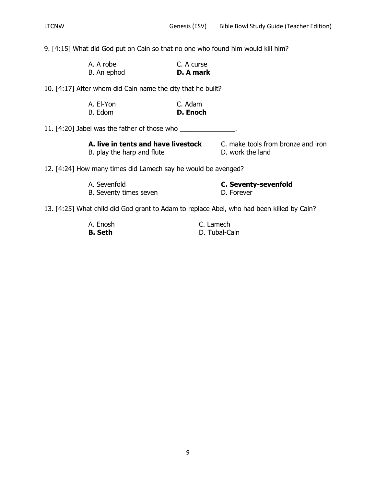9. [4:15] What did God put on Cain so that no one who found him would kill him?

| A. A robe   | C. A curse |
|-------------|------------|
| B. An ephod | D. A mark  |

10. [4:17] After whom did Cain name the city that he built?

| A. El-Yon | C. Adam  |
|-----------|----------|
| B. Edom   | D. Enoch |

11. [4:20] Jabel was the father of those who \_\_\_\_\_\_\_\_\_\_\_\_\_\_\_.

| A. live in tents and have livestock |
|-------------------------------------|
| B. play the harp and flute          |

C. make tools from bronze and iron D. work the land

12. [4:24] How many times did Lamech say he would be avenged?

| A. Sevenfold           | <b>C. Seventy-sevenfold</b> |
|------------------------|-----------------------------|
| B. Seventy times seven | D. Forever                  |

13. [4:25] What child did God grant to Adam to replace Abel, who had been killed by Cain?

| A. Enosh       | C. Lamech     |
|----------------|---------------|
| <b>B. Seth</b> | D. Tubal-Cain |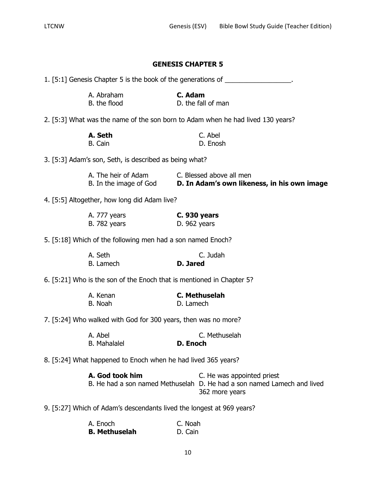|                                                        |                                                                                  |              | <b>GENESIS CHAPTER 5</b>                                                                                                |
|--------------------------------------------------------|----------------------------------------------------------------------------------|--------------|-------------------------------------------------------------------------------------------------------------------------|
|                                                        | 1. [5:1] Genesis Chapter 5 is the book of the generations of ___________________ |              |                                                                                                                         |
|                                                        | A. Abraham<br>B. the flood                                                       | C. Adam      | D. the fall of man                                                                                                      |
|                                                        |                                                                                  |              | 2. [5:3] What was the name of the son born to Adam when he had lived 130 years?                                         |
|                                                        | A. Seth<br>B. Cain                                                               |              | C. Abel<br>D. Enosh                                                                                                     |
| 3. [5:3] Adam's son, Seth, is described as being what? |                                                                                  |              |                                                                                                                         |
|                                                        | A. The heir of Adam C. Blessed above all men                                     |              | B. In the image of God <b>D. In Adam's own likeness, in his own image</b>                                               |
|                                                        | 4. [5:5] Altogether, how long did Adam live?                                     |              |                                                                                                                         |
|                                                        | A. 777 years<br><b>B.</b> 782 years                                              | D. 962 years | <b>C. 930 years</b>                                                                                                     |
|                                                        | 5. [5:18] Which of the following men had a son named Enoch?                      |              |                                                                                                                         |
|                                                        | A. Seth<br>B. Lamech                                                             | D. Jared     | C. Judah                                                                                                                |
|                                                        | 6. [5:21] Who is the son of the Enoch that is mentioned in Chapter 5?            |              |                                                                                                                         |
|                                                        | A. Kenan<br>B. Noah                                                              | D. Lamech    | <b>C. Methuselah</b>                                                                                                    |
|                                                        | 7. [5:24] Who walked with God for 300 years, then was no more?                   |              |                                                                                                                         |
|                                                        | A. Abel<br><b>B.</b> Mahalalel                                                   | D. Enoch     | C. Methuselah                                                                                                           |
|                                                        | 8. [5:24] What happened to Enoch when he had lived 365 years?                    |              |                                                                                                                         |
|                                                        | A. God took him                                                                  |              | C. He was appointed priest<br>B. He had a son named Methuselah D. He had a son named Lamech and lived<br>362 more years |
|                                                        | 9. [5:27] Which of Adam's descendants lived the longest at 969 years?            |              |                                                                                                                         |
|                                                        |                                                                                  |              |                                                                                                                         |

**B. Methuselah**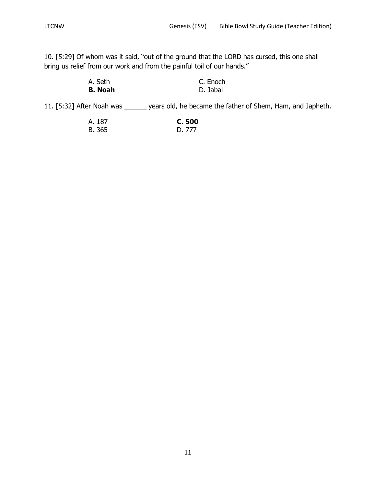10. [5:29] Of whom was it said, "out of the ground that the LORD has cursed, this one shall bring us relief from our work and from the painful toil of our hands."

| A. Seth        | C. Enoch |
|----------------|----------|
| <b>B.</b> Noah | D. Jabal |

11. [5:32] After Noah was \_\_\_\_\_\_ years old, he became the father of Shem, Ham, and Japheth.

| A. 187 | C. 500 |
|--------|--------|
| B. 365 | D. 777 |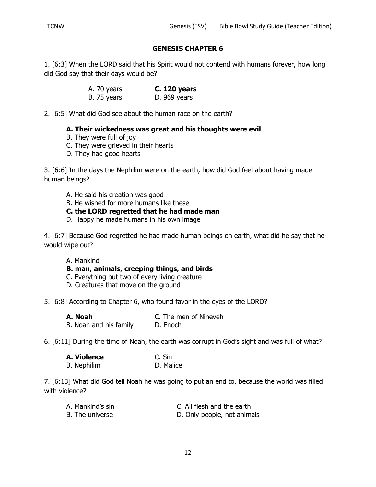1. [6:3] When the LORD said that his Spirit would not contend with humans forever, how long did God say that their days would be?

> A. 70 years **C. 120 years** B. 75 years D. 969 years

2. [6:5] What did God see about the human race on the earth?

# **A. Their wickedness was great and his thoughts were evil**

- B. They were full of joy
- C. They were grieved in their hearts
- D. They had good hearts

3. [6:6] In the days the Nephilim were on the earth, how did God feel about having made human beings?

- A. He said his creation was good
- B. He wished for more humans like these
- **C. the LORD regretted that he had made man**
- D. Happy he made humans in his own image

4. [6:7] Because God regretted he had made human beings on earth, what did he say that he would wipe out?

## A. Mankind

- **B. man, animals, creeping things, and birds**
- C. Everything but two of every living creature
- D. Creatures that move on the ground

5. [6:8] According to Chapter 6, who found favor in the eyes of the LORD?

**A. Noah** C. The men of Nineveh B. Noah and his family D. Enoch

6. [6:11] During the time of Noah, the earth was corrupt in God's sight and was full of what?

| A. Violence        | C. Sin    |
|--------------------|-----------|
| <b>B.</b> Nephilim | D. Malice |

7. [6:13] What did God tell Noah he was going to put an end to, because the world was filled with violence?

| A. Mankind's sin | C. All flesh and the earth  |
|------------------|-----------------------------|
| B. The universe  | D. Only people, not animals |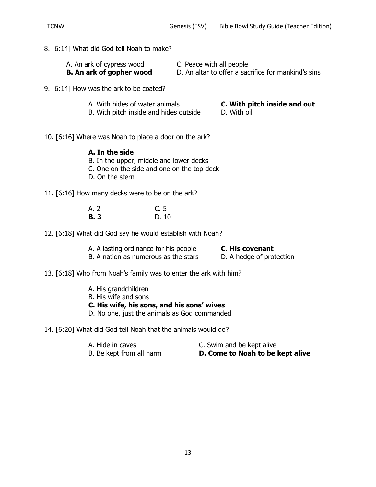- 8. [6:14] What did God tell Noah to make?
	- A. An ark of cypress wood C. Peace with all people **B. An ark of gopher wood** D. An altar to offer a sacrifice for mankind's sins
- 9. [6:14] How was the ark to be coated?
	- A. With hides of water animals **C. With pitch inside and out**
		-
	- B. With pitch inside and hides outside D. With oil
- 
- 10. [6:16] Where was Noah to place a door on the ark?

# **A. In the side**

- B. In the upper, middle and lower decks
- C. One on the side and one on the top deck
- D. On the stern
- 11. [6:16] How many decks were to be on the ark?

| A. 2       | C.5  |
|------------|------|
| <b>B.3</b> | D.10 |

12. [6:18] What did God say he would establish with Noah?

| A. A lasting ordinance for his people | C. His covenant          |
|---------------------------------------|--------------------------|
| B. A nation as numerous as the stars  | D. A hedge of protection |

- 13. [6:18] Who from Noah's family was to enter the ark with him?
	- A. His grandchildren
	- B. His wife and sons
	- **C. His wife, his sons, and his sons' wives**
	- D. No one, just the animals as God commanded
- 14. [6:20] What did God tell Noah that the animals would do?
	-
	- A. Hide in caves C. Swim and be kept alive
	- B. Be kept from all harm **D. Come to Noah to be kept alive**
		-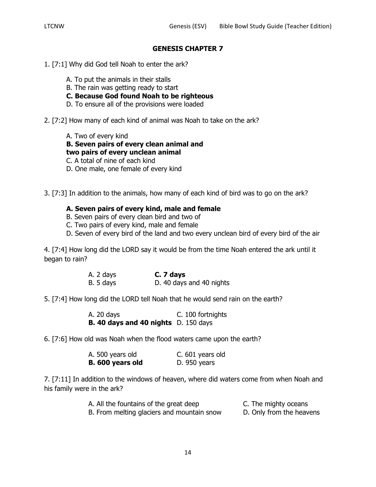- 1. [7:1] Why did God tell Noah to enter the ark?
	- A. To put the animals in their stalls
	- B. The rain was getting ready to start
	- **C. Because God found Noah to be righteous**
	- D. To ensure all of the provisions were loaded
- 2. [7:2] How many of each kind of animal was Noah to take on the ark?
	- A. Two of every kind
	- **B. Seven pairs of every clean animal and**
	- **two pairs of every unclean animal**
	- C. A total of nine of each kind
	- D. One male, one female of every kind
- 3. [7:3] In addition to the animals, how many of each kind of bird was to go on the ark?

# **A. Seven pairs of every kind, male and female**

- B. Seven pairs of every clean bird and two of
- C. Two pairs of every kind, male and female
- D. Seven of every bird of the land and two every unclean bird of every bird of the air

4. [7:4] How long did the LORD say it would be from the time Noah entered the ark until it began to rain?

| A. 2 days | C. 7 days                |
|-----------|--------------------------|
| B. 5 days | D. 40 days and 40 nights |

5. [7:4] How long did the LORD tell Noah that he would send rain on the earth?

| A. 20 days                                  | C. 100 fortnights |
|---------------------------------------------|-------------------|
| <b>B. 40 days and 40 nights</b> D. 150 days |                   |

6. [7:6] How old was Noah when the flood waters came upon the earth?

| A. 500 years old | C. 601 years old |
|------------------|------------------|
| B. 600 years old | D. 950 years     |

7. [7:11] In addition to the windows of heaven, where did waters come from when Noah and his family were in the ark?

| A. All the fountains of the great deep     | C. The mighty oceans     |
|--------------------------------------------|--------------------------|
| B. From melting glaciers and mountain snow | D. Only from the heavens |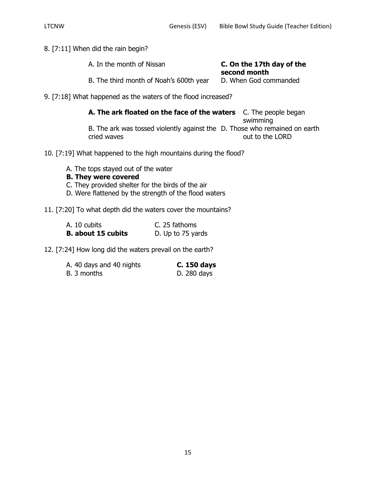8. [7:11] When did the rain begin?

| A. In the month of Nissan               | C. On the 17th day of the<br>second month |
|-----------------------------------------|-------------------------------------------|
| B. The third month of Noah's 600th year | D. When God commanded                     |

9. [7:18] What happened as the waters of the flood increased?

**A. The ark floated on the face of the waters** C. The people began swimming B. The ark was tossed violently against the D. Those who remained on earth cried waves **out to the LORD** 

10. [7:19] What happened to the high mountains during the flood?

A. The tops stayed out of the water

# **B. They were covered**

- C. They provided shelter for the birds of the air
- D. Were flattened by the strength of the flood waters

# 11. [7:20] To what depth did the waters cover the mountains?

| A. 10 cubits              | C. 25 fathoms     |
|---------------------------|-------------------|
| <b>B.</b> about 15 cubits | D. Up to 75 yards |

12. [7:24] How long did the waters prevail on the earth?

| A. 40 days and 40 nights | C. 150 days |
|--------------------------|-------------|
| B. 3 months              | D. 280 days |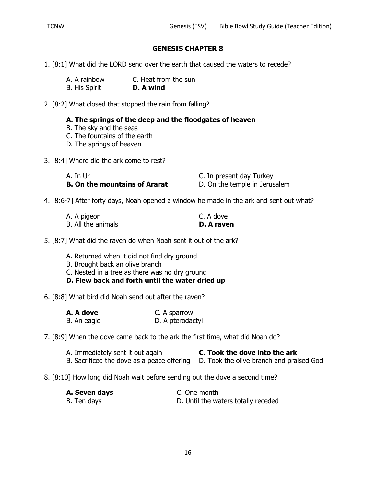- 1. [8:1] What did the LORD send over the earth that caused the waters to recede?
	- A. A rainbow C. Heat from the sun B. His Spirit **D. A wind**

2. [8:2] What closed that stopped the rain from falling?

# **A. The springs of the deep and the floodgates of heaven**

- B. The sky and the seas
- C. The fountains of the earth
- D. The springs of heaven
- 3. [8:4] Where did the ark come to rest?

| A. In Ur                             | C. In present day Turkey      |
|--------------------------------------|-------------------------------|
| <b>B. On the mountains of Ararat</b> | D. On the temple in Jerusalem |

4. [8:6-7] After forty days, Noah opened a window he made in the ark and sent out what?

| A. A pigeon        | C. A dove  |
|--------------------|------------|
| B. All the animals | D. A raven |

5. [8:7] What did the raven do when Noah sent it out of the ark?

- A. Returned when it did not find dry ground
- B. Brought back an olive branch
- C. Nested in a tree as there was no dry ground
- **D. Flew back and forth until the water dried up**

6. [8:8] What bird did Noah send out after the raven?

| A. A dove   | C. A sparrow     |
|-------------|------------------|
| B. An eagle | D. A pterodactyl |

7. [8:9] When the dove came back to the ark the first time, what did Noah do?

| A. Immediately sent it out again |  |  |  |  | C. Took the dove into the ark |  |
|----------------------------------|--|--|--|--|-------------------------------|--|
|                                  |  |  |  |  |                               |  |

B. Sacrificed the dove as a peace offering D. Took the olive branch and praised God

## 8. [8:10] How long did Noah wait before sending out the dove a second time?

| A. Seven days | C. One month                        |
|---------------|-------------------------------------|
| B. Ten days   | D. Until the waters totally receded |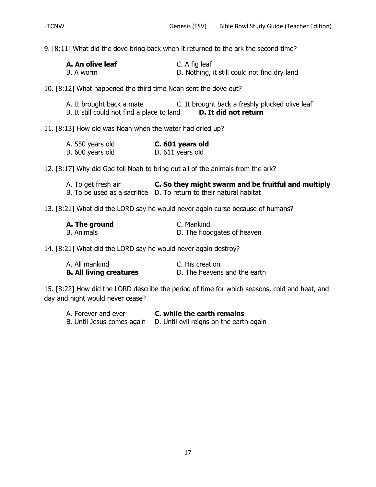9. [8:11] What did the dove bring back when it returned to the ark the second time?

| A. An olive leaf | C. A fig leaf                                |
|------------------|----------------------------------------------|
| B. A worm        | D. Nothing, it still could not find dry land |

10. [8:12] What happened the third time Noah sent the dove out?

| A. It brought back a mate                  | C. It brought back a freshly plucked olive leaf |
|--------------------------------------------|-------------------------------------------------|
| B. It still could not find a place to land | D. It did not return                            |

11. [8:13] How old was Noah when the water had dried up?

| A. 550 years old | C. 601 years old |
|------------------|------------------|
| B. 600 years old | D. 611 years old |

12. [8:17] Why did God tell Noah to bring out all of the animals from the ark?

| A. To get fresh air | C. So they might swarm and be fruitful and multiply                |
|---------------------|--------------------------------------------------------------------|
|                     | B. To be used as a sacrifice D. To return to their natural habitat |

13. [8:21] What did the LORD say he would never again curse because of humans?

| A. The ground     | C. Mankind                  |
|-------------------|-----------------------------|
| <b>B.</b> Animals | D. The floodgates of heaven |

14. [8:21] What did the LORD say he would never again destroy?

| A. All mankind                 | C. His creation              |
|--------------------------------|------------------------------|
| <b>B. All living creatures</b> | D. The heavens and the earth |

15. [8:22] How did the LORD describe the period of time for which seasons, cold and heat, and day and night would never cease?

| A. Forever and ever        | C. while the earth remains              |
|----------------------------|-----------------------------------------|
| B. Until Jesus comes again | D. Until evil reigns on the earth again |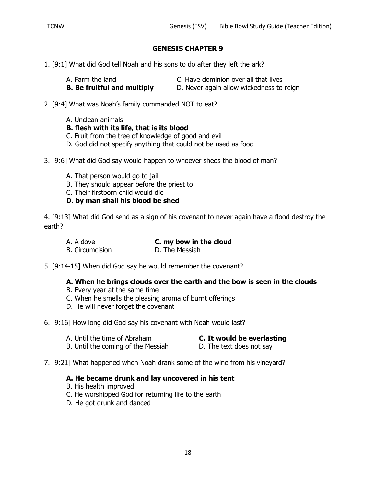- 1. [9:1] What did God tell Noah and his sons to do after they left the ark?
	-
	- A. Farm the land C. Have dominion over all that lives
	- **B. Be fruitful and multiply** D. Never again allow wickedness to reign
- 
- 2. [9:4] What was Noah's family commanded NOT to eat?
	- A. Unclean animals
	- **B. flesh with its life, that is its blood**
	- C. Fruit from the tree of knowledge of good and evil
	- D. God did not specify anything that could not be used as food
- 3. [9:6] What did God say would happen to whoever sheds the blood of man?
	- A. That person would go to jail
	- B. They should appear before the priest to

C. Their firstborn child would die

**D. by man shall his blood be shed**

4. [9:13] What did God send as a sign of his covenant to never again have a flood destroy the earth?

- A. A dove **C. my bow in the cloud** B. Circumcision **D. The Messiah**
- 5. [9:14-15] When did God say he would remember the covenant?

# **A. When he brings clouds over the earth and the bow is seen in the clouds**

- B. Every year at the same time
- C. When he smells the pleasing aroma of burnt offerings
- D. He will never forget the covenant

6. [9:16] How long did God say his covenant with Noah would last?

- A. Until the time of Abraham **C. It would be everlasting**
- B. Until the coming of the Messiah D. The text does not say
- 7. [9:21] What happened when Noah drank some of the wine from his vineyard?

## **A. He became drunk and lay uncovered in his tent**

- B. His health improved
- C. He worshipped God for returning life to the earth
- D. He got drunk and danced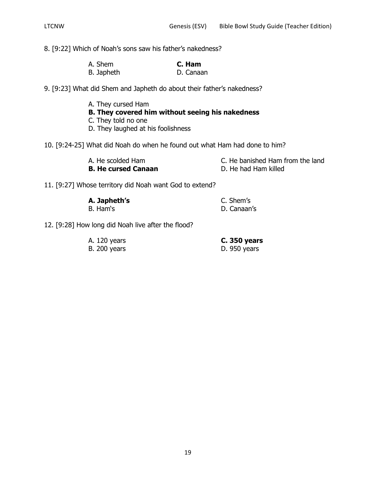8. [9:22] Which of Noah's sons saw his father's nakedness?

| A. Shem    | C. Ham    |
|------------|-----------|
| B. Japheth | D. Canaan |

9. [9:23] What did Shem and Japheth do about their father's nakedness?

A. They cursed Ham **B. They covered him without seeing his nakedness** C. They told no one D. They laughed at his foolishness

10. [9:24-25] What did Noah do when he found out what Ham had done to him?

| A. He scolded Ham          | C. He banished Ham from the land |
|----------------------------|----------------------------------|
| <b>B. He cursed Canaan</b> | D. He had Ham killed             |

11. [9:27] Whose territory did Noah want God to extend?

| A. Japheth's | C. Shem's   |
|--------------|-------------|
| B. Ham's     | D. Canaan's |

12. [9:28] How long did Noah live after the flood?

| A. 120 years        | C. 350 years |
|---------------------|--------------|
| <b>B.</b> 200 years | D. 950 years |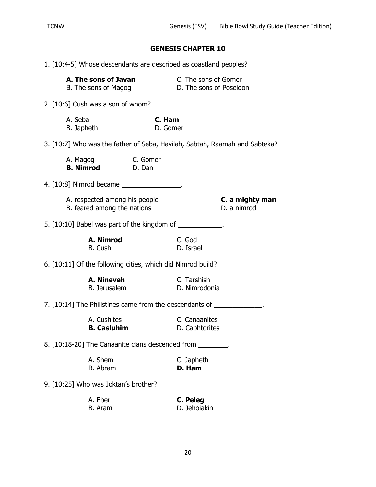| 1. [10:4-5] Whose descendants are described as coastland peoples? |                                                              |                                                             |                                                                        |                                                                            |
|-------------------------------------------------------------------|--------------------------------------------------------------|-------------------------------------------------------------|------------------------------------------------------------------------|----------------------------------------------------------------------------|
| A. The sons of Javan<br>B. The sons of Magog                      |                                                              | <b>C.</b> The sons of Gomer<br>D. The sons of Poseidon      |                                                                        |                                                                            |
|                                                                   | 2. [10:6] Cush was a son of whom?                            |                                                             |                                                                        |                                                                            |
| A. Seba<br>B. Japheth                                             |                                                              | C. Ham<br>D. Gomer                                          |                                                                        |                                                                            |
|                                                                   |                                                              |                                                             |                                                                        | 3. [10:7] Who was the father of Seba, Havilah, Sabtah, Raamah and Sabteka? |
|                                                                   | A. Magog C. Gomer<br><b>B. Nimrod</b> D. Dan                 |                                                             |                                                                        |                                                                            |
|                                                                   |                                                              | 4. [10:8] Nimrod became _________________.                  |                                                                        |                                                                            |
|                                                                   | A. respected among his people<br>B. feared among the nations |                                                             |                                                                        | C. a mighty man<br>D. a nimrod                                             |
|                                                                   |                                                              |                                                             | 5. [10:10] Babel was part of the kingdom of _____________.             |                                                                            |
|                                                                   | A. Nimrod<br>B. Cush                                         |                                                             | C. God<br>D. Israel                                                    |                                                                            |
|                                                                   |                                                              | 6. [10:11] Of the following cities, which did Nimrod build? |                                                                        |                                                                            |
|                                                                   | A. Nineveh<br>B. Jerusalem                                   |                                                             | C. Tarshish<br>D. Nimrodonia                                           |                                                                            |
|                                                                   |                                                              |                                                             | 7. [10:14] The Philistines came from the descendants of _____________. |                                                                            |
|                                                                   | A. Cushites<br><b>B. Casluhim</b>                            |                                                             | C. Canaanites<br>D. Caphtorites                                        |                                                                            |
| 8. [10:18-20] The Canaanite clans descended from _________.       |                                                              |                                                             |                                                                        |                                                                            |
|                                                                   | A. Shem<br><b>B.</b> Abram                                   |                                                             | C. Japheth<br>D. Ham                                                   |                                                                            |
| 9. [10:25] Who was Joktan's brother?                              |                                                              |                                                             |                                                                        |                                                                            |
|                                                                   | A. Eber<br><b>B.</b> Aram                                    |                                                             | C. Peleg<br>D. Jehoiakin                                               |                                                                            |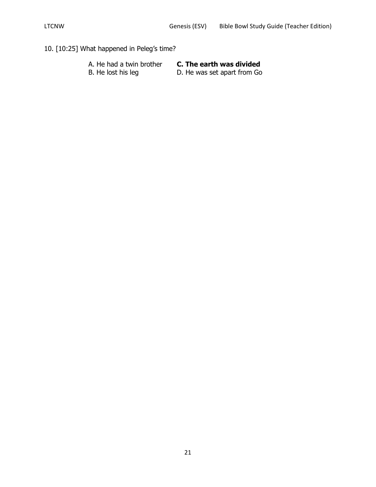# 10. [10:25] What happened in Peleg's time?

| A. He had a twin brother | C. The earth was divided    |
|--------------------------|-----------------------------|
| B. He lost his leg       | D. He was set apart from Go |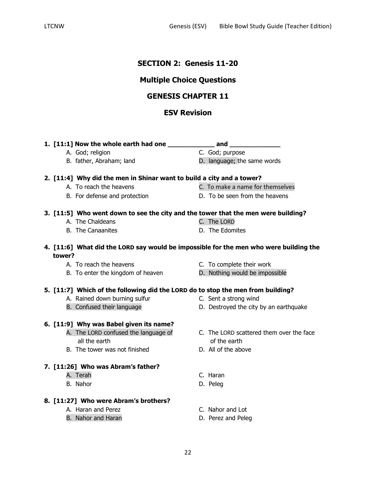# **SECTION 2: Genesis 11-20**

# **Multiple Choice Questions**

# **GENESIS CHAPTER 11**

# **ESV Revision**

**1. [11:1] Now the whole earth had one \_\_\_\_\_\_\_\_\_\_\_\_ and \_\_\_\_\_\_\_\_\_\_\_\_\_** A. God; religion C. God; purpose

## **2. [11:4] Why did the men in Shinar want to build a city and a tower?**

- 
- 
- A. To reach the heavens exactled the c. To make a name for themselves
- B. For defense and protection D. To be seen from the heavens

### **3. [11:5] Who went down to see the city and the tower that the men were building?**

- A. The Chaldeans C. The LORD
- B. The Canaanites D. The Edomites

# **4. [11:6] What did the LORD say would be impossible for the men who were building the tower?**

- 
- B. To enter the kingdom of heaven **D.** Nothing would be impossible

## **5. [11:7] Which of the following did the LORD do to stop the men from building?**

- A. Rained down burning sulfur The C. Sent a strong wind
- 
- **6. [11:9] Why was Babel given its name?**
	- all the earth of the earth
	- B. The tower was not finished D. All of the above

#### **7. [11:26] Who was Abram's father?**

- A. Terah C. Haran
- B. Nahor D. Peleg

## **8. [11:27] Who were Abram's brothers?**

- A. Haran and Perez **C. Nahor and Lot**
- B. Nahor and Haran D. Perez and Peleg
- A. To reach the heavens C. To complete their work
	-
	-
- B. Confused their language **D.** Destroyed the city by an earthquake
- A. The LORD confused the language of C. The LORD scattered them over the face
	-
	-
	-
	-
	-

B. father, Abraham; land D. language; the same words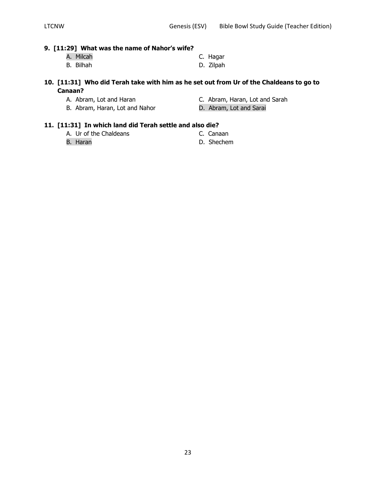### **9. [11:29] What was the name of Nahor's wife?**

- A. Milcah C. Hagar
- B. Bilhah D. Zilpah

# **10. [11:31] Who did Terah take with him as he set out from Ur of the Chaldeans to go to Canaan?**

- 
- A. Abram, Lot and Haran C. Abram, Haran, Lot and Sarah
- B. Abram, Haran, Lot and Nahor D. Abram, Lot and Sarai
- 

## **11. [11:31] In which land did Terah settle and also die?**

- A. Ur of the Chaldeans C. Canaan
- B. Haran D. Shechem
- -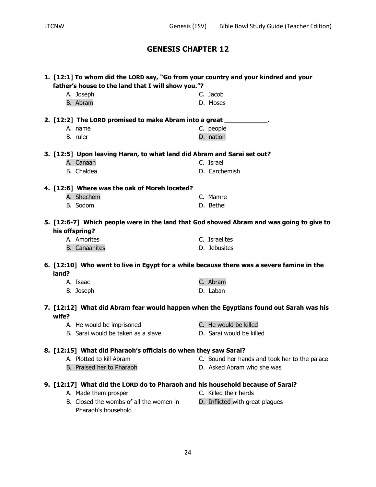| 1. [12:1] To whom did the LORD say, "Go from your country and your kindred and your |                                                                                           |  |  |  |
|-------------------------------------------------------------------------------------|-------------------------------------------------------------------------------------------|--|--|--|
| father's house to the land that I will show you."?                                  |                                                                                           |  |  |  |
| A. Joseph                                                                           | C. Jacob                                                                                  |  |  |  |
| B. Abram                                                                            | D. Moses                                                                                  |  |  |  |
|                                                                                     |                                                                                           |  |  |  |
| 2. [12:2] The LORD promised to make Abram into a great _____________.               |                                                                                           |  |  |  |
| A. name                                                                             | C. people                                                                                 |  |  |  |
| B. ruler                                                                            | D. nation                                                                                 |  |  |  |
| 3. [12:5] Upon leaving Haran, to what land did Abram and Sarai set out?             |                                                                                           |  |  |  |
| A. Canaan                                                                           | C. Israel                                                                                 |  |  |  |
| B. Chaldea                                                                          | D. Carchemish                                                                             |  |  |  |
| 4. [12:6] Where was the oak of Moreh located?                                       |                                                                                           |  |  |  |
| A. Shechem                                                                          | C. Mamre                                                                                  |  |  |  |
| B. Sodom                                                                            | D. Bethel                                                                                 |  |  |  |
|                                                                                     |                                                                                           |  |  |  |
|                                                                                     | 5. [12:6-7] Which people were in the land that God showed Abram and was going to give to  |  |  |  |
| his offspring?                                                                      |                                                                                           |  |  |  |
| A. Amorites                                                                         | C. Israelites                                                                             |  |  |  |
| <b>B.</b> Canaanites                                                                | D. Jebusites                                                                              |  |  |  |
|                                                                                     |                                                                                           |  |  |  |
|                                                                                     | 6. [12:10] Who went to live in Egypt for a while because there was a severe famine in the |  |  |  |
| land?                                                                               |                                                                                           |  |  |  |
| A. Isaac                                                                            | C. Abram                                                                                  |  |  |  |
| B. Joseph                                                                           | D. Laban                                                                                  |  |  |  |
|                                                                                     | 7. [12:12] What did Abram fear would happen when the Egyptians found out Sarah was his    |  |  |  |
| wife?                                                                               |                                                                                           |  |  |  |
| A. He would be imprisoned                                                           | C. He would be killed                                                                     |  |  |  |
| B. Sarai would be taken as a slave                                                  | D. Sarai would be killed                                                                  |  |  |  |
|                                                                                     |                                                                                           |  |  |  |
| 8. [12:15] What did Pharaoh's officials do when they saw Sarai?                     |                                                                                           |  |  |  |
| A. Plotted to kill Abram                                                            | C. Bound her hands and took her to the palace                                             |  |  |  |
| B. Praised her to Pharaoh                                                           | D. Asked Abram who she was                                                                |  |  |  |
| 9. [12:17] What did the LORD do to Pharaoh and his household because of Sarai?      |                                                                                           |  |  |  |
| A. Made them prosper                                                                | C. Killed their herds                                                                     |  |  |  |
| B. Closed the wombs of all the women in                                             | D. Inflicted with great plagues                                                           |  |  |  |
| Pharaoh's household                                                                 |                                                                                           |  |  |  |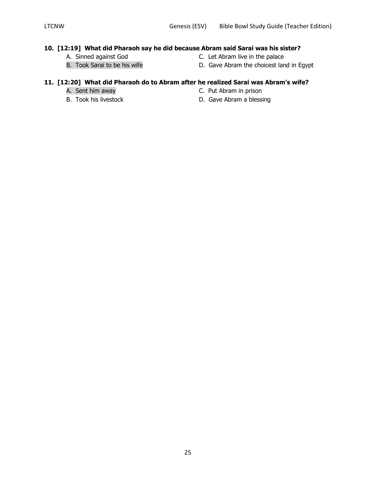# **10. [12:19] What did Pharaoh say he did because Abram said Sarai was his sister?**

- 
- 
- 
- A. Sinned against God<br>
B. Took Sarai to be his wife 
B. Took Sarai to be his wife

B. Gave Abram the choicest lan D. Gave Abram the choicest land in Egypt

# **11. [12:20] What did Pharaoh do to Abram after he realized Sarai was Abram's wife?**

- 
- 
- A. Sent him away **C. Put Abram in prison**
- B. Took his livestock D. Gave Abram a blessing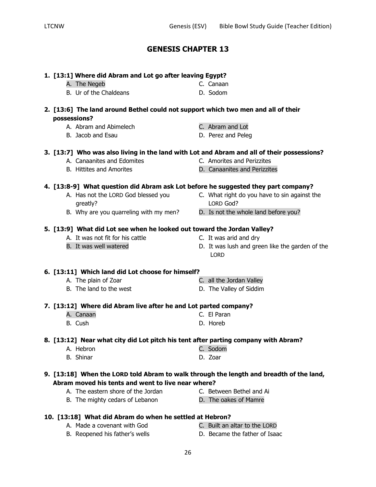|              | 1. [13:1] Where did Abram and Lot go after leaving Egypt?                                  |                                                                |
|--------------|--------------------------------------------------------------------------------------------|----------------------------------------------------------------|
|              | A. The Negeb                                                                               | C. Canaan                                                      |
|              | B. Ur of the Chaldeans                                                                     | D. Sodom                                                       |
|              | 2. [13:6] The land around Bethel could not support which two men and all of their          |                                                                |
| possessions? |                                                                                            |                                                                |
|              | A. Abram and Abimelech                                                                     | C. Abram and Lot                                               |
|              | B. Jacob and Esau                                                                          | D. Perez and Peleg                                             |
|              | 3. [13:7] Who was also living in the land with Lot and Abram and all of their possessions? |                                                                |
|              | A. Canaanites and Edomites                                                                 | C. Amorites and Perizzites                                     |
|              | <b>B.</b> Hittites and Amorites                                                            | D. Canaanites and Perizzites                                   |
|              | 4. [13:8-9] What question did Abram ask Lot before he suggested they part company?         |                                                                |
|              | A. Has not the LORD God blessed you                                                        | C. What right do you have to sin against the                   |
|              | greatly?                                                                                   | LORD God?                                                      |
|              | B. Why are you quarreling with my men?                                                     | D. Is not the whole land before you?                           |
|              | 5. [13:9] What did Lot see when he looked out toward the Jordan Valley?                    |                                                                |
|              | A. It was not fit for his cattle                                                           | C. It was arid and dry                                         |
|              | B. It was well watered                                                                     | D. It was lush and green like the garden of the<br><b>LORD</b> |
|              | 6. [13:11] Which land did Lot choose for himself?                                          |                                                                |
|              | A. The plain of Zoar                                                                       | C. all the Jordan Valley                                       |
|              | B. The land to the west                                                                    | D. The Valley of Siddim                                        |
|              | 7. [13:12] Where did Abram live after he and Lot parted company?                           |                                                                |
|              | A. Canaan                                                                                  | C. El Paran                                                    |
|              | B. Cush                                                                                    | D. Horeb                                                       |
|              | 8. [13:12] Near what city did Lot pitch his tent after parting company with Abram?         |                                                                |
|              | A. Hebron                                                                                  | C. Sodom                                                       |
|              | <b>B.</b> Shinar                                                                           | D. Zoar                                                        |
|              | 9. [13:18] When the LORD told Abram to walk through the length and breadth of the land,    |                                                                |
|              | Abram moved his tents and went to live near where?                                         |                                                                |
|              | A. The eastern shore of the Jordan                                                         | C. Between Bethel and Ai                                       |
|              | B. The mighty cedars of Lebanon                                                            | D. The oakes of Mamre                                          |
|              |                                                                                            |                                                                |

# **10. [13:18] What did Abram do when he settled at Hebron?**

- 
- 

- A. Made a covenant with God C. Built an altar to the LORD
- 
- B. Reopened his father's wells **D. Became the father of Isaac**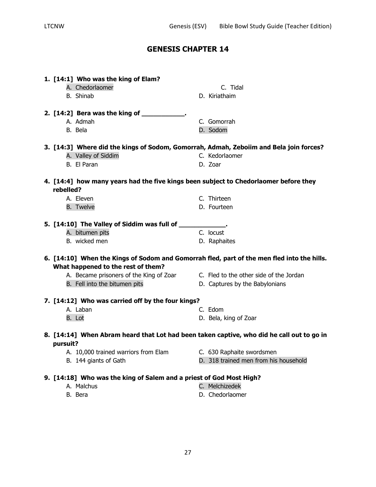| 1. [14:1] Who was the king of Elam?<br>A. Chedorlaomer<br>B. Shinab                                                                                    | C. Tidal<br>D. Kiriathaim                                                                  |
|--------------------------------------------------------------------------------------------------------------------------------------------------------|--------------------------------------------------------------------------------------------|
| 2. [14:2] Bera was the king of ____________.<br>A. Admah<br>B. Bela                                                                                    | C. Gomorrah<br>D. Sodom                                                                    |
| 3. [14:3] Where did the kings of Sodom, Gomorrah, Admah, Zeboiim and Bela join forces?                                                                 |                                                                                            |
| A. Valley of Siddim                                                                                                                                    | C. Kedorlaomer                                                                             |
| B. El Paran                                                                                                                                            | D. Zoar                                                                                    |
| 4. [14:4] how many years had the five kings been subject to Chedorlaomer before they<br>rebelled?                                                      |                                                                                            |
| A. Eleven                                                                                                                                              | C. Thirteen                                                                                |
| <b>B.</b> Twelve                                                                                                                                       | D. Fourteen                                                                                |
| 5. [14:10] The Valley of Siddim was full of ____________.                                                                                              |                                                                                            |
| A. bitumen pits                                                                                                                                        | C. locust                                                                                  |
| B. wicked men                                                                                                                                          | D. Raphaites                                                                               |
|                                                                                                                                                        | 6. [14:10] When the Kings of Sodom and Gomorrah fled, part of the men fled into the hills. |
| What happened to the rest of them?<br>A. Became prisoners of the King of Zoar C. Fled to the other side of the Jordan<br>B. Fell into the bitumen pits | D. Captures by the Babylonians                                                             |
| 7. [14:12] Who was carried off by the four kings?                                                                                                      |                                                                                            |
| A. Laban                                                                                                                                               | C. Edom                                                                                    |
| B. Lot                                                                                                                                                 | D. Bela, king of Zoar                                                                      |
| 8. [14:14] When Abram heard that Lot had been taken captive, who did he call out to go in<br>pursuit?                                                  |                                                                                            |
| A. 10,000 trained warriors from Elam                                                                                                                   | C. 630 Raphaite swordsmen                                                                  |
| B. 144 giants of Gath                                                                                                                                  | D. 318 trained men from his household                                                      |
|                                                                                                                                                        |                                                                                            |
| 9. [14:18] Who was the king of Salem and a priest of God Most High?<br>A. Malchus                                                                      | C. Melchizedek                                                                             |
| B. Bera                                                                                                                                                | D. Chedorlaomer                                                                            |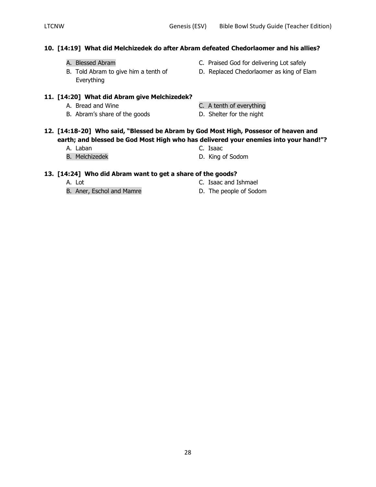## **10. [14:19] What did Melchizedek do after Abram defeated Chedorlaomer and his allies?**

- 
- Everything
- A. Blessed Abram C. Praised God for delivering Lot safely
- B. Told Abram to give him a tenth of **D.** Replaced Chedorlaomer as king of Elam

### **11. [14:20] What did Abram give Melchizedek?**

- 
- B. Abram's share of the goods D. Shelter for the night
- A. Bread and Wine **C.** A tenth of everything

- **12. [14:18-20] Who said, "Blessed be Abram by God Most High, Possesor of heaven and earth; and blessed be God Most High who has delivered your enemies into your hand!"?**
	- A. Laban C. Isaac
- - B. Melchizedek **D. King of Sodom**

#### **13. [14:24] Who did Abram want to get a share of the goods?**

B. Aner, Eschol and Mamre D. The people of Sodom

- A. Lot C. Isaac and Ishmael
	-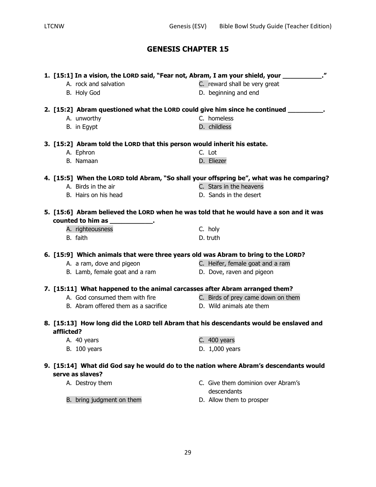| 1. [15:1] In a vision, the LORD said, "Fear not, Abram, I am your shield, your __________."<br>A. rock and salvation<br>C. reward shall be very great |                                                                                          |  |                                    |
|-------------------------------------------------------------------------------------------------------------------------------------------------------|------------------------------------------------------------------------------------------|--|------------------------------------|
|                                                                                                                                                       | B. Holy God                                                                              |  | D. beginning and end               |
|                                                                                                                                                       | 2. [15:2] Abram questioned what the LORD could give him since he continued __________.   |  |                                    |
|                                                                                                                                                       | A. unworthy                                                                              |  | C. homeless                        |
|                                                                                                                                                       | B. in Egypt                                                                              |  | D. childless                       |
|                                                                                                                                                       |                                                                                          |  |                                    |
|                                                                                                                                                       | 3. [15:2] Abram told the LORD that this person would inherit his estate.                 |  |                                    |
|                                                                                                                                                       | A. Ephron                                                                                |  | C. Lot                             |
|                                                                                                                                                       | B. Namaan                                                                                |  | D. Eliezer                         |
|                                                                                                                                                       | 4. [15:5] When the LORD told Abram, "So shall your offspring be", what was he comparing? |  |                                    |
|                                                                                                                                                       | A. Birds in the air                                                                      |  | C. Stars in the heavens            |
|                                                                                                                                                       | B. Hairs on his head                                                                     |  | D. Sands in the desert             |
|                                                                                                                                                       |                                                                                          |  |                                    |
|                                                                                                                                                       | 5. [15:6] Abram believed the LORD when he was told that he would have a son and it was   |  |                                    |
|                                                                                                                                                       | counted to him as _____________.                                                         |  |                                    |
|                                                                                                                                                       | A. righteousness                                                                         |  | C. holy                            |
|                                                                                                                                                       | B. faith                                                                                 |  | D. truth                           |
|                                                                                                                                                       | 6. [15:9] Which animals that were three years old was Abram to bring to the LORD?        |  |                                    |
|                                                                                                                                                       | A. a ram, dove and pigeon                                                                |  | C. Heifer, female goat and a ram   |
|                                                                                                                                                       | B. Lamb, female goat and a ram                                                           |  | D. Dove, raven and pigeon          |
|                                                                                                                                                       | 7. [15:11] What happened to the animal carcasses after Abram arranged them?              |  |                                    |
|                                                                                                                                                       | A. God consumed them with fire                                                           |  | C. Birds of prey came down on them |
|                                                                                                                                                       | B. Abram offered them as a sacrifice Theory D. Wild animals ate them                     |  |                                    |
|                                                                                                                                                       |                                                                                          |  |                                    |
|                                                                                                                                                       | 8. [15:13] How long did the LORD tell Abram that his descendants would be enslaved and   |  |                                    |
| afflicted?                                                                                                                                            |                                                                                          |  |                                    |
|                                                                                                                                                       | A. 40 years                                                                              |  | C. 400 years                       |
|                                                                                                                                                       | <b>B.</b> 100 years                                                                      |  | D. 1,000 years                     |
|                                                                                                                                                       | 9. [15:14] What did God say he would do to the nation where Abram's descendants would    |  |                                    |
|                                                                                                                                                       | serve as slaves?                                                                         |  |                                    |
|                                                                                                                                                       | A. Destroy them                                                                          |  | C. Give them dominion over Abram's |
|                                                                                                                                                       |                                                                                          |  | descendants                        |
|                                                                                                                                                       | B. bring judgment on them                                                                |  | D. Allow them to prosper           |
|                                                                                                                                                       |                                                                                          |  |                                    |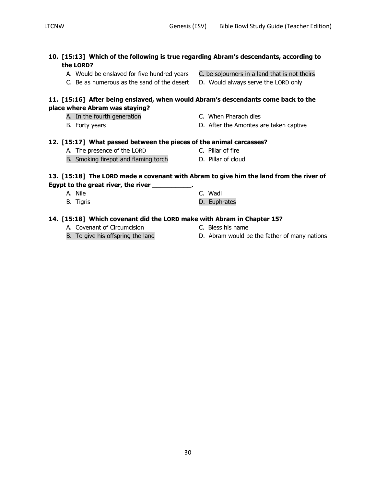|  |                                             | 10. [15:13] Which of the following is true regarding Abram's descendants, according to |
|--|---------------------------------------------|----------------------------------------------------------------------------------------|
|  | the LORD?                                   |                                                                                        |
|  | A. Would be enslaved for five hundred years | C. be sojourners in a land that is not theirs                                          |

C. Be as numerous as the sand of the desert D. Would always serve the LORD only

#### **11. [15:16] After being enslaved, when would Abram's descendants come back to the place where Abram was staying?**

- A. In the fourth generation **Example 20** C. When Pharaoh dies
- 

### **12. [15:17] What passed between the pieces of the animal carcasses?**

- A. The presence of the LORD C. Pillar of fire
- B. Smoking firepot and flaming torch **D. Pillar of cloud**

## **13. [15:18] The LORD made a covenant with Abram to give him the land from the river of Egypt to the great river, the river \_\_\_\_\_\_\_\_\_\_.**

# A. Nile C. Wadi

B. Tigris **B. Euphrates** 

### **14. [15:18] Which covenant did the LORD make with Abram in Chapter 15?**

- A. Covenant of Circumcision C. Bless his name
- 
- 
- B. To give his offspring the land **D.** Abram would be the father of many nations
- 
- B. Forty years **B.** Forty years **D.** After the Amorites are taken captive

- 
-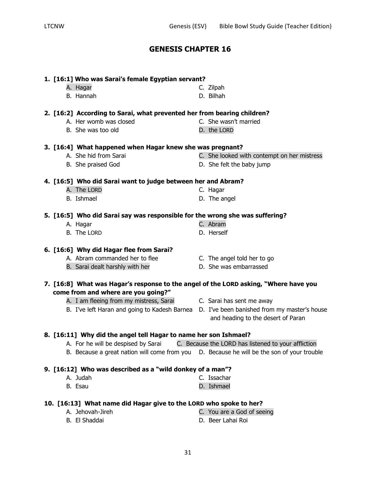# **1. [16:1] Who was Sarai's female Egyptian servant?**

- 
- **2. [16:2] According to Sarai, what prevented her from bearing children?**
	- A. Her womb was closed C. She wasn't married
	- B. She was too old D. the LORD

#### **3. [16:4] What happened when Hagar knew she was pregnant?**

- A. She hid from Sarai C. She looked with contempt on her mistress
- B. She praised God D. She felt the baby jump

# **4. [16:5] Who did Sarai want to judge between her and Abram?**

- A. The LORD C. Hagar
- B. Ishmael D. The angel

# **5. [16:5] Who did Sarai say was responsible for the wrong she was suffering?**

- A. Hagar C. Abram
- B. The LORD D. Herself

# **6. [16:6] Why did Hagar flee from Sarai?**

- A. Abram commanded her to flee C. The angel told her to go
- B. Sarai dealt harshly with her **D.** She was embarrassed
- **7. [16:8] What was Hagar's response to the angel of the LORD asking, "Where have you**

# **come from and where are you going?"**

- A. I am fleeing from my mistress, Sarai C. Sarai has sent me away
- 
- 
- B. I've left Haran and going to Kadesh Barnea D. I've been banished from my master's house and heading to the desert of Paran

# **8. [16:11] Why did the angel tell Hagar to name her son Ishmael?**

- A. For he will be despised by Sarai C. Because the LORD has listened to your affliction
- B. Because a great nation will come from you D. Because he will be the son of your trouble

# **9. [16:12] Who was described as a "wild donkey of a man"?**

- A. Judah C. Issachar
- B. Esau D. Ishmael

# **10. [16:13] What name did Hagar give to the LORD who spoke to her?**

A. Jehovah-Jireh C. You are a God of seeing B. El Shaddai D. Beer Lahai Roi

- 
- 
- 
- 
- 

- 
- 
- A. Hagar C. Zilpah B. Hannah D. Bilhah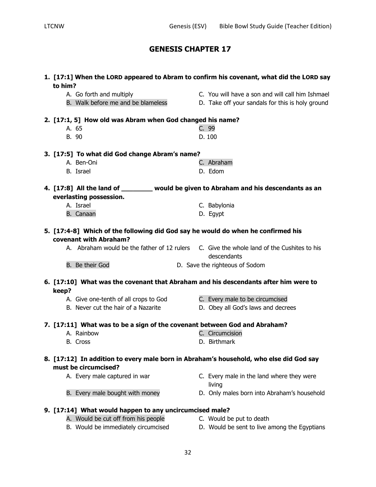| to him?                                                                      | 1. [17:1] When the LORD appeared to Abram to confirm his covenant, what did the LORD say                 |
|------------------------------------------------------------------------------|----------------------------------------------------------------------------------------------------------|
| A. Go forth and multiply<br>B. Walk before me and be blameless               | C. You will have a son and will call him Ishmael<br>D. Take off your sandals for this is holy ground     |
| 2. [17:1, 5] How old was Abram when God changed his name?                    |                                                                                                          |
| A. 65                                                                        | C. 99                                                                                                    |
| B. 90                                                                        | D. 100                                                                                                   |
| 3. [17:5] To what did God change Abram's name?                               |                                                                                                          |
| A. Ben-Oni                                                                   | C. Abraham                                                                                               |
| B. Israel                                                                    | D. Edom                                                                                                  |
|                                                                              | 4. [17:8] All the land of _________ would be given to Abraham and his descendants as an                  |
| everlasting possession.                                                      |                                                                                                          |
| A. Israel                                                                    | C. Babylonia                                                                                             |
| B. Canaan                                                                    | D. Egypt                                                                                                 |
| covenant with Abraham?                                                       | 5. [17:4-8] Which of the following did God say he would do when he confirmed his                         |
|                                                                              | A. Abraham would be the father of 12 rulers C. Give the whole land of the Cushites to his<br>descendants |
| B. Be their God                                                              | D. Save the righteous of Sodom                                                                           |
|                                                                              | 6. [17:10] What was the covenant that Abraham and his descendants after him were to                      |
| keep?                                                                        |                                                                                                          |
| A. Give one-tenth of all crops to God<br>B. Never cut the hair of a Nazarite | C. Every male to be circumcised<br>D. Obey all God's laws and decrees                                    |
|                                                                              |                                                                                                          |
| 7. [17:11] What was to be a sign of the covenant between God and Abraham?    |                                                                                                          |
| A. Rainbow                                                                   | C. Circumcision                                                                                          |
| B. Cross                                                                     | D. Birthmark                                                                                             |
| must be circumcised?                                                         | 8. [17:12] In addition to every male born in Abraham's household, who else did God say                   |
| A. Every male captured in war                                                | C. Every male in the land where they were<br>living                                                      |
| B. Every male bought with money                                              | D. Only males born into Abraham's household                                                              |
| 9. [17:14] What would happen to any uncircumcised male?                      |                                                                                                          |
| A. Would be cut off from his people                                          | C. Would be put to death                                                                                 |
| B. Would be immediately circumcised                                          | D. Would be sent to live among the Egyptians                                                             |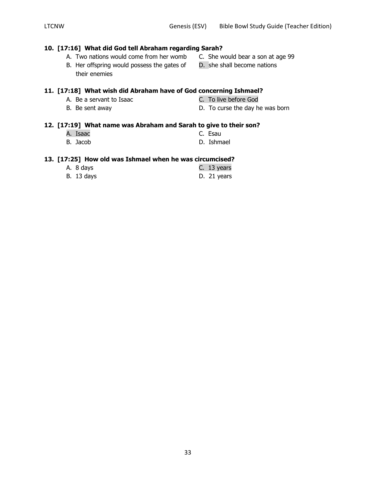## **10. [17:16] What did God tell Abraham regarding Sarah?**

- A. Two nations would come from her womb C. She would bear a son at age 99
	- B. Her offspring would possess the gates of D. she shall become nations their enemies

# **11. [17:18] What wish did Abraham have of God concerning Ishmael?**

- A. Be a servant to Isaac C. To live before God
- 
- 
- B. Be sent away **D.** To curse the day he was born

### **12. [17:19] What name was Abraham and Sarah to give to their son?**

A. Isaac C. Esau B. Jacob **D. Ishmael** 

#### **13. [17:25] How old was Ishmael when he was circumcised?**

| A. 8 days         | C. 13 years |
|-------------------|-------------|
| <b>B.</b> 13 days | D. 21 years |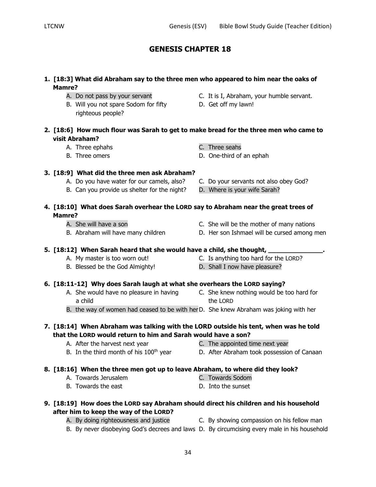## **1. [18:3] What did Abraham say to the three men who appeared to him near the oaks of Mamre?**

- 
- B. Will you not spare Sodom for fifty D. Get off my lawn! righteous people?
- A. Do not pass by your servant **C.** It is I, Abraham, your humble servant.
	-

# **2. [18:6] How much flour was Sarah to get to make bread for the three men who came to visit Abraham?**

- A. Three ephahs C. Three seahs
- B. Three omers D. One-third of an ephah
	-
- A. Do you have water for our camels, also? C. Do your servants not also obey God?
- B. Can you provide us shelter for the night? D. Where is your wife Sarah?

## **4. [18:10] What does Sarah overhear the LORD say to Abraham near the great trees of Mamre?**

- 
- 

**3. [18:9] What did the three men ask Abraham?**

- A. She will have a son C. She will be the mother of many nations
- B. Abraham will have many children **D.** Her son Ishmael will be cursed among men

## **5. [18:12] When Sarah heard that she would have a child, she thought, \_\_\_\_\_\_\_\_\_\_\_\_\_\_.**

- A. My master is too worn out! C. Is anything too hard for the LORD?
- B. Blessed be the God Almighty! D. Shall I now have pleasure?

# **6. [18:11-12] Why does Sarah laugh at what she overhears the LORD saying?**

- a child the LORD
- A. She would have no pleasure in having C. She knew nothing would be too hard for
- B. the way of women had ceased to be with herD. She knew Abraham was joking with her

# **7. [18:14] When Abraham was talking with the LORD outside his tent, when was he told that the LORD would return to him and Sarah would have a son?**

- -
- A. After the harvest next year **C.** The appointed time next year
- B. In the third month of his 100<sup>th</sup> year **D.** After Abraham took possession of Canaan

# **8. [18:16] When the three men got up to leave Abraham, to where did they look?**

- A. Towards Jerusalem C. Towards Sodom
- 
- B. Towards the east D. Into the sunset

# **9. [18:19] How does the LORD say Abraham should direct his children and his household after him to keep the way of the LORD?**

- A. By doing righteousness and justice C. By showing compassion on his fellow man
- B. By never disobeying God's decrees and laws D. By circumcising every male in his household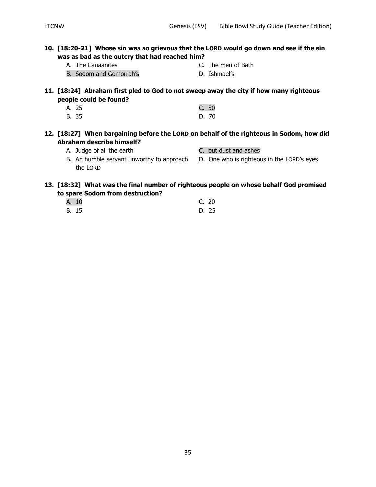- **10. [18:20-21] Whose sin was so grievous that the LORD would go down and see if the sin was as bad as the outcry that had reached him?**
	-
	- A. The Canaanites **C.** The men of Bath
	- B. Sodom and Gomorrah's **D. Ishmael's** 
		-
- **11. [18:24] Abraham first pled to God to not sweep away the city if how many righteous people could be found?**
	- A. 25 C. 50 B. 35 D. 70
- **12. [18:27] When bargaining before the LORD on behalf of the righteous in Sodom, how did Abraham describe himself?**
	- A. Judge of all the earth C. but dust and ashes
- - B. An humble servant unworthy to approach D. One who is righteous in the LORD's eyes the LORD

## **13. [18:32] What was the final number of righteous people on whose behalf God promised to spare Sodom from destruction?**

A. 10 C. 20 B. 15 D. 25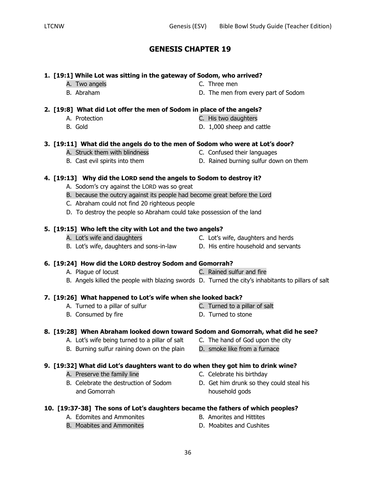**10. [19:37-38] The sons of Lot's daughters became the fathers of which peoples?**

- 
- 36

# **GENESIS CHAPTER 19**

# **1. [19:1] While Lot was sitting in the gateway of Sodom, who arrived?**

- 
- A. Two angels **C.** Three men
- B. Abraham D. The men from every part of Sodom

# **2. [19:8] What did Lot offer the men of Sodom in place of the angels?**

- 
- 
- A. Protection C. His two daughters
- B. Gold D. 1,000 sheep and cattle

## **3. [19:11] What did the angels do to the men of Sodom who were at Lot's door?**

- A. Struck them with blindness C. Confused their languages
- B. Cast evil spirits into them **D. Rained burning sulfur down on them** 
	-

# **4. [19:13] Why did the LORD send the angels to Sodom to destroy it?**

- A. Sodom's cry against the LORD was so great
- B. because the outcry against its people had become great before the Lord
- C. Abraham could not find 20 righteous people
- D. To destroy the people so Abraham could take possession of the land

# **5. [19:15] Who left the city with Lot and the two angels?**

- A. Lot's wife and daughters C. Lot's wife, daughters and herds
- B. Lot's wife, daughters and sons-in-law D. His entire household and servants
	-
- A. Plague of locust C. Rained sulfur and fire
- B. Angels killed the people with blazing swords D. Turned the city's inhabitants to pillars of salt

# **7. [19:26] What happened to Lot's wife when she looked back?**

- A. Turned to a pillar of sulfur example of the C. Turned to a pillar of salt
- B. Consumed by fire **D.** Turned to stone

# **8. [19:28] When Abraham looked down toward Sodom and Gomorrah, what did he see?**

- A. Lot's wife being turned to a pillar of salt C. The hand of God upon the city
- B. Burning sulfur raining down on the plain D. smoke like from a furnace

# **9. [19:32] What did Lot's daughters want to do when they got him to drink wine?**

- A. Preserve the family line example and the C. Celebrate his birthday
- and Gomorrah household gods
- -
	-
	-
	-
- B. Celebrate the destruction of Sodom B. Get him drunk so they could steal his
- A. Edomites and Ammonites **B.** Amorites and Hittites B. Moabites and Ammonites **D. Moabites and Cushites** 
	-
- 
- **6. [19:24] How did the LORD destroy Sodom and Gomorrah?**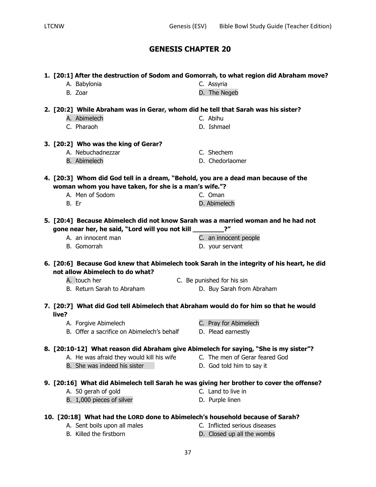| D. The Negeb<br>B. Zoar<br>2. [20:2] While Abraham was in Gerar, whom did he tell that Sarah was his sister?<br>A. Abimelech<br>C. Abihu<br>C. Pharaoh<br>D. Ishmael<br>A. Nebuchadnezzar<br>C. Shechem<br>D. Chedorlaomer<br><b>B.</b> Abimelech<br>4. [20:3] Whom did God tell in a dream, "Behold, you are a dead man because of the<br>woman whom you have taken, for she is a man's wife."?<br>A. Men of Sodom<br>C. Oman<br>D. Abimelech<br>B. Er<br>5. [20:4] Because Abimelech did not know Sarah was a married woman and he had not<br>$2^{\prime\prime}$<br>gone near her, he said, "Lord will you not kill<br>A. an innocent man<br>C. an innocent people<br>B. Gomorrah<br>D. your servant<br>6. [20:6] Because God knew that Abimelech took Sarah in the integrity of his heart, he did<br>A. touch her<br>C. Be punished for his sin<br>B. Return Sarah to Abraham<br>D. Buy Sarah from Abraham<br>7. [20:7] What did God tell Abimelech that Abraham would do for him so that he would<br>A. Forgive Abimelech<br>C. Pray for Abimelech<br>B. Offer a sacrifice on Abimelech's behalf<br>D. Plead earnestly | A. Babylonia                         | 1. [20:1] After the destruction of Sodom and Gomorrah, to what region did Abraham move?<br>C. Assyria |
|----------------------------------------------------------------------------------------------------------------------------------------------------------------------------------------------------------------------------------------------------------------------------------------------------------------------------------------------------------------------------------------------------------------------------------------------------------------------------------------------------------------------------------------------------------------------------------------------------------------------------------------------------------------------------------------------------------------------------------------------------------------------------------------------------------------------------------------------------------------------------------------------------------------------------------------------------------------------------------------------------------------------------------------------------------------------------------------------------------------------------|--------------------------------------|-------------------------------------------------------------------------------------------------------|
|                                                                                                                                                                                                                                                                                                                                                                                                                                                                                                                                                                                                                                                                                                                                                                                                                                                                                                                                                                                                                                                                                                                            |                                      |                                                                                                       |
|                                                                                                                                                                                                                                                                                                                                                                                                                                                                                                                                                                                                                                                                                                                                                                                                                                                                                                                                                                                                                                                                                                                            |                                      |                                                                                                       |
|                                                                                                                                                                                                                                                                                                                                                                                                                                                                                                                                                                                                                                                                                                                                                                                                                                                                                                                                                                                                                                                                                                                            |                                      |                                                                                                       |
|                                                                                                                                                                                                                                                                                                                                                                                                                                                                                                                                                                                                                                                                                                                                                                                                                                                                                                                                                                                                                                                                                                                            |                                      |                                                                                                       |
|                                                                                                                                                                                                                                                                                                                                                                                                                                                                                                                                                                                                                                                                                                                                                                                                                                                                                                                                                                                                                                                                                                                            | 3. [20:2] Who was the king of Gerar? |                                                                                                       |
|                                                                                                                                                                                                                                                                                                                                                                                                                                                                                                                                                                                                                                                                                                                                                                                                                                                                                                                                                                                                                                                                                                                            |                                      |                                                                                                       |
|                                                                                                                                                                                                                                                                                                                                                                                                                                                                                                                                                                                                                                                                                                                                                                                                                                                                                                                                                                                                                                                                                                                            |                                      |                                                                                                       |
|                                                                                                                                                                                                                                                                                                                                                                                                                                                                                                                                                                                                                                                                                                                                                                                                                                                                                                                                                                                                                                                                                                                            |                                      |                                                                                                       |
|                                                                                                                                                                                                                                                                                                                                                                                                                                                                                                                                                                                                                                                                                                                                                                                                                                                                                                                                                                                                                                                                                                                            |                                      |                                                                                                       |
|                                                                                                                                                                                                                                                                                                                                                                                                                                                                                                                                                                                                                                                                                                                                                                                                                                                                                                                                                                                                                                                                                                                            |                                      |                                                                                                       |
|                                                                                                                                                                                                                                                                                                                                                                                                                                                                                                                                                                                                                                                                                                                                                                                                                                                                                                                                                                                                                                                                                                                            |                                      |                                                                                                       |
|                                                                                                                                                                                                                                                                                                                                                                                                                                                                                                                                                                                                                                                                                                                                                                                                                                                                                                                                                                                                                                                                                                                            |                                      |                                                                                                       |
|                                                                                                                                                                                                                                                                                                                                                                                                                                                                                                                                                                                                                                                                                                                                                                                                                                                                                                                                                                                                                                                                                                                            |                                      |                                                                                                       |
|                                                                                                                                                                                                                                                                                                                                                                                                                                                                                                                                                                                                                                                                                                                                                                                                                                                                                                                                                                                                                                                                                                                            |                                      |                                                                                                       |
|                                                                                                                                                                                                                                                                                                                                                                                                                                                                                                                                                                                                                                                                                                                                                                                                                                                                                                                                                                                                                                                                                                                            |                                      |                                                                                                       |
|                                                                                                                                                                                                                                                                                                                                                                                                                                                                                                                                                                                                                                                                                                                                                                                                                                                                                                                                                                                                                                                                                                                            |                                      |                                                                                                       |
|                                                                                                                                                                                                                                                                                                                                                                                                                                                                                                                                                                                                                                                                                                                                                                                                                                                                                                                                                                                                                                                                                                                            | not allow Abimelech to do what?      |                                                                                                       |
|                                                                                                                                                                                                                                                                                                                                                                                                                                                                                                                                                                                                                                                                                                                                                                                                                                                                                                                                                                                                                                                                                                                            |                                      |                                                                                                       |
|                                                                                                                                                                                                                                                                                                                                                                                                                                                                                                                                                                                                                                                                                                                                                                                                                                                                                                                                                                                                                                                                                                                            |                                      |                                                                                                       |
|                                                                                                                                                                                                                                                                                                                                                                                                                                                                                                                                                                                                                                                                                                                                                                                                                                                                                                                                                                                                                                                                                                                            | live?                                |                                                                                                       |
|                                                                                                                                                                                                                                                                                                                                                                                                                                                                                                                                                                                                                                                                                                                                                                                                                                                                                                                                                                                                                                                                                                                            |                                      |                                                                                                       |
|                                                                                                                                                                                                                                                                                                                                                                                                                                                                                                                                                                                                                                                                                                                                                                                                                                                                                                                                                                                                                                                                                                                            |                                      |                                                                                                       |
| 8. [20:10-12] What reason did Abraham give Abimelech for saying, "She is my sister"?                                                                                                                                                                                                                                                                                                                                                                                                                                                                                                                                                                                                                                                                                                                                                                                                                                                                                                                                                                                                                                       |                                      |                                                                                                       |
| C. The men of Gerar feared God                                                                                                                                                                                                                                                                                                                                                                                                                                                                                                                                                                                                                                                                                                                                                                                                                                                                                                                                                                                                                                                                                             |                                      |                                                                                                       |
| A. He was afraid they would kill his wife<br>B. She was indeed his sister<br>D. God told him to say it                                                                                                                                                                                                                                                                                                                                                                                                                                                                                                                                                                                                                                                                                                                                                                                                                                                                                                                                                                                                                     |                                      |                                                                                                       |
| 9. [20:16] What did Abimelech tell Sarah he was giving her brother to cover the offense?                                                                                                                                                                                                                                                                                                                                                                                                                                                                                                                                                                                                                                                                                                                                                                                                                                                                                                                                                                                                                                   |                                      |                                                                                                       |
| C. Land to live in                                                                                                                                                                                                                                                                                                                                                                                                                                                                                                                                                                                                                                                                                                                                                                                                                                                                                                                                                                                                                                                                                                         |                                      |                                                                                                       |
| A. 50 gerah of gold<br>B. 1,000 pieces of silver<br>D. Purple linen                                                                                                                                                                                                                                                                                                                                                                                                                                                                                                                                                                                                                                                                                                                                                                                                                                                                                                                                                                                                                                                        |                                      |                                                                                                       |
| 10. [20:18] What had the LORD done to Abimelech's household because of Sarah?                                                                                                                                                                                                                                                                                                                                                                                                                                                                                                                                                                                                                                                                                                                                                                                                                                                                                                                                                                                                                                              |                                      |                                                                                                       |
| C. Inflicted serious diseases                                                                                                                                                                                                                                                                                                                                                                                                                                                                                                                                                                                                                                                                                                                                                                                                                                                                                                                                                                                                                                                                                              |                                      |                                                                                                       |
|                                                                                                                                                                                                                                                                                                                                                                                                                                                                                                                                                                                                                                                                                                                                                                                                                                                                                                                                                                                                                                                                                                                            |                                      |                                                                                                       |
|                                                                                                                                                                                                                                                                                                                                                                                                                                                                                                                                                                                                                                                                                                                                                                                                                                                                                                                                                                                                                                                                                                                            |                                      |                                                                                                       |
|                                                                                                                                                                                                                                                                                                                                                                                                                                                                                                                                                                                                                                                                                                                                                                                                                                                                                                                                                                                                                                                                                                                            |                                      |                                                                                                       |
|                                                                                                                                                                                                                                                                                                                                                                                                                                                                                                                                                                                                                                                                                                                                                                                                                                                                                                                                                                                                                                                                                                                            |                                      |                                                                                                       |
|                                                                                                                                                                                                                                                                                                                                                                                                                                                                                                                                                                                                                                                                                                                                                                                                                                                                                                                                                                                                                                                                                                                            |                                      |                                                                                                       |
|                                                                                                                                                                                                                                                                                                                                                                                                                                                                                                                                                                                                                                                                                                                                                                                                                                                                                                                                                                                                                                                                                                                            |                                      |                                                                                                       |
|                                                                                                                                                                                                                                                                                                                                                                                                                                                                                                                                                                                                                                                                                                                                                                                                                                                                                                                                                                                                                                                                                                                            |                                      |                                                                                                       |
|                                                                                                                                                                                                                                                                                                                                                                                                                                                                                                                                                                                                                                                                                                                                                                                                                                                                                                                                                                                                                                                                                                                            |                                      |                                                                                                       |
|                                                                                                                                                                                                                                                                                                                                                                                                                                                                                                                                                                                                                                                                                                                                                                                                                                                                                                                                                                                                                                                                                                                            |                                      |                                                                                                       |
|                                                                                                                                                                                                                                                                                                                                                                                                                                                                                                                                                                                                                                                                                                                                                                                                                                                                                                                                                                                                                                                                                                                            |                                      |                                                                                                       |
| A. Sent boils upon all males                                                                                                                                                                                                                                                                                                                                                                                                                                                                                                                                                                                                                                                                                                                                                                                                                                                                                                                                                                                                                                                                                               |                                      |                                                                                                       |
| B. Killed the firstborn<br>D. Closed up all the wombs                                                                                                                                                                                                                                                                                                                                                                                                                                                                                                                                                                                                                                                                                                                                                                                                                                                                                                                                                                                                                                                                      |                                      |                                                                                                       |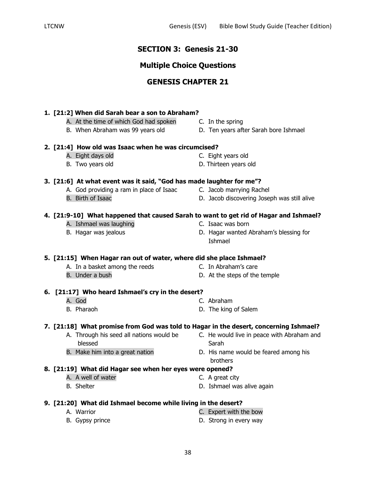## **SECTION 3: Genesis 21-30**

## **Multiple Choice Questions**

## **GENESIS CHAPTER 21**

### **1. [21:2] When did Sarah bear a son to Abraham?**

- A. At the time of which God had spoken C. In the spring
- 
- **2. [21:4] How old was Isaac when he was circumcised?**
	- A. Eight days old C. Eight years old
	-

#### **3. [21:6] At what event was it said, "God has made laughter for me"?**

- A. God providing a ram in place of Isaac C. Jacob marrying Rachel
- 
- 
- B. Birth of Isaac **D. Jacob discovering Joseph was still alive**

#### **4. [21:9-10] What happened that caused Sarah to want to get rid of Hagar and Ishmael?**

- A. Ishmael was laughing example and the C. Isaac was born
- 
- 
- B. Hagar was jealous D. Hagar wanted Abraham's blessing for Ishmael

#### **5. [21:15] When Hagar ran out of water, where did she place Ishmael?**

- A. In a basket among the reeds C. In Abraham's care
- B. Under a bush D. At the steps of the temple
- -

#### **6. [21:17] Who heard Ishmael's cry in the desert?**

- 
- A. God C. Abraham
- B. Pharaoh D. The king of Salem

#### **7. [21:18] What promise from God was told to Hagar in the desert, concerning Ishmael?**

- A. Through his seed all nations would be C. He would live in peace with Abraham and blessed Sarah
- B. Make him into a great nation **D.** His name would be feared among his brothers

#### **8. [21:19] What did Hagar see when her eyes were opened?**

- A. A well of water **C.** A great city
- B. Shelter **D.** Ishmael was alive again

#### **9. [21:20] What did Ishmael become while living in the desert?**

- 
- A. Warrior C. Expert with the bow
- B. Gypsy prince **D.** Strong in every way
	-
- 
- B. When Abraham was 99 years old D. Ten years after Sarah bore Ishmael
- B. Two years old D. Thirteen years old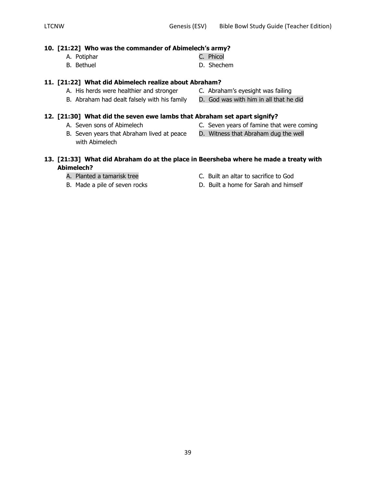#### **10. [21:22] Who was the commander of Abimelech's army?**

- A. Potiphar C. Phicol
- B. Bethuel **B.** Shechem

## **11. [21:22] What did Abimelech realize about Abraham?**

- A. His herds were healthier and stronger C. Abraham's eyesight was failing
- B. Abraham had dealt falsely with his family D. God was with him in all that he did

### **12. [21:30] What did the seven ewe lambs that Abraham set apart signify?**

- 
- B. Seven years that Abraham lived at peace D. Witness that Abraham dug the well with Abimelech
- A. Seven sons of Abimelech C. Seven years of famine that were coming
	-

### **13. [21:33] What did Abraham do at the place in Beersheba where he made a treaty with Abimelech?**

- 
- 
- A. Planted a tamarisk tree **C.** Built an altar to sacrifice to God
- B. Made a pile of seven rocks D. Built a home for Sarah and himself
- 
- 
- 
-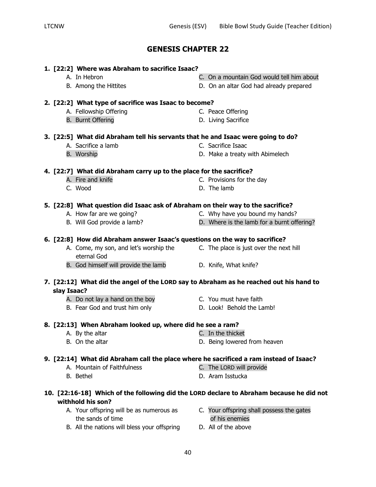## **1. [22:2] Where was Abraham to sacrifice Isaac?**

- 
- 
- A. In Hebron C. On a mountain God would tell him about
- B. Among the Hittites D. On an altar God had already prepared

#### **2. [22:2] What type of sacrifice was Isaac to become?**

- A. Fellowship Offering entitled a state of the C. Peace Offering
- B. Burnt Offering **B. Community D.** Living Sacrifice
- **3. [22:5] What did Abraham tell his servants that he and Isaac were going to do?**
	-
	-

## **4. [22:7] What did Abraham carry up to the place for the sacrifice?**

- A. Fire and knife **C.** Provisions for the day
- C. Wood D. The lamb

#### **5. [22:8] What question did Isaac ask of Abraham on their way to the sacrifice?**

- A. How far are we going? The C. Why have you bound my hands?
- B. Will God provide a lamb? D. Where is the lamb for a burnt offering?

#### **6. [22:8] How did Abraham answer Isaac's questions on the way to sacrifice?**

- A. Come, my son, and let's worship the C. The place is just over the next hill eternal God
- B. God himself will provide the lamb D. Knife, What knife?

#### **7. [22:12] What did the angel of the LORD say to Abraham as he reached out his hand to slay Isaac?**

- A. Do not lay a hand on the boy **C.** You must have faith
- B. Fear God and trust him only **D. Look!** Behold the Lamb!

## **8. [22:13] When Abraham looked up, where did he see a ram?**

- A. By the altar **C.** In the thicket
- B. On the altar **D. Being lowered from heaven**

## **9. [22:14] What did Abraham call the place where he sacrificed a ram instead of Isaac?**

- A. Mountain of Faithfulness C. The LORD will provide
- 
- B. Bethel **B. Bethel D. Aram Isstucka**

## **10. [22:16-18] Which of the following did the LORD declare to Abraham because he did not withhold his son?**

- the sands of time of his enemies
- A. Your offspring will be as numerous as C. Your offspring shall possess the gates
- B. All the nations will bless your offspring D. All of the above
- 
- 
- 
- 
- 
- 
- 
- 
- A. Sacrifice a lamb C. Sacrifice Isaac
- B. Worship **D. Make a treaty with Abimelech**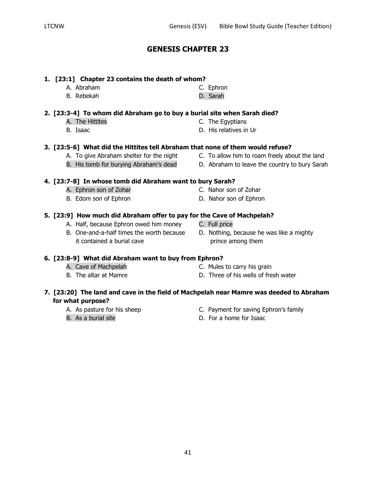### **1. [23:1] Chapter 23 contains the death of whom?**

A. Abraham C. Ephron B. Rebekah D. Sarah

### **2. [23:3-4] To whom did Abraham go to buy a burial site when Sarah died?**

- A. The Hittites **C.** The Egyptians
- 
- B. Isaac D. His relatives in Ur

### **3. [23:5-6] What did the Hittites tell Abraham that none of them would refuse?**

- A. To give Abraham shelter for the night C. To allow him to roam freely about the land
- B. His tomb for burying Abraham's dead D. Abraham to leave the country to bury Sarah

## **4. [23:7-8] In whose tomb did Abraham want to bury Sarah?**

- A. Ephron son of Zohar C. Nahor son of Zohar
- 
- B. One-and-a-half times the worth because D. Nothing, because he was like a mighty it contained a burial cave prince among them

#### **6. [23:8-9] What did Abraham want to buy from Ephron?**

- 
- 
- A. Cave of Machpelah C. Mules to carry his grain
- B. The altar at Mamre The Society Communist Communist Communist Communist Communist Communist Communist Communist Communist Communist Communist Communist Communist Communist Communist Communist Communist Communist Communis

### **7. [23:20] The land and cave in the field of Machpelah near Mamre was deeded to Abraham for what purpose?**

- 
- 
- A. As pasture for his sheep Equation C. Payment for saving Ephron's family
- B. As a burial site **B.** Consumer State B. For a home for Isaac

- 
- 
- 
- 
- B. Edom son of Ephron D. Nahor son of Ephron
	-
- **5. [23:9] How much did Abraham offer to pay for the Cave of Machpelah?** A. Half, because Ephron owed him money C. Full price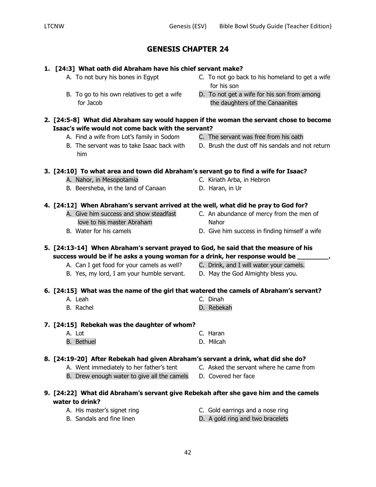## **1. [24:3] What oath did Abraham have his chief servant make?**

- A. To not bury his bones in Egypt C. To not go back to his homeland to get a wife
- for Jacob **the daughters of the Canaanites**
- **2. [24:5-8] What did Abraham say would happen if the woman the servant chose to become Isaac's wife would not come back with the servant?**
	- A. Find a wife from Lot's family in Sodom C. The servant was free from his oath
	- him

**3. [24:10] To what area and town did Abraham's servant go to find a wife for Isaac?**

- A. Nahor, in Mesopotamia **C. Kiriath Arba, in Hebron**
- B. Beersheba, in the land of Canaan D. Haran, in Ur

### **4. [24:12] When Abraham's servant arrived at the well, what did he pray to God for?**

- love to his master Abraham Nahor
- 
- A. Give him success and show steadfast **C.** An abundance of mercy from the men of
- B. Water for his camels **Example 20** D. Give him success in finding himself a wife

## **5. [24:13-14] When Abraham's servant prayed to God, he said that the measure of his success would be if he asks a young woman for a drink, her response would be \_\_\_\_\_\_\_\_.**

- A. Can I get food for your camels as well? C. Drink, and I will water your camels.
- B. Yes, my lord, I am your humble servant. D. May the God Almighty bless you.
- 

## **6. [24:15] What was the name of the girl that watered the camels of Abraham's servant?**

- A. Leah C. Dinah
- B. Rachel **B. Rebekah**

## **7. [24:15] Rebekah was the daughter of whom?**

A. Lot C. Haran B. Bethuel **B. Bethuel D. Milcah** 

## **8. [24:19-20] After Rebekah had given Abraham's servant a drink, what did she do?**

- A. Went immediately to her father's tent C. Asked the servant where he came from
- B. Drew enough water to give all the camels D. Covered her face

## **9. [24:22] What did Abraham's servant give Rebekah after she gave him and the camels water to drink?**

- 
- A. His master's signet ring entitled a control C. Gold earrings and a nose ring
- B. Sandals and fine linen **D.** A gold ring and two bracelets
- for his son B. To go to his own relatives to get a wife D. To not get a wife for his son from among
	-
	-
- B. The servant was to take Isaac back with D. Brush the dust off his sandals and not return

- 
- 
-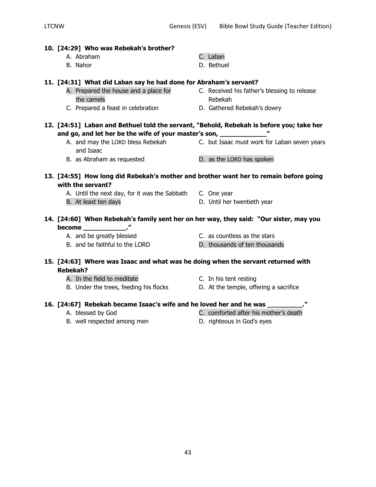| 10. [24:29] Who was Rebekah's brother?                                                   |                                                                                |
|------------------------------------------------------------------------------------------|--------------------------------------------------------------------------------|
| A. Abraham                                                                               | C. Laban                                                                       |
| B. Nahor                                                                                 | D. Bethuel                                                                     |
| 11. [24:31] What did Laban say he had done for Abraham's servant?                        |                                                                                |
| A. Prepared the house and a place for                                                    | C. Received his father's blessing to release                                   |
| the camels                                                                               | Rebekah                                                                        |
| C. Prepared a feast in celebration                                                       | D. Gathered Rebekah's dowry                                                    |
| 12. [24:51] Laban and Bethuel told the servant, "Behold, Rebekah is before you; take her |                                                                                |
| and go, and let her be the wife of your master's son, _____________                      |                                                                                |
|                                                                                          | A. and may the LORD bless Rebekah C. but Isaac must work for Laban seven years |
| and Isaac                                                                                |                                                                                |
| B. as Abraham as requested                                                               | D. as the LORD has spoken                                                      |
| 13. [24:55] How long did Rebekah's mother and brother want her to remain before going    |                                                                                |
| with the servant?                                                                        |                                                                                |
| A. Until the next day, for it was the Sabbath C. One year                                |                                                                                |
| B. At least ten days                                                                     | D. Until her twentieth year                                                    |
| 14. [24:60] When Rebekah's family sent her on her way, they said: "Our sister, may you   |                                                                                |
|                                                                                          |                                                                                |
| A. and be greatly blessed                                                                | C. as countless as the stars                                                   |
| B. and be faithful to the LORD                                                           | D. thousands of ten thousands                                                  |
| 15. [24:63] Where was Isaac and what was he doing when the servant returned with         |                                                                                |
| <b>Rebekah?</b>                                                                          |                                                                                |
| A. In the field to meditate                                                              | C. In his tent resting                                                         |
| B. Under the trees, feeding his flocks                                                   | D. At the temple, offering a sacrifice                                         |
| 16. [24:67] Rebekah became Isaac's wife and he loved her and he was _______              |                                                                                |
| A. blessed by God                                                                        | C. comforted after his mother's death                                          |

- 
- B. well respected among men b. righteous in God's eyes
-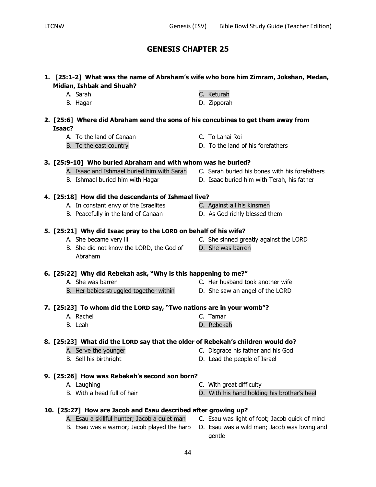44

## **GENESIS CHAPTER 25**

## **1. [25:1-2] What was the name of Abraham's wife who bore him Zimram, Jokshan, Medan, Midian, Ishbak and Shuah?**

| A. Sarah | C. Keturah |
|----------|------------|
|          |            |

- B. Hagar D. Zipporah
- **2. [25:6] Where did Abraham send the sons of his concubines to get them away from Isaac?**
	- A. To the land of Canaan C. To Lahai Roi
	-

## **3. [25:9-10] Who buried Abraham and with whom was he buried?**

- 
- 

## **4. [25:18] How did the descendants of Ishmael live?**

- A. In constant envy of the Israelites C. Against all his kinsmen
- B. Peacefully in the land of Canaan D. As God richly blessed them

## **5. [25:21] Why did Isaac pray to the LORD on behalf of his wife?**

- 
- B. She did not know the LORD, the God of D. She was barren Abraham

## **6. [25:22] Why did Rebekah ask, "Why is this happening to me?"**

- A. She was barren C. Her husband took another wife
- B. Her babies struggled together within D. She saw an angel of the LORD
	-
- **7. [25:23] To whom did the LORD say, "Two nations are in your womb"?**
	- A. Rachel C. Tamar B. Leah D. Rebekah

## **8. [25:23] What did the LORD say that the older of Rebekah's children would do?**

- 
- 
- 
- **9. [25:26] How was Rebekah's second son born?**
	- -
- **10. [25:27] How are Jacob and Esau described after growing up?** A. Esau a skillful hunter; Jacob a quiet man C. Esau was light of foot; Jacob quick of mind
- A. Serve the younger C. Disgrace his father and his God
- B. Sell his birthright D. Lead the people of Israel
	-
- A. Laughing **A.** Laughing **C.** With great difficulty

gentle

B. With a head full of hair **D.** With his hand holding his brother's heel

- 
- B. To the east country **Example 20** and D. To the land of his forefathers
- A. Isaac and Ishmael buried him with Sarah C. Sarah buried his bones with his forefathers
- B. Ishmael buried him with Hagar **D. Isaac buried him with Terah, his father** 
	-
	-
- A. She became very ill **C.** She sinned greatly against the LORD
	-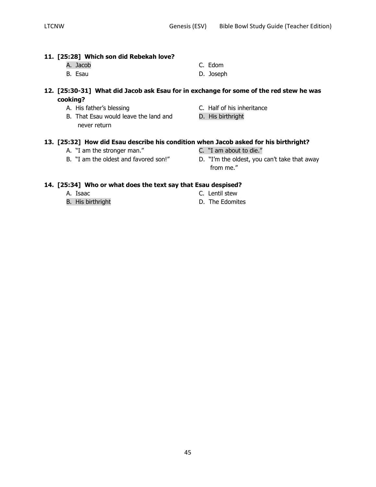## **11. [25:28] Which son did Rebekah love?**

- A. Jacob C. Edom
- B. Esau D. Joseph
- -

### **12. [25:30-31] What did Jacob ask Esau for in exchange for some of the red stew he was cooking?**

- 
- B. That Esau would leave the land and D. His birthright never return
- A. His father's blessing C. Half of his inheritance
	-

## **13. [25:32] How did Esau describe his condition when Jacob asked for his birthright?**

- A. "I am the stronger man." C. "I am about to die."
- 
- 
- B. "I am the oldest and favored son!" D. "I'm the oldest, you can't take that away from me."

## **14. [25:34] Who or what does the text say that Esau despised?**

- 
- 
- A. Isaac C. Lentil stew
- B. His birthright **B.** The Edomites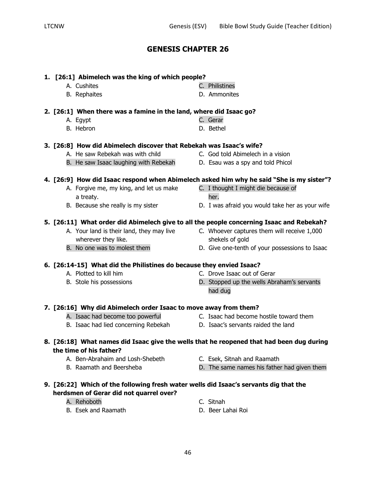# B. Rephaites **B. Ammonites 2. [26:1] When there was a famine in the land, where did Isaac go?** A. Egypt C. Gerar B. Hebron **D. Bethel** A. He saw Rebekah was with child C. God told Abimelech in a vision B. He saw Isaac laughing with Rebekah D. Esau was a spy and told Phicol A. Forgive me, my king, and let us make C. I thought I might die because of a treaty. B. Because she really is my sister **D.** I was afraid you would take her as your wife **5. [26:11] What order did Abimelech give to all the people concerning Isaac and Rebekah?** A. Your land is their land, they may live C. Whoever captures them will receive 1,000 wherever they like. shekels of gold B. No one was to molest them  $D.$  Give one-tenth of your possessions to Isaac A. Plotted to kill him C. Drove Isaac out of Gerar B. Stole his possessions D. Stopped up the wells Abraham's servants had dug A. Isaac had become too powerful **C.** Isaac had become hostile toward them B. Isaac had lied concerning Rebekah D. Isaac's servants raided the land A. Ben-Abrahaim and Losh-Shebeth C. Esek, Sitnah and Raamath B. Raamath and Beersheba **D.** D. The same names his father had given them A. Rehoboth C. Sitnah B. Esek and Raamath D. Beer Lahai Roi

A. Cushites **C. Philistines** 

#### **3. [26:8] How did Abimelech discover that Rebekah was Isaac's wife?**

**1. [26:1] Abimelech was the king of which people?**

## **4. [26:9] How did Isaac respond when Abimelech asked him why he said "She is my sister"?**

- -
	-

## **6. [26:14-15] What did the Philistines do because they envied Isaac?**

- 
- 
- 

## **7. [26:16] Why did Abimelech order Isaac to move away from them?**

- **8. [26:18] What names did Isaac give the wells that he reopened that had been dug during the time of his father?**
- **9. [26:22] Which of the following fresh water wells did Isaac's servants dig that the herdsmen of Gerar did not quarrel over?**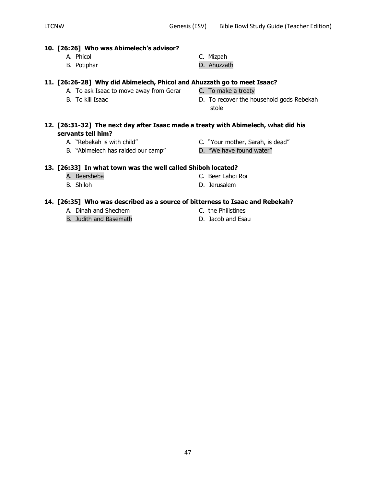#### **10. [26:26] Who was Abimelech's advisor?**

- A. Phicol C. Mizpah
- B. Potiphar **B. Ahuzzath**

### **11. [26:26-28] Why did Abimelech, Phicol and Ahuzzath go to meet Isaac?**

- A. To ask Isaac to move away from Gerar C. To make a treaty
- 
- 
- 

- 
- B. To kill Isaac **B.** To recover the household gods Rebekah stole

## **12. [26:31-32] The next day after Isaac made a treaty with Abimelech, what did his servants tell him?**

- 
- B. "Abimelech has raided our camp" D. "We have found water"
- A. "Rebekah is with child" C. "Your mother, Sarah, is dead"
	-

## **13. [26:33] In what town was the well called Shiboh located?**

- A. Beersheba C. Beer Lahoi Roi
- B. Shiloh **D. Jerusalem**

## **14. [26:35] Who was described as a source of bitterness to Isaac and Rebekah?**

- A. Dinah and Shechem C. the Philistines
- B. Judith and Basemath D. Jacob and Esau
- 
-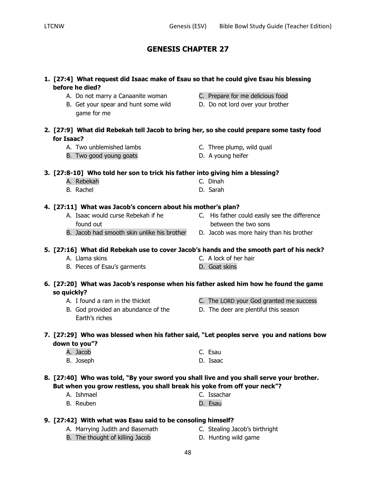**1. [27:4] What request did Isaac make of Esau so that he could give Esau his blessing** 

A. Do not marry a Canaanite woman C. Prepare for me delicious food B. Get your spear and hunt some wild D. Do not lord over your brother

| 2. [27:9] What did Rebekah tell Jacob to bring her, so she could prepare some tasty food |                                                                               |  |                                                                                          |
|------------------------------------------------------------------------------------------|-------------------------------------------------------------------------------|--|------------------------------------------------------------------------------------------|
| for Isaac?                                                                               |                                                                               |  |                                                                                          |
| A. Two unblemished lambs                                                                 |                                                                               |  | C. Three plump, wild quail                                                               |
| B. Two good young goats                                                                  |                                                                               |  | D. A young heifer                                                                        |
|                                                                                          | 3. [27:8-10] Who told her son to trick his father into giving him a blessing? |  |                                                                                          |
| A. Rebekah                                                                               |                                                                               |  | C. Dinah                                                                                 |
| B. Rachel                                                                                |                                                                               |  | D. Sarah                                                                                 |
|                                                                                          | 4. [27:11] What was Jacob's concern about his mother's plan?                  |  |                                                                                          |
|                                                                                          | A. Isaac would curse Rebekah if he                                            |  | C. His father could easily see the difference                                            |
| found out                                                                                |                                                                               |  | between the two sons                                                                     |
|                                                                                          | B. Jacob had smooth skin unlike his brother                                   |  | D. Jacob was more hairy than his brother                                                 |
|                                                                                          |                                                                               |  | 5. [27:16] What did Rebekah use to cover Jacob's hands and the smooth part of his neck?  |
| A. Llama skins                                                                           |                                                                               |  | C. A lock of her hair                                                                    |
| B. Pieces of Esau's garments                                                             |                                                                               |  | D. Goat skins                                                                            |
|                                                                                          |                                                                               |  |                                                                                          |
| so quickly?                                                                              |                                                                               |  | 6. [27:20] What was Jacob's response when his father asked him how he found the game     |
| A. I found a ram in the thicket                                                          |                                                                               |  | C. The LORD your God granted me success                                                  |
|                                                                                          | B. God provided an abundance of the                                           |  | D. The deer are plentiful this season                                                    |
| Earth's riches                                                                           |                                                                               |  |                                                                                          |
|                                                                                          |                                                                               |  | 7. [27:29] Who was blessed when his father said, "Let peoples serve you and nations bow  |
| down to you"?                                                                            |                                                                               |  |                                                                                          |
| A. Jacob                                                                                 |                                                                               |  | C. Esau                                                                                  |
|                                                                                          |                                                                               |  | D. Isaac                                                                                 |
| B. Joseph                                                                                |                                                                               |  |                                                                                          |
|                                                                                          |                                                                               |  | 8. [27:40] Who was told, "By your sword you shall live and you shall serve your brother. |
|                                                                                          |                                                                               |  | But when you grow restless, you shall break his yoke from off your neck"?                |
| A. Ishmael                                                                               |                                                                               |  | C. Issachar                                                                              |
| B. Reuben                                                                                |                                                                               |  | D. Esau                                                                                  |
|                                                                                          | 9. [27:42] With what was Esau said to be consoling himself?                   |  |                                                                                          |

- A. Marrying Judith and Basemath C. Stealing Jacob's birthright
- B. The thought of killing Jacob **D.** Hunting wild game
	-

**before he died?**

game for me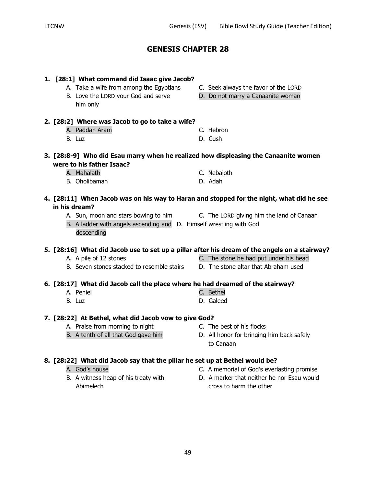| 1. [28:1] What command did Isaac give Jacob?                                                              |                                            |
|-----------------------------------------------------------------------------------------------------------|--------------------------------------------|
| A. Take a wife from among the Egyptians                                                                   | C. Seek always the favor of the LORD       |
| B. Love the LORD your God and serve                                                                       | D. Do not marry a Canaanite woman          |
| him only                                                                                                  |                                            |
| 2. [28:2] Where was Jacob to go to take a wife?                                                           |                                            |
| A. Paddan Aram                                                                                            | C. Hebron                                  |
| B. Luz                                                                                                    | D. Cush                                    |
|                                                                                                           |                                            |
| 3. [28:8-9] Who did Esau marry when he realized how displeasing the Canaanite women                       |                                            |
| were to his father Isaac?                                                                                 |                                            |
| A. Mahalath                                                                                               | C. Nebaioth                                |
| B. Oholibamah                                                                                             | D. Adah                                    |
|                                                                                                           |                                            |
| 4. [28:11] When Jacob was on his way to Haran and stopped for the night, what did he see<br>in his dream? |                                            |
| A. Sun, moon and stars bowing to him                                                                      | C. The LORD giving him the land of Canaan  |
| B. A ladder with angels ascending and D. Himself wrestling with God                                       |                                            |
| descending                                                                                                |                                            |
|                                                                                                           |                                            |
| 5. [28:16] What did Jacob use to set up a pillar after his dream of the angels on a stairway?             |                                            |
| A. A pile of 12 stones                                                                                    | C. The stone he had put under his head     |
| B. Seven stones stacked to resemble stairs                                                                | D. The stone altar that Abraham used       |
| 6. [28:17] What did Jacob call the place where he had dreamed of the stairway?                            |                                            |
| A. Peniel                                                                                                 | C. Bethel                                  |
| B. Luz                                                                                                    | D. Galeed                                  |
|                                                                                                           |                                            |
| 7. [28:22] At Bethel, what did Jacob vow to give God?                                                     |                                            |
| A. Praise from morning to night                                                                           | C. The best of his flocks                  |
| B. A tenth of all that God gave him                                                                       | D. All honor for bringing him back safely  |
|                                                                                                           | to Canaan                                  |
| 8. [28:22] What did Jacob say that the pillar he set up at Bethel would be?                               |                                            |
| A. God's house                                                                                            | C. A memorial of God's everlasting promise |
| B. A witness heap of his treaty with                                                                      | D. A marker that neither he nor Esau would |

- 
- Abimelech cross to harm the other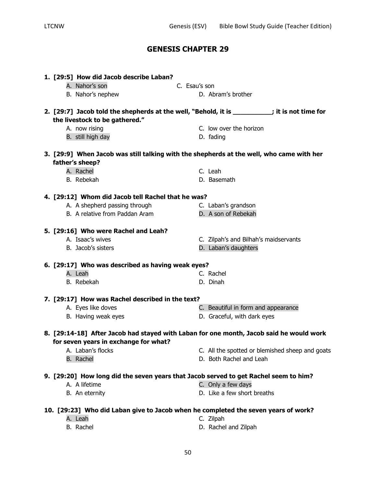| 1. [29:5] How did Jacob describe Laban?                                                                     |               |                                       |                                                 |
|-------------------------------------------------------------------------------------------------------------|---------------|---------------------------------------|-------------------------------------------------|
| A. Nahor's son                                                                                              | C. Esau's son |                                       |                                                 |
| B. Nahor's nephew                                                                                           |               | D. Abram's brother                    |                                                 |
| 2. [29:7] Jacob told the shepherds at the well, "Behold, it is _________; it is not time for                |               |                                       |                                                 |
| the livestock to be gathered."                                                                              |               | C. low over the horizon               |                                                 |
| A. now rising<br>B. still high day                                                                          |               |                                       |                                                 |
|                                                                                                             |               | D. fading                             |                                                 |
| 3. [29:9] When Jacob was still talking with the shepherds at the well, who came with her<br>father's sheep? |               |                                       |                                                 |
| A. Rachel                                                                                                   |               | C. Leah                               |                                                 |
| B. Rebekah                                                                                                  |               | D. Basemath                           |                                                 |
|                                                                                                             |               |                                       |                                                 |
| 4. [29:12] Whom did Jacob tell Rachel that he was?                                                          |               |                                       |                                                 |
| A. A shepherd passing through                                                                               |               | C. Laban's grandson                   |                                                 |
| B. A relative from Paddan Aram                                                                              |               | D. A son of Rebekah                   |                                                 |
| 5. [29:16] Who were Rachel and Leah?                                                                        |               |                                       |                                                 |
| A. Isaac's wives                                                                                            |               | C. Zilpah's and Bilhah's maidservants |                                                 |
| B. Jacob's sisters                                                                                          |               | D. Laban's daughters                  |                                                 |
| 6. [29:17] Who was described as having weak eyes?                                                           |               |                                       |                                                 |
| A. Leah                                                                                                     |               | C. Rachel                             |                                                 |
| B. Rebekah                                                                                                  |               | D. Dinah                              |                                                 |
| 7. [29:17] How was Rachel described in the text?                                                            |               |                                       |                                                 |
| A. Eyes like doves                                                                                          |               | C. Beautiful in form and appearance   |                                                 |
| B. Having weak eyes                                                                                         |               | D. Graceful, with dark eyes           |                                                 |
| 8. [29:14-18] After Jacob had stayed with Laban for one month, Jacob said he would work                     |               |                                       |                                                 |
| for seven years in exchange for what?                                                                       |               |                                       |                                                 |
| A. Laban's flocks                                                                                           |               |                                       | C. All the spotted or blemished sheep and goats |
| <b>B.</b> Rachel                                                                                            |               | D. Both Rachel and Leah               |                                                 |
|                                                                                                             |               |                                       |                                                 |
| 9. [29:20] How long did the seven years that Jacob served to get Rachel seem to him?                        |               |                                       |                                                 |
| A. A lifetime                                                                                               |               | C. Only a few days                    |                                                 |
| B. An eternity                                                                                              |               | D. Like a few short breaths           |                                                 |
| 10. [29:23] Who did Laban give to Jacob when he completed the seven years of work?                          |               |                                       |                                                 |
| A. Leah                                                                                                     |               | C. Zilpah                             |                                                 |
| B. Rachel                                                                                                   |               | D. Rachel and Zilpah                  |                                                 |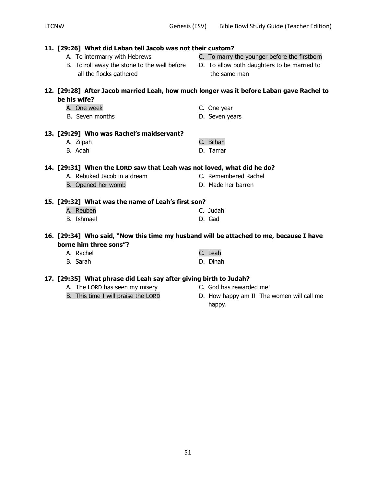| 11. [29:26] What did Laban tell Jacob was not their custom?                              |  |                                              |  |
|------------------------------------------------------------------------------------------|--|----------------------------------------------|--|
| A. To intermarry with Hebrews                                                            |  | C. To marry the younger before the firstborn |  |
| B. To roll away the stone to the well before                                             |  | D. To allow both daughters to be married to  |  |
| all the flocks gathered                                                                  |  | the same man                                 |  |
|                                                                                          |  |                                              |  |
| 12. [29:28] After Jacob married Leah, how much longer was it before Laban gave Rachel to |  |                                              |  |
| be his wife?                                                                             |  |                                              |  |
| A. One week                                                                              |  | C. One year                                  |  |
| B. Seven months                                                                          |  | D. Seven years                               |  |
|                                                                                          |  |                                              |  |
| 13. [29:29] Who was Rachel's maidservant?                                                |  |                                              |  |
| A. Zilpah                                                                                |  | C. Bilhah                                    |  |
| B. Adah                                                                                  |  | D. Tamar                                     |  |
| 14. [29:31] When the LORD saw that Leah was not loved, what did he do?                   |  |                                              |  |
| A. Rebuked Jacob in a dream                                                              |  | C. Remembered Rachel                         |  |
| B. Opened her womb                                                                       |  | D. Made her barren                           |  |
|                                                                                          |  |                                              |  |
| 15. [29:32] What was the name of Leah's first son?                                       |  |                                              |  |
| A. Reuben                                                                                |  | C. Judah                                     |  |
| <b>B.</b> Ishmael                                                                        |  | D. Gad                                       |  |
|                                                                                          |  |                                              |  |
| 16. [29:34] Who said, "Now this time my husband will be attached to me, because I have   |  |                                              |  |
| borne him three sons"?                                                                   |  |                                              |  |
| A. Rachel                                                                                |  | C. Leah                                      |  |
| B. Sarah                                                                                 |  | D. Dinah                                     |  |
| 17. [29:35] What phrase did Leah say after giving birth to Judah?                        |  |                                              |  |
|                                                                                          |  |                                              |  |

- A. The LORD has seen my misery C. God has rewarded me!<br>
B. This time I will praise the LORD D. How happy am I! The
- 

51

- 
- D. How happy am I! The women will call me happy.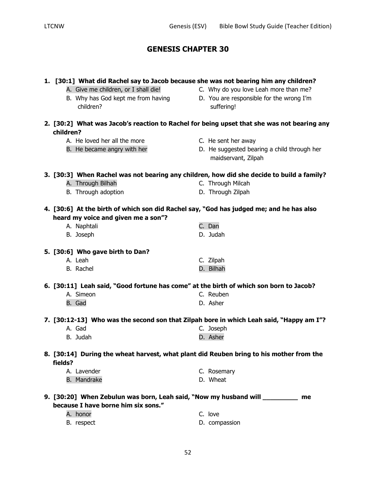|           | 1. [30:1] What did Rachel say to Jacob because she was not bearing him any children?              |                                                                                            |
|-----------|---------------------------------------------------------------------------------------------------|--------------------------------------------------------------------------------------------|
|           | A. Give me children, or I shall die!                                                              | C. Why do you love Leah more than me?                                                      |
|           | B. Why has God kept me from having                                                                | D. You are responsible for the wrong I'm                                                   |
|           | children?                                                                                         | suffering!                                                                                 |
| children? |                                                                                                   | 2. [30:2] What was Jacob's reaction to Rachel for being upset that she was not bearing any |
|           | A. He loved her all the more                                                                      |                                                                                            |
|           | B. He became angry with her                                                                       | C. He sent her away<br>D. He suggested bearing a child through her                         |
|           |                                                                                                   | maidservant, Zilpah                                                                        |
|           | 3. [30:3] When Rachel was not bearing any children, how did she decide to build a family?         |                                                                                            |
|           | A. Through Bilhah                                                                                 | C. Through Milcah                                                                          |
|           | B. Through adoption                                                                               | D. Through Zilpah                                                                          |
|           | 4. [30:6] At the birth of which son did Rachel say, "God has judged me; and he has also           |                                                                                            |
|           | heard my voice and given me a son"?                                                               |                                                                                            |
|           | A. Naphtali                                                                                       | C. Dan                                                                                     |
|           | B. Joseph                                                                                         | D. Judah                                                                                   |
|           |                                                                                                   |                                                                                            |
|           | 5. [30:6] Who gave birth to Dan?                                                                  |                                                                                            |
|           | A. Leah                                                                                           | C. Zilpah                                                                                  |
|           | B. Rachel                                                                                         | D. Bilhah                                                                                  |
|           | 6. [30:11] Leah said, "Good fortune has come" at the birth of which son born to Jacob?            |                                                                                            |
|           | A. Simeon                                                                                         | C. Reuben                                                                                  |
|           | B. Gad                                                                                            | D. Asher                                                                                   |
|           |                                                                                                   |                                                                                            |
|           | 7. [30:12-13] Who was the second son that Zilpah bore in which Leah said, "Happy am I"?<br>A. Gad | C. Joseph                                                                                  |
|           | B. Judah                                                                                          | D. Asher                                                                                   |
|           |                                                                                                   |                                                                                            |
|           | 8. [30:14] During the wheat harvest, what plant did Reuben bring to his mother from the           |                                                                                            |
| fields?   |                                                                                                   |                                                                                            |
|           | A. Lavender                                                                                       | C. Rosemary                                                                                |
|           | <b>B.</b> Mandrake                                                                                | D. Wheat                                                                                   |
|           | 9. [30:20] When Zebulun was born, Leah said, "Now my husband will __________ me                   |                                                                                            |
|           | because I have borne him six sons."                                                               |                                                                                            |
|           | A. honor                                                                                          | C. love                                                                                    |
|           | B. respect                                                                                        | D. compassion                                                                              |
|           |                                                                                                   |                                                                                            |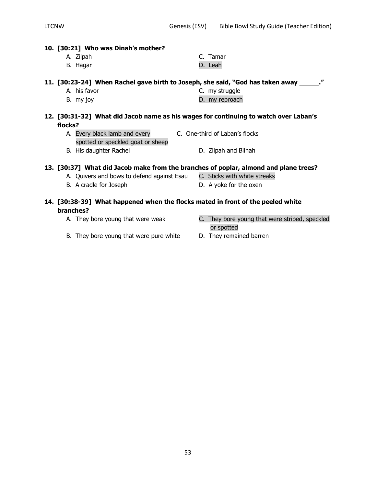#### **10. [30:21] Who was Dinah's mother?**

| A. Zilpah | C. Tamar |
|-----------|----------|
| B. Hagar  | D. Leah  |

## **11. [30:23-24] When Rachel gave birth to Joseph, she said, "God has taken away \_\_\_\_\_."**

| A. his favor | C. my struggle |
|--------------|----------------|
|              |                |

B. my joy b. my reproach

#### **12. [30:31-32] What did Jacob name as his wages for continuing to watch over Laban's flocks?**

- A. Every black lamb and every **C.** One-third of Laban's flocks spotted or speckled goat or sheep
- B. His daughter Rachel D. Zilpah and Bilhah

## **13. [30:37] What did Jacob make from the branches of poplar, almond and plane trees?**

- A. Quivers and bows to defend against Esau C. Sticks with white streaks
- B. A cradle for Joseph D. A yoke for the oxen

### **14. [30:38-39] What happened when the flocks mated in front of the peeled white branches?**

- 
- A. They bore young that were weak **C.** They bore young that were striped, speckled or spotted
- B. They bore young that were pure white D. They remained barren
-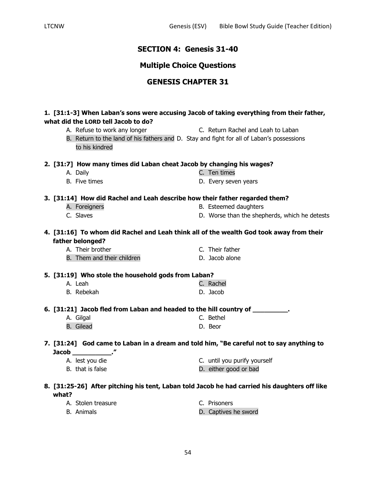## **SECTION 4: Genesis 31-40**

## **Multiple Choice Questions**

## **GENESIS CHAPTER 31**

### **1. [31:1-3] When Laban's sons were accusing Jacob of taking everything from their father, what did the LORD tell Jacob to do?**

- A. Refuse to work any longer The C. Return Rachel and Leah to Laban B. Return to the land of his fathers and D. Stay and fight for all of Laban's possessions
- to his kindred

#### **2. [31:7] How many times did Laban cheat Jacob by changing his wages?**

- A. Daily C. Ten times
- B. Five times **B.** Every seven years

#### **3. [31:14] How did Rachel and Leah describe how their father regarded them?**

- 
- 
- A. Foreigners **B. Esteemed daughters**
- C. Slaves D. Worse than the shepherds, which he detests

### **4. [31:16] To whom did Rachel and Leah think all of the wealth God took away from their father belonged?**

A. Their brother C. Their father B. Them and their children D. Jacob alone

## **5. [31:19] Who stole the household gods from Laban?**

- A. Leah C. Rachel B. Rebekah D. Jacob
- 

## **6. [31:21] Jacob fled from Laban and headed to the hill country of \_\_\_\_\_\_\_\_\_.**

A. Gilgal C. Bethel B. Gilead **D. Beor** 

## **7. [31:24] God came to Laban in a dream and told him, "Be careful not to say anything to Jacob \_\_\_\_\_\_\_\_\_\_."**

A. lest you die C. until you purify yourself B. that is false **B.** that is false

#### **8. [31:25-26] After pitching his tent, Laban told Jacob he had carried his daughters off like what?**

| A. Stolen treasure | C. Prisoners         |
|--------------------|----------------------|
| B. Animals         | D. Captives he sword |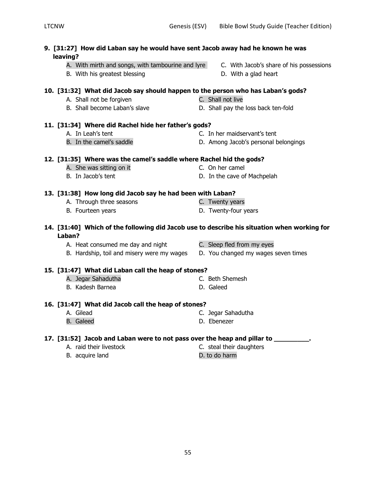- **9. [31:27] How did Laban say he would have sent Jacob away had he known he was leaving?**
	- A. With mirth and songs, with tambourine and lyre C. With Jacob's share of his possessions
	- B. With his greatest blessing and the state of D. With a glad heart
- **10. [31:32] What did Jacob say should happen to the person who has Laban's gods?**
	- A. Shall not be forgiven and the control of the C. Shall not live
	-

### **11. [31:34] Where did Rachel hide her father's gods?**

- 
- 
- A. In Leah's tent C. In her maidservant's tent
- B. In the camel's saddle **D.** Among Jacob's personal belongings

## **12. [31:35] Where was the camel's saddle where Rachel hid the gods?**

- A. She was sitting on it C. On her camel
- 

### **13. [31:38] How long did Jacob say he had been with Laban?**

- A. Through three seasons The C. Twenty years
- 
- **14. [31:40] Which of the following did Jacob use to describe his situation when working for Laban?**
	- A. Heat consumed me day and night C. Sleep fled from my eyes
	- B. Hardship, toil and misery were my wages D. You changed my wages seven times

## **15. [31:47] What did Laban call the heap of stones?**

- A. Jegar Sahadutha C. Beth Shemesh
- B. Kadesh Barnea D. Galeed

## **16. [31:47] What did Jacob call the heap of stones?**

- A. Gilead C. Jegar Sahadutha
- B. Galeed **D. Ebenezer**
- **17. [31:52] Jacob and Laban were to not pass over the heap and pillar to \_\_\_\_\_\_\_\_\_.**
	- A. raid their livestock C. steal their daughters
	- B. acquire land D. to do harm
- -
- B. Shall become Laban's slave D. Shall pay the loss back ten-fold
	-
	-
	-
- B. In Jacob's tent **D.** In the cave of Machpelah
	-
- B. Fourteen years **B.** Twenty-four years
	-
	-
	-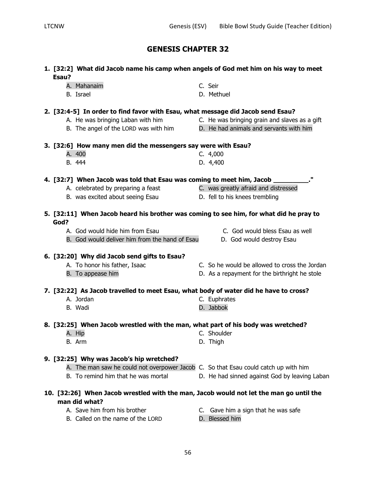**1. [32:2] What did Jacob name his camp when angels of God met him on his way to meet** 

| Esau? |                                                                                        |                                               |
|-------|----------------------------------------------------------------------------------------|-----------------------------------------------|
|       | A. Mahanaim                                                                            | C. Seir                                       |
|       | B. Israel                                                                              | D. Methuel                                    |
|       |                                                                                        |                                               |
|       | 2. [32:4-5] In order to find favor with Esau, what message did Jacob send Esau?        |                                               |
|       | A. He was bringing Laban with him                                                      | C. He was bringing grain and slaves as a gift |
|       | B. The angel of the LORD was with him                                                  | D. He had animals and servants with him       |
|       |                                                                                        |                                               |
|       | 3. [32:6] How many men did the messengers say were with Esau?                          |                                               |
|       | A. 400                                                                                 | C. 4,000                                      |
|       | B. 444                                                                                 | D. 4,400                                      |
|       |                                                                                        |                                               |
|       | 4. [32:7] When Jacob was told that Esau was coming to meet him, Jacob _______          |                                               |
|       | A. celebrated by preparing a feast                                                     | C. was greatly afraid and distressed          |
|       | B. was excited about seeing Esau                                                       | D. fell to his knees trembling                |
|       |                                                                                        |                                               |
|       | 5. [32:11] When Jacob heard his brother was coming to see him, for what did he pray to |                                               |
| God?  |                                                                                        |                                               |
|       | A. God would hide him from Esau                                                        | C. God would bless Esau as well               |
|       | B. God would deliver him from the hand of Esau                                         | D. God would destroy Esau                     |
|       |                                                                                        |                                               |
|       | 6. [32:20] Why did Jacob send gifts to Esau?                                           |                                               |
|       | A. To honor his father, Isaac                                                          | C. So he would be allowed to cross the Jordan |
|       | B. To appease him                                                                      | D. As a repayment for the birthright he stole |
|       |                                                                                        |                                               |
|       | 7. [32:22] As Jacob travelled to meet Esau, what body of water did he have to cross?   |                                               |
|       | A. Jordan                                                                              | C. Euphrates                                  |
|       | B. Wadi                                                                                | D. Jabbok                                     |
|       |                                                                                        |                                               |
|       | 8. [32:25] When Jacob wrestled with the man, what part of his body was wretched?       |                                               |
|       | A. Hip                                                                                 | C. Shoulder                                   |
|       | B. Arm                                                                                 | D. Thigh                                      |
|       |                                                                                        |                                               |
|       | 9. [32:25] Why was Jacob's hip wretched?                                               |                                               |
|       | A. The man saw he could not overpower Jacob C. So that Esau could catch up with him    |                                               |
|       | B. To remind him that he was mortal                                                    | D. He had sinned against God by leaving Laban |
|       |                                                                                        |                                               |
|       | 10. [32:26] When Jacob wrestled with the man, Jacob would not let the man go until the |                                               |
|       | man did what?                                                                          |                                               |
|       | A. Save him from his brother                                                           | C. Gave him a sign that he was safe           |
|       | B. Called on the name of the LORD                                                      | D. Blessed him                                |
|       |                                                                                        |                                               |
|       |                                                                                        |                                               |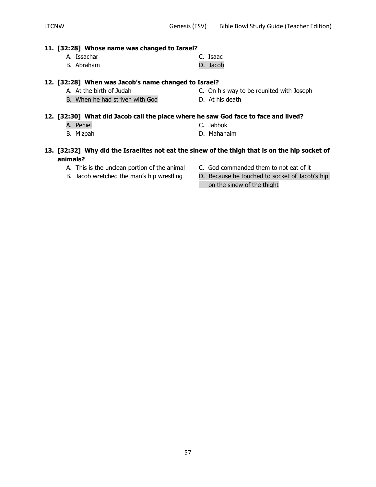#### **11. [32:28] Whose name was changed to Israel?**

- A. Issachar C. Isaac
- B. Abraham D. Jacob

#### **12. [32:28] When was Jacob's name changed to Israel?**

- A. At the birth of Judah C. On his way to be reunited with Joseph
- B. When he had striven with God **D.** At his death

### **12. [32:30] What did Jacob call the place where he saw God face to face and lived?**

- A. Peniel C. Jabbok
- 
- 
- B. Mizpah D. Mahanaim

### **13. [32:32] Why did the Israelites not eat the sinew of the thigh that is on the hip socket of animals?**

- 
- 
- A. This is the unclean portion of the animal C. God commanded them to not eat of it
- B. Jacob wretched the man's hip wrestling D. Because he touched to socket of Jacob's hip on the sinew of the thight
- - -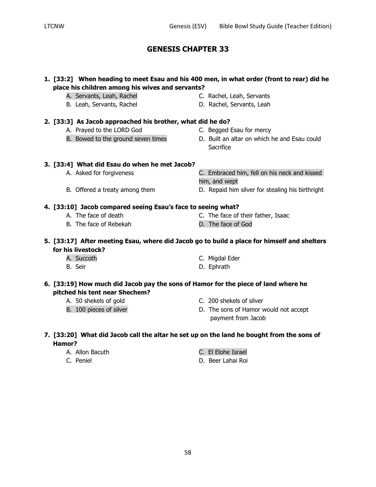## **1. [33:2] When heading to meet Esau and his 400 men, in what order (front to rear) did he place his children among his wives and servants?**

- A. Servants, Leah, Rachel **C. Rachel, Leah, Servants**
- B. Leah, Servants, Rachel **D. Rachel, Servants, Leah**
- **2. [33:3] As Jacob approached his brother, what did he do?**
	- A. Prayed to the LORD God C. Begged Esau for mercy
	-
- 
- B. Bowed to the ground seven times **D.** Built an altar on which he and Esau could **Sacrifice**

### **3. [33:4] What did Esau do when he met Jacob?**

- A. Asked for forgiveness C. Embraced him, fell on his neck and kissed
- B. Offered a treaty among them **D.** Repaid him silver for stealing his birthright

#### **4. [33:10] Jacob compared seeing Esau's face to seeing what?** A. The face of death C. The face of their father, Isaac

him, and wept

- 
- B. The face of Rebekah D. The face of God

## **5. [33:17] After meeting Esau, where did Jacob go to build a place for himself and shelters for his livestock?**

- A. Succoth C. Migdal Eder
- B. Seir **D. Ephrath**

### **6. [33:19] How much did Jacob pay the sons of Hamor for the piece of land where he pitched his tent near Shechem?**

- 
- 
- A. 50 shekels of gold C. 200 shekels of silver
- B. 100 pieces of silver **D.** The sons of Hamor would not accept payment from Jacob

### **7. [33:20] What did Jacob call the altar he set up on the land he bought from the sons of Hamor?**

- 
- 
- A. Allon Bacuth C. El Elohe Israel
- C. Peniel D. Beer Lahai Roi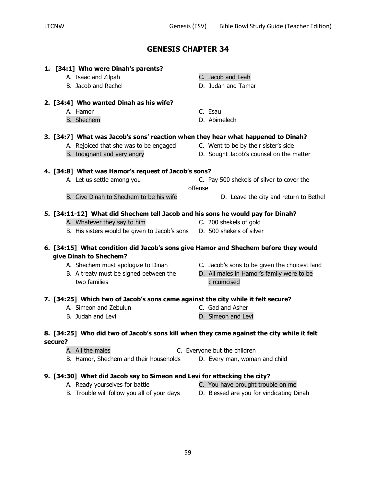| 1. [34:1] Who were Dinah's parents?                                                       |                                               |
|-------------------------------------------------------------------------------------------|-----------------------------------------------|
| A. Isaac and Zilpah                                                                       | C. Jacob and Leah                             |
| B. Jacob and Rachel                                                                       | D. Judah and Tamar                            |
| 2. [34:4] Who wanted Dinah as his wife?                                                   |                                               |
| A. Hamor                                                                                  | C. Esau                                       |
| <b>B.</b> Shechem                                                                         | D. Abimelech                                  |
| 3. [34:7] What was Jacob's sons' reaction when they hear what happened to Dinah?          |                                               |
| A. Rejoiced that she was to be engaged                                                    | C. Went to be by their sister's side          |
| B. Indignant and very angry                                                               | D. Sought Jacob's counsel on the matter       |
| 4. [34:8] What was Hamor's request of Jacob's sons?                                       |                                               |
| A. Let us settle among you                                                                | C. Pay 500 shekels of silver to cover the     |
|                                                                                           | offense                                       |
| B. Give Dinah to Shechem to be his wife                                                   | D. Leave the city and return to Bethel        |
| 5. [34:11-12] What did Shechem tell Jacob and his sons he would pay for Dinah?            |                                               |
| A. Whatever they say to him                                                               | C. 200 shekels of gold                        |
| B. His sisters would be given to Jacob's sons D. 500 shekels of silver                    |                                               |
| 6. [34:15] What condition did Jacob's sons give Hamor and Shechem before they would       |                                               |
| give Dinah to Shechem?                                                                    |                                               |
| A. Shechem must apologize to Dinah                                                        | C. Jacob's sons to be given the choicest land |
| B. A treaty must be signed between the                                                    | D. All males in Hamor's family were to be     |
| two families                                                                              | circumcised                                   |
| 7. [34:25] Which two of Jacob's sons came against the city while it felt secure?          |                                               |
| A. Simeon and Zebulun                                                                     | C. Gad and Asher                              |
| B. Judah and Levi                                                                         | D. Simeon and Levi                            |
| 8. [34:25] Who did two of Jacob's sons kill when they came against the city while it felt |                                               |
| secure?                                                                                   |                                               |
| A. All the males                                                                          | C. Everyone but the children                  |
| B. Hamor, Shechem and their households                                                    | D. Every man, woman and child                 |
|                                                                                           |                                               |

## **9. [34:30] What did Jacob say to Simeon and Levi for attacking the city?**

- -
- A. Ready yourselves for battle **C.** You have brought trouble on me
- B. Trouble will follow you all of your days D. Blessed are you for vindicating Dinah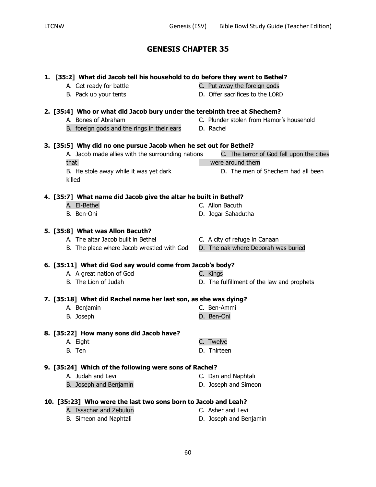| 1. [35:2] What did Jacob tell his household to do before they went to Bethel? |                                            |  |
|-------------------------------------------------------------------------------|--------------------------------------------|--|
| A. Get ready for battle                                                       | C. Put away the foreign gods               |  |
| B. Pack up your tents                                                         | D. Offer sacrifices to the LORD            |  |
| 2. [35:4] Who or what did Jacob bury under the terebinth tree at Shechem?     |                                            |  |
| A. Bones of Abraham                                                           | C. Plunder stolen from Hamor's household   |  |
| B. foreign gods and the rings in their ears                                   | D. Rachel                                  |  |
|                                                                               |                                            |  |
| 3. [35:5] Why did no one pursue Jacob when he set out for Bethel?             |                                            |  |
| A. Jacob made allies with the surrounding nations                             | C. The terror of God fell upon the cities  |  |
| that                                                                          | were around them                           |  |
| B. He stole away while it was yet dark                                        | D. The men of Shechem had all been         |  |
| killed                                                                        |                                            |  |
|                                                                               |                                            |  |
| 4. [35:7] What name did Jacob give the altar he built in Bethel?              |                                            |  |
| A. El-Bethel                                                                  | C. Allon Bacuth                            |  |
| B. Ben-Oni                                                                    | D. Jegar Sahadutha                         |  |
| 5. [35:8] What was Allon Bacuth?                                              |                                            |  |
| A. The altar Jacob built in Bethel                                            | C. A city of refuge in Canaan              |  |
| B. The place where Jacob wrestled with God                                    | D. The oak where Deborah was buried        |  |
|                                                                               |                                            |  |
| 6. [35:11] What did God say would come from Jacob's body?                     |                                            |  |
| A. A great nation of God                                                      | C. Kings                                   |  |
| B. The Lion of Judah                                                          | D. The fulfillment of the law and prophets |  |
| 7. [35:18] What did Rachel name her last son, as she was dying?               |                                            |  |
| A. Benjamin                                                                   | C. Ben-Ammi                                |  |
| B. Joseph                                                                     | D. Ben-Oni                                 |  |
| 8. [35:22] How many sons did Jacob have?                                      |                                            |  |
| A. Eight                                                                      | C. Twelve                                  |  |
| B. Ten                                                                        | D. Thirteen                                |  |
|                                                                               |                                            |  |
| 9. [35:24] Which of the following were sons of Rachel?                        |                                            |  |
| A. Judah and Levi                                                             | C. Dan and Naphtali                        |  |
| B. Joseph and Benjamin                                                        | D. Joseph and Simeon                       |  |
| 10. [35:23] Who were the last two sons born to Jacob and Leah?                |                                            |  |
| A. Issachar and Zebulun                                                       | C. Asher and Levi                          |  |
| B. Simeon and Naphtali                                                        | D. Joseph and Benjamin                     |  |
|                                                                               |                                            |  |

## **5. [35:8] What was Allon Bacuth?**

## **7. [35:18] What did Rachel name her last son, as she was dying?**

## **8. [35:22] How many sons did Jacob have?**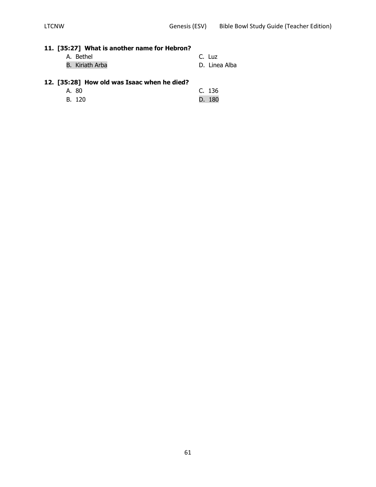## **11. [35:27] What is another name for Hebron?**

| A. Bethel       | C. Luz        |
|-----------------|---------------|
| B. Kiriath Arba | D. Linea Alba |

## **12. [35:28] How old was Isaac when he died?**

| A. 80  | C. 136 |
|--------|--------|
| B. 120 | D. 180 |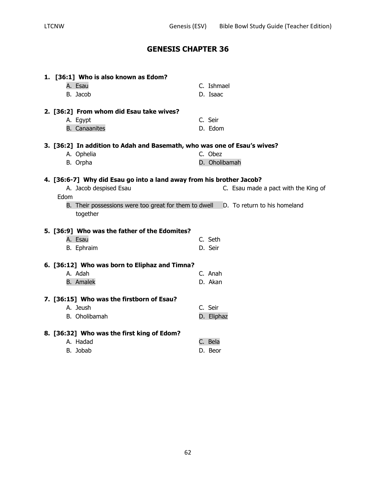| 2. [36:2] From whom did Esau take wives?<br>C. Seir<br>A. Egypt<br>D. Edom<br><b>B.</b> Canaanites<br>3. [36:2] In addition to Adah and Basemath, who was one of Esau's wives?<br>C. Obez<br>A. Ophelia<br>D. Oholibamah<br>B. Orpha |  |
|--------------------------------------------------------------------------------------------------------------------------------------------------------------------------------------------------------------------------------------|--|
|                                                                                                                                                                                                                                      |  |
|                                                                                                                                                                                                                                      |  |
|                                                                                                                                                                                                                                      |  |
|                                                                                                                                                                                                                                      |  |
|                                                                                                                                                                                                                                      |  |
|                                                                                                                                                                                                                                      |  |
| 4. [36:6-7] Why did Esau go into a land away from his brother Jacob?                                                                                                                                                                 |  |
| A. Jacob despised Esau<br>C. Esau made a pact with the King of                                                                                                                                                                       |  |
| Edom                                                                                                                                                                                                                                 |  |
| D. To return to his homeland<br>B. Their possessions were too great for them to dwell                                                                                                                                                |  |
| together                                                                                                                                                                                                                             |  |
| 5. [36:9] Who was the father of the Edomites?                                                                                                                                                                                        |  |
| A. Esau<br>C. Seth                                                                                                                                                                                                                   |  |
| D. Seir<br>B. Ephraim                                                                                                                                                                                                                |  |
|                                                                                                                                                                                                                                      |  |
|                                                                                                                                                                                                                                      |  |
| 6. [36:12] Who was born to Eliphaz and Timna?<br>A. Adah<br>C. Anah                                                                                                                                                                  |  |
| D. Akan<br><b>B.</b> Amalek                                                                                                                                                                                                          |  |
|                                                                                                                                                                                                                                      |  |
| 7. [36:15] Who was the firstborn of Esau?                                                                                                                                                                                            |  |
| A. Jeush<br>C. Seir                                                                                                                                                                                                                  |  |
| B. Oholibamah<br>D. Eliphaz                                                                                                                                                                                                          |  |
| 8. [36:32] Who was the first king of Edom?                                                                                                                                                                                           |  |
| A. Hadad<br>C. Bela                                                                                                                                                                                                                  |  |
| B. Jobab<br>D. Beor                                                                                                                                                                                                                  |  |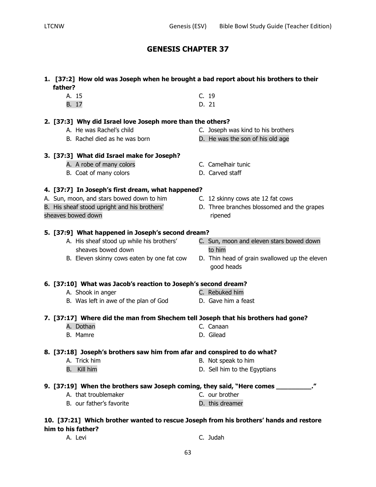63

## **GENESIS CHAPTER 37**

## **1. [37:2] How old was Joseph when he brought a bad report about his brothers to their father?**

A. 15 C. 19 B. 17 D. 21

#### **2. [37:3] Why did Israel love Joseph more than the others?**

- 
- 

#### **3. [37:3] What did Israel make for Joseph?**

- A. A robe of many colors **C.** Camelhair tunic
- B. Coat of many colors D. Carved staff

#### **4. [37:7] In Joseph's first dream, what happened?**

- A. Sun, moon, and stars bowed down to him C. 12 skinny cows ate 12 fat cows
- B. His sheaf stood upright and his brothers' D. Three branches blossomed and the grapes
- sheaves bowed down sheaves bowed down

#### **5. [37:9] What happened in Joseph's second dream?**

- sheaves bowed down sheaves bowed down
- 
- 
- 
- A. His sheaf stood up while his brothers' C. Sun, moon and eleven stars bowed down
- B. Eleven skinny cows eaten by one fat cow D. Thin head of grain swallowed up the eleven good heads

### **6. [37:10] What was Jacob's reaction to Joseph's second dream?**

- A. Shook in anger C. Rebuked him
- B. Was left in awe of the plan of God D. Gave him a feast

#### **7. [37:17] Where did the man from Shechem tell Joseph that his brothers had gone?**

- A. Dothan C. Canaan
- B. Mamre D. Gilead

#### **8. [37:18] Joseph's brothers saw him from afar and conspired to do what?**

- A. Trick him B. Not speak to him
- B. Kill him **B.** Kill him being the Equation of the Equations of D. Sell him to the Equations
- **9. [37:19] When the brothers saw Joseph coming, they said, "Here comes \_\_\_\_\_\_\_\_\_."**
	- A. that troublemaker C. our brother
	- B. our father's favorite and the D. this dreamer

## **10. [37:21] Which brother wanted to rescue Joseph from his brothers' hands and restore him to his father?**

- A. Levi C. Judah
- 

- A. He was Rachel's child C. Joseph was kind to his brothers
- B. Rachel died as he was born D. He was the son of his old age
	-
	-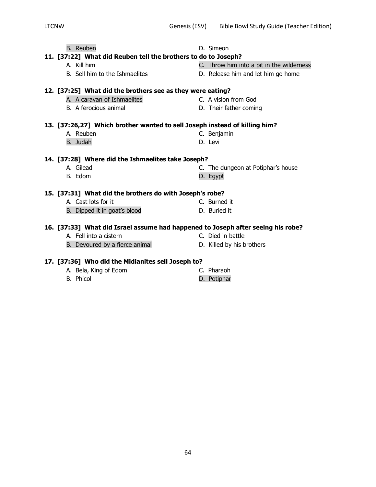| <b>B.</b> Reuben                                                                 | D. Simeon                                 |
|----------------------------------------------------------------------------------|-------------------------------------------|
| 11. [37:22] What did Reuben tell the brothers to do to Joseph?                   |                                           |
| A. Kill him                                                                      | C. Throw him into a pit in the wilderness |
| B. Sell him to the Ishmaelites                                                   | D. Release him and let him go home        |
| 12. [37:25] What did the brothers see as they were eating?                       |                                           |
|                                                                                  |                                           |
| A. A caravan of Ishmaelites                                                      | C. A vision from God                      |
| B. A ferocious animal                                                            | D. Their father coming                    |
| 13. [37:26,27] Which brother wanted to sell Joseph instead of killing him?       |                                           |
| A. Reuben                                                                        | C. Benjamin                               |
|                                                                                  | D. Levi                                   |
| B. Judah                                                                         |                                           |
| 14. [37:28] Where did the Ishmaelites take Joseph?                               |                                           |
| A. Gilead                                                                        | C. The dungeon at Potiphar's house        |
| B. Edom                                                                          | D. Egypt                                  |
|                                                                                  |                                           |
| 15. [37:31] What did the brothers do with Joseph's robe?                         |                                           |
| A. Cast lots for it                                                              | C. Burned it                              |
| B. Dipped it in goat's blood                                                     | D. Buried it                              |
| 16. [37:33] What did Israel assume had happened to Joseph after seeing his robe? |                                           |
| A. Fell into a cistern                                                           | C. Died in battle                         |
|                                                                                  |                                           |
| B. Devoured by a fierce animal                                                   | D. Killed by his brothers                 |
|                                                                                  |                                           |

## **17. [37:36] Who did the Midianites sell Joseph to?**

| A. Bela, King of Edom | C. Pharaoh  |
|-----------------------|-------------|
| B. Phicol             | D. Potiphar |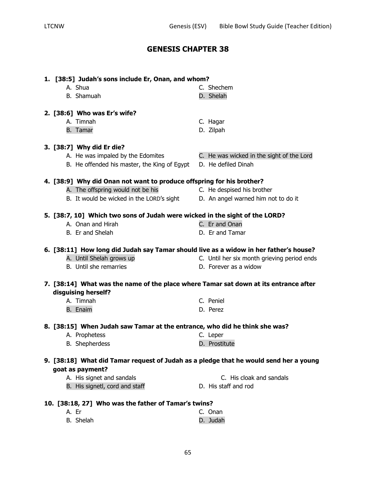| 1. [38:5] Judah's sons include Er, Onan, and whom?                                    |                                             |
|---------------------------------------------------------------------------------------|---------------------------------------------|
| A. Shua                                                                               | C. Shechem                                  |
| B. Shamuah                                                                            | D. Shelah                                   |
|                                                                                       |                                             |
| 2. [38:6] Who was Er's wife?                                                          |                                             |
| A. Timnah                                                                             | C. Hagar                                    |
| B. Tamar                                                                              | D. Zilpah                                   |
|                                                                                       |                                             |
| 3. [38:7] Why did Er die?                                                             |                                             |
| A. He was impaled by the Edomites                                                     | C. He was wicked in the sight of the Lord   |
| B. He offended his master, the King of Egypt                                          | D. He defiled Dinah                         |
|                                                                                       |                                             |
| 4. [38:9] Why did Onan not want to produce offspring for his brother?                 |                                             |
| A. The offspring would not be his                                                     | C. He despised his brother                  |
| B. It would be wicked in the LORD's sight                                             | D. An angel warned him not to do it         |
|                                                                                       |                                             |
| 5. [38:7, 10] Which two sons of Judah were wicked in the sight of the LORD?           |                                             |
| A. Onan and Hirah                                                                     | C. Er and Onan                              |
| B. Er and Shelah                                                                      | D. Er and Tamar                             |
|                                                                                       |                                             |
| 6. [38:11] How long did Judah say Tamar should live as a widow in her father's house? |                                             |
| A. Until Shelah grows up                                                              | C. Until her six month grieving period ends |
| B. Until she remarries                                                                | D. Forever as a widow                       |
|                                                                                       |                                             |
| 7. [38:14] What was the name of the place where Tamar sat down at its entrance after  |                                             |
| disguising herself?                                                                   |                                             |
| A. Timnah                                                                             | C. Peniel                                   |
| <b>B.</b> Enaim                                                                       | D. Perez                                    |
|                                                                                       |                                             |
| 8. [38:15] When Judah saw Tamar at the entrance, who did he think she was?            |                                             |
| A. Prophetess                                                                         | C. Leper                                    |
| B. Shepherdess                                                                        | D. Prostitute                               |
|                                                                                       |                                             |
| 9. [38:18] What did Tamar request of Judah as a pledge that he would send her a young |                                             |
| goat as payment?                                                                      |                                             |
| A. His signet and sandals                                                             | C. His cloak and sandals                    |
| B. His signetl, cord and staff                                                        | D. His staff and rod                        |
|                                                                                       |                                             |
| 10. [38:18, 27] Who was the father of Tamar's twins?                                  |                                             |
| A. Er                                                                                 | C. Onan                                     |
| B. Shelah                                                                             | D. Judah                                    |

| A. Er     | C. Onan  |
|-----------|----------|
| B. Shelah | D. Judah |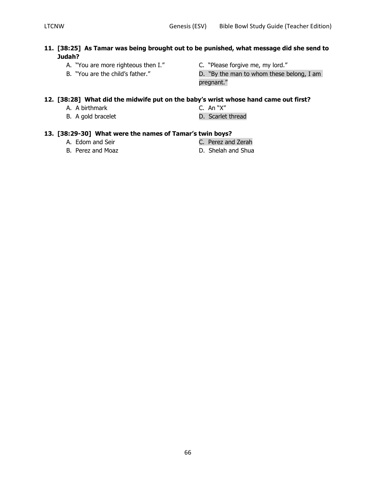## **11. [38:25] As Tamar was being brought out to be punished, what message did she send to Judah?**

- A. "You are more righteous then I." C. "Please forgive me, my lord."
- -
- B. "You are the child's father." D. "By the man to whom these belong, I am pregnant."

## **12. [38:28] What did the midwife put on the baby's wrist whose hand came out first?**

- A. A birthmark C. An "X"
- B. A gold bracelet **D.** Scarlet thread
- 
- 

## **13. [38:29-30] What were the names of Tamar's twin boys?**

- 
- 
- A. Edom and Seir **C. Perez and Zerah**
- B. Perez and Moaz D. Shelah and Shua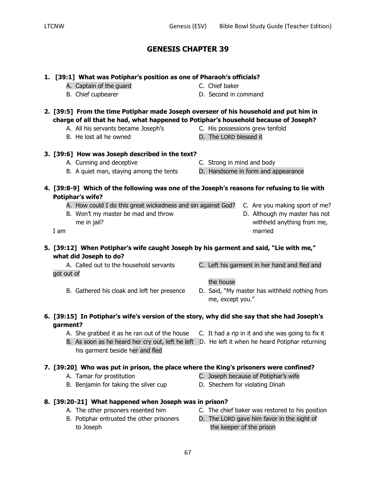**1. [39:1] What was Potiphar's position as one of Pharaoh's officials?**

| 2. [39:5] From the time Potiphar made Joseph overseer of his household and put him in<br>charge of all that he had, what happened to Potiphar's household because of Joseph?<br>A. All his servants became Joseph's | C. His possessions grew tenfold                                                               |
|---------------------------------------------------------------------------------------------------------------------------------------------------------------------------------------------------------------------|-----------------------------------------------------------------------------------------------|
| B. He lost all he owned                                                                                                                                                                                             | D. The LORD blessed it                                                                        |
| 3. [39:6] How was Joseph described in the text?                                                                                                                                                                     |                                                                                               |
| A. Cunning and deceptive                                                                                                                                                                                            | C. Strong in mind and body                                                                    |
| B. A quiet man, staying among the tents                                                                                                                                                                             | D. Handsome in form and appearance                                                            |
| 4. [39:8-9] Which of the following was one of the Joseph's reasons for refusing to lie with<br><b>Potiphar's wife?</b>                                                                                              |                                                                                               |
| A. How could I do this great wickedness and sin against God?<br>B. Won't my master be mad and throw<br>me in jail?                                                                                                  | C. Are you making sport of me?<br>D. Although my master has not<br>withheld anything from me, |
| I am                                                                                                                                                                                                                | married                                                                                       |
| 5. [39:12] When Potiphar's wife caught Joseph by his garment and said, "Lie with me,"<br>what did Joseph to do?                                                                                                     |                                                                                               |
| A. Called out to the household servants<br>got out of                                                                                                                                                               | C. Left his garment in her hand and fled and<br>the house                                     |
| B. Gathered his cloak and left her presence                                                                                                                                                                         | D. Said, "My master has withheld nothing from<br>me, except you."                             |
| 6. [39:15] In Potiphar's wife's version of the story, why did she say that she had Joseph's<br>garment?                                                                                                             |                                                                                               |
|                                                                                                                                                                                                                     |                                                                                               |

- A. She grabbed it as he ran out of the house C. It had a rip in it and she was going to fix it
- B. As soon as he heard her cry out, left he left D. He left it when he heard Potiphar returning his garment beside her and fled

## **7. [39:20] Who was put in prison, the place where the King's prisoners were confined?**

- A. Tamar for prostitution C. Joseph because of Potiphar's wife
- B. Benjamin for taking the silver cup D. Shechem for violating Dinah
- **8. [39:20-21] What happened when Joseph was in prison?**
	-
	- to Joseph to Joseph the keeper of the prison
	- A. The other prisoners resented him C. The chief baker was restored to his position
	- B. Potiphar entrusted the other prisoners D. The LORD gave him favor in the sight of
- 
- 
- A. Captain of the quard C. Chief baker
- B. Chief cupbearer **B.** Chief cupbearer **D.** Second in command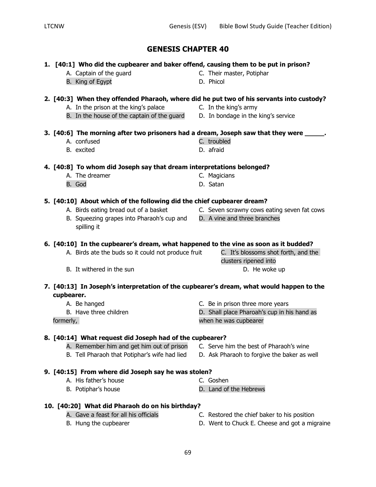## **1. [40:1] Who did the cupbearer and baker offend, causing them to be put in prison?**

- 
- B. King of Egypt D. Phicol
- 
- 

## **2. [40:3] When they offended Pharaoh, where did he put two of his servants into custody?**

- A. In the prison at the king's palace The C. In the king's army
	-
- B. In the house of the captain of the guard D. In bondage in the king's service

### **3. [40:6] The morning after two prisoners had a dream, Joseph saw that they were \_\_\_\_\_.**

- A. confused example a series of the C. troubled
- B. excited **D.** afraid
- **4. [40:8] To whom did Joseph say that dream interpretations belonged?**
	- A. The dreamer C. Magicians
	- B. God **D. Satan**

## **5. [40:10] About which of the following did the chief cupbearer dream?**

- A. Birds eating bread out of a basket **C.** Seven scrawny cows eating seven fat cows
- B. Squeezing grapes into Pharaoh's cup and D. A vine and three branches spilling it

## **6. [40:10] In the cupbearer's dream, what happened to the vine as soon as it budded?**

- A. Birds ate the buds so it could not produce fruit C. It's blossoms shot forth, and the
- B. It withered in the sun D. He woke up

## **7. [40:13] In Joseph's interpretation of the cupbearer's dream, what would happen to the cupbearer.**

- A. Be hanged C. Be in prison three more years
- 

## **8. [40:14] What request did Joseph had of the cupbearer?**

- A. Remember him and get him out of prison C. Serve him the best of Pharaoh's wine
- B. Tell Pharaoh that Potiphar's wife had lied D. Ask Pharaoh to forgive the baker as well
- **9. [40:15] From where did Joseph say he was stolen?**
	- A. His father's house C. Goshen
	- B. Potiphar's house **D.** Land of the Hebrews
- **10. [40:20] What did Pharaoh do on his birthday?**
	-
	-
	- A. Gave a feast for all his officials C. Restored the chief baker to his position
	- B. Hung the cupbearer The State of the U. Went to Chuck E. Cheese and got a migraine
- A. Captain of the guard **C.** Their master, Potiphar
	-

- clusters ripened into
- 
- 

B. Have three children  $\qquad \qquad$  D. Shall place Pharoah's cup in his hand as

formerly, when he was cupbearer

- 
- 
- 
- 
- -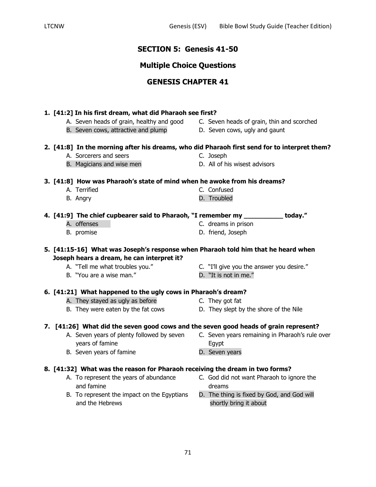## **SECTION 5: Genesis 41-50**

## **Multiple Choice Questions**

## **GENESIS CHAPTER 41**

## **1. [41:2] In his first dream, what did Pharaoh see first?**

- A. Seven heads of grain, healthy and good C. Seven heads of grain, thin and scorched
- B. Seven cows, attractive and plump D. Seven cows, ugly and gaunt
- -

## **2. [41:8] In the morning after his dreams, who did Pharaoh first send for to interpret them?**

- A. Sorcerers and seers C. Joseph
- B. Magicians and wise men D. All of his wisest advisors
- -

## **3. [41:8] How was Pharaoh's state of mind when he awoke from his dreams?**

| A. Terrified | C. Confused |
|--------------|-------------|
| Anary        | D Troubled  |

B. Angry **D. Troubled** 

|  | 4. [41:9] The chief cupbearer said to Pharaoh, "I remember my | today." |
|--|---------------------------------------------------------------|---------|
|  |                                                               |         |

- A. offenses **C.** dreams in prison
- 
- 
- B. promise D. friend, Joseph

**5. [41:15-16] What was Joseph's response when Pharaoh told him that he heard when Joseph hears a dream, he can interpret it?** 

- 
- B. "You are a wise man." D. "It is not in me."
- A. "Tell me what troubles you." C. "I'll give you the answer you desire."
	-

## **6. [41:21] What happened to the ugly cows in Pharaoh's dream?**

- A. They stayed as ugly as before They got fat
- B. They were eaten by the fat cows D. They slept by the shore of the Nile

## **7. [41:26] What did the seven good cows and the seven good heads of grain represent?**

- A. Seven years of plenty followed by seven C. Seven years remaining in Pharaoh's rule over years of famine Egypt
- B. Seven years of famine **D.** Seven years
- **8. [41:32] What was the reason for Pharaoh receiving the dream in two forms?**
	- and famine dreams dreams
	- B. To represent the impact on the Egyptians D. The thing is fixed by God, and God will and the Hebrews shortly bring it about
	- A. To represent the years of abundance C. God did not want Pharaoh to ignore the
		-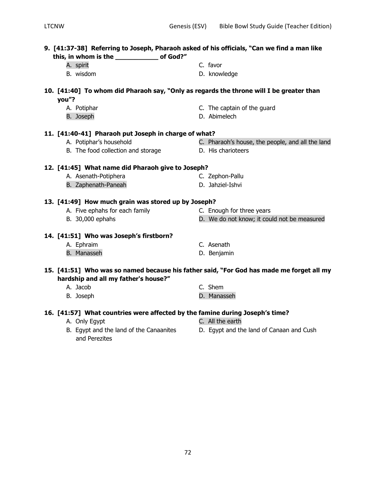| 9. [41:37-38] Referring to Joseph, Pharaoh asked of his officials, "Can we find a man like                                       |                                                          |                                                  |
|----------------------------------------------------------------------------------------------------------------------------------|----------------------------------------------------------|--------------------------------------------------|
|                                                                                                                                  | A. spirit                                                | C. favor                                         |
|                                                                                                                                  | B. wisdom                                                | D. knowledge                                     |
|                                                                                                                                  |                                                          |                                                  |
| 10. [41:40] To whom did Pharaoh say, "Only as regards the throne will I be greater than<br>you"?                                 |                                                          |                                                  |
|                                                                                                                                  | A. Potiphar                                              | C. The captain of the guard                      |
|                                                                                                                                  | B. Joseph                                                | D. Abimelech                                     |
|                                                                                                                                  |                                                          |                                                  |
| 11. [41:40-41] Pharaoh put Joseph in charge of what?                                                                             |                                                          |                                                  |
|                                                                                                                                  | A. Potiphar's household                                  | C. Pharaoh's house, the people, and all the land |
|                                                                                                                                  | B. The food collection and storage                       | D. His charioteers                               |
|                                                                                                                                  |                                                          |                                                  |
| 12. [41:45] What name did Pharaoh give to Joseph?                                                                                |                                                          |                                                  |
|                                                                                                                                  | A. Asenath-Potiphera                                     | C. Zephon-Pallu                                  |
|                                                                                                                                  | B. Zaphenath-Paneah                                      | D. Jahziel-Ishvi                                 |
| 13. [41:49] How much grain was stored up by Joseph?                                                                              |                                                          |                                                  |
|                                                                                                                                  | A. Five ephahs for each family                           | C. Enough for three years                        |
|                                                                                                                                  | B. 30,000 ephahs                                         | D. We do not know; it could not be measured      |
| 14. [41:51] Who was Joseph's firstborn?                                                                                          |                                                          |                                                  |
|                                                                                                                                  | A. Ephraim                                               | C. Asenath                                       |
|                                                                                                                                  | <b>B.</b> Manasseh                                       | D. Benjamin                                      |
|                                                                                                                                  |                                                          |                                                  |
| 15. [41:51] Who was so named because his father said, "For God has made me forget all my<br>hardship and all my father's house?" |                                                          |                                                  |
|                                                                                                                                  | A. Jacob                                                 | C. Shem                                          |
|                                                                                                                                  |                                                          | D. Manasseh                                      |
|                                                                                                                                  | B. Joseph                                                |                                                  |
| 16. [41:57] What countries were affected by the famine during Joseph's time?                                                     |                                                          |                                                  |
|                                                                                                                                  | A. Only Egypt                                            | C. All the earth                                 |
|                                                                                                                                  | B. Egypt and the land of the Canaanites<br>and Perezites | D. Egypt and the land of Canaan and Cush         |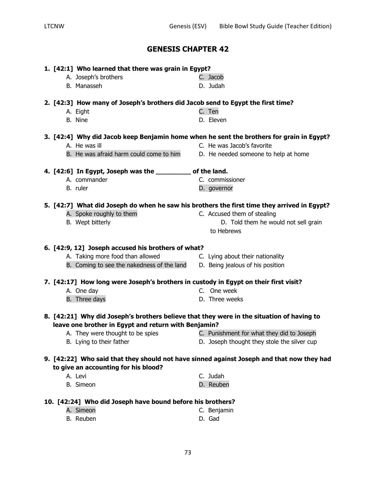|                                                                                           | 1. [42:1] Who learned that there was grain in Egypt?                                      |                                                                                                                        |  |  |  |
|-------------------------------------------------------------------------------------------|-------------------------------------------------------------------------------------------|------------------------------------------------------------------------------------------------------------------------|--|--|--|
|                                                                                           | A. Joseph's brothers                                                                      | C. Jacob                                                                                                               |  |  |  |
|                                                                                           | B. Manasseh                                                                               | D. Judah                                                                                                               |  |  |  |
|                                                                                           | 2. [42:3] How many of Joseph's brothers did Jacob send to Egypt the first time?           |                                                                                                                        |  |  |  |
|                                                                                           | A. Eight                                                                                  | C. Ten                                                                                                                 |  |  |  |
|                                                                                           | B. Nine                                                                                   | D. Eleven                                                                                                              |  |  |  |
|                                                                                           |                                                                                           |                                                                                                                        |  |  |  |
|                                                                                           | A. He was ill                                                                             | 3. [42:4] Why did Jacob keep Benjamin home when he sent the brothers for grain in Egypt?<br>C. He was Jacob's favorite |  |  |  |
|                                                                                           |                                                                                           |                                                                                                                        |  |  |  |
|                                                                                           | B. He was afraid harm could come to him                                                   | D. He needed someone to help at home                                                                                   |  |  |  |
|                                                                                           | 4. [42:6] In Egypt, Joseph was the __________ of the land.                                |                                                                                                                        |  |  |  |
|                                                                                           | A. commander                                                                              | C. commissioner                                                                                                        |  |  |  |
|                                                                                           | B. ruler                                                                                  | D. governor                                                                                                            |  |  |  |
|                                                                                           |                                                                                           | 5. [42:7] What did Joseph do when he saw his brothers the first time they arrived in Egypt?                            |  |  |  |
|                                                                                           | A. Spoke roughly to them                                                                  | C. Accused them of stealing                                                                                            |  |  |  |
|                                                                                           | B. Wept bitterly                                                                          | D. Told them he would not sell grain                                                                                   |  |  |  |
|                                                                                           |                                                                                           | to Hebrews                                                                                                             |  |  |  |
|                                                                                           | 6. [42:9, 12] Joseph accused his brothers of what?                                        |                                                                                                                        |  |  |  |
|                                                                                           | A. Taking more food than allowed                                                          | C. Lying about their nationality                                                                                       |  |  |  |
|                                                                                           | B. Coming to see the nakedness of the land                                                | D. Being jealous of his position                                                                                       |  |  |  |
|                                                                                           |                                                                                           |                                                                                                                        |  |  |  |
|                                                                                           | 7. [42:17] How long were Joseph's brothers in custody in Egypt on their first visit?      |                                                                                                                        |  |  |  |
|                                                                                           | A. One day                                                                                | C. One week                                                                                                            |  |  |  |
|                                                                                           | B. Three days                                                                             | D. Three weeks                                                                                                         |  |  |  |
|                                                                                           | 8. [42:21] Why did Joseph's brothers believe that they were in the situation of having to |                                                                                                                        |  |  |  |
| leave one brother in Egypt and return with Benjamin?                                      |                                                                                           |                                                                                                                        |  |  |  |
|                                                                                           | A. They were thought to be spies                                                          | C. Punishment for what they did to Joseph                                                                              |  |  |  |
|                                                                                           | B. Lying to their father                                                                  | D. Joseph thought they stole the silver cup                                                                            |  |  |  |
| 9. [42:22] Who said that they should not have sinned against Joseph and that now they had |                                                                                           |                                                                                                                        |  |  |  |
|                                                                                           | to give an accounting for his blood?                                                      |                                                                                                                        |  |  |  |
|                                                                                           | A. Levi                                                                                   | C. Judah                                                                                                               |  |  |  |
|                                                                                           | <b>B.</b> Simeon                                                                          | D. Reuben                                                                                                              |  |  |  |
|                                                                                           | 10. [42:24] Who did Joseph have bound before his brothers?                                |                                                                                                                        |  |  |  |
|                                                                                           | A. Simeon                                                                                 | C. Benjamin                                                                                                            |  |  |  |
|                                                                                           | B. Reuben                                                                                 | D. Gad                                                                                                                 |  |  |  |
|                                                                                           |                                                                                           |                                                                                                                        |  |  |  |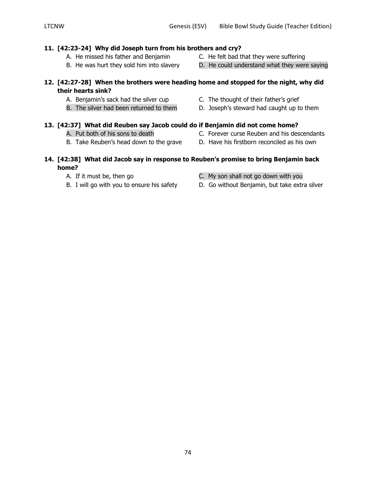#### **11. [42:23-24] Why did Joseph turn from his brothers and cry?**

- A. He missed his father and Benjamin C. He felt bad that they were suffering
- B. He was hurt they sold him into slavery D. He could understand what they were saying

### **12. [42:27-28] When the brothers were heading home and stopped for the night, why did their hearts sink?**

**14. [42:38] What did Jacob say in response to Reuben's promise to bring Benjamin back** 

- A. Benjamin's sack had the silver cup C. The thought of their father's grief
- 
- **13. [42:37] What did Reuben say Jacob could do if Benjamin did not come home?**
	- A. Put both of his sons to death C. Forever curse Reuben and his descendants
	- B. Take Reuben's head down to the grave D. Have his firstborn reconciled as his own
	- A. If it must be, then go C. My son shall not go down with you
	- B. I will go with you to ensure his safety D. Go without Benjamin, but take extra silver
	-

**home?**

- 
- 
- B. The silver had been returned to them D. Joseph's steward had caught up to them
- 

74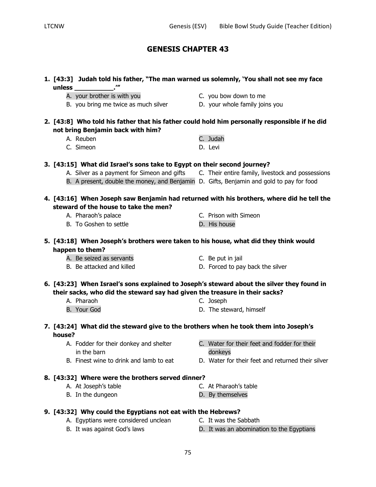|        | 1. [43:3] Judah told his father, "The man warned us solemnly, 'You shall not see my face<br>unless _________________.'"                                                   |                                                                                               |
|--------|---------------------------------------------------------------------------------------------------------------------------------------------------------------------------|-----------------------------------------------------------------------------------------------|
|        | A. your brother is with you                                                                                                                                               | C. you bow down to me                                                                         |
|        | B. you bring me twice as much silver                                                                                                                                      | D. your whole family joins you                                                                |
|        | 2. [43:8] Who told his father that his father could hold him personally responsible if he did<br>not bring Benjamin back with him?                                        |                                                                                               |
|        | A. Reuben                                                                                                                                                                 | C. Judah                                                                                      |
|        | C. Simeon                                                                                                                                                                 | D. Levi                                                                                       |
|        | 3. [43:15] What did Israel's sons take to Egypt on their second journey?                                                                                                  |                                                                                               |
|        |                                                                                                                                                                           | A. Silver as a payment for Simeon and gifts C. Their entire family, livestock and possessions |
|        | B. A present, double the money, and Benjamin D. Gifts, Benjamin and gold to pay for food                                                                                  |                                                                                               |
|        | steward of the house to take the men?                                                                                                                                     | 4. [43:16] When Joseph saw Benjamin had returned with his brothers, where did he tell the     |
|        | A. Pharaoh's palace                                                                                                                                                       | C. Prison with Simeon                                                                         |
|        | B. To Goshen to settle                                                                                                                                                    | D. His house                                                                                  |
|        | 5. [43:18] When Joseph's brothers were taken to his house, what did they think would<br>happen to them?                                                                   |                                                                                               |
|        | A. Be seized as servants                                                                                                                                                  | C. Be put in jail                                                                             |
|        | B. Be attacked and killed                                                                                                                                                 | D. Forced to pay back the silver                                                              |
|        | 6. [43:23] When Israel's sons explained to Joseph's steward about the silver they found in<br>their sacks, who did the steward say had given the treasure in their sacks? |                                                                                               |
|        | A. Pharaoh                                                                                                                                                                | C. Joseph                                                                                     |
|        | B. Your God                                                                                                                                                               | D. The steward, himself                                                                       |
| house? | 7. [43:24] What did the steward give to the brothers when he took them into Joseph's                                                                                      |                                                                                               |
|        | A. Fodder for their donkey and shelter<br>in the barn                                                                                                                     | C. Water for their feet and fodder for their<br>donkeys                                       |
|        | B. Finest wine to drink and lamb to eat                                                                                                                                   | D. Water for their feet and returned their silver                                             |
|        | 8. [43:32] Where were the brothers served dinner?                                                                                                                         |                                                                                               |
|        | A. At Joseph's table                                                                                                                                                      | C. At Pharaoh's table                                                                         |
|        | B. In the dungeon                                                                                                                                                         | D. By themselves                                                                              |
|        | 9. [43:32] Why could the Egyptians not eat with the Hebrews?                                                                                                              |                                                                                               |
|        | A. Egyptians were considered unclean                                                                                                                                      | C. It was the Sabbath                                                                         |
|        | B. It was against God's laws                                                                                                                                              | D. It was an abomination to the Egyptians                                                     |
|        |                                                                                                                                                                           |                                                                                               |

75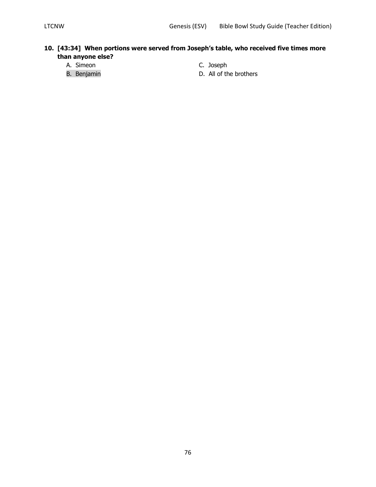### **10. [43:34] When portions were served from Joseph's table, who received five times more than anyone else?**

- A. Simeon C. Joseph
- 
- 
- B. Benjamin **B.** Benjamin **D.** All of the brothers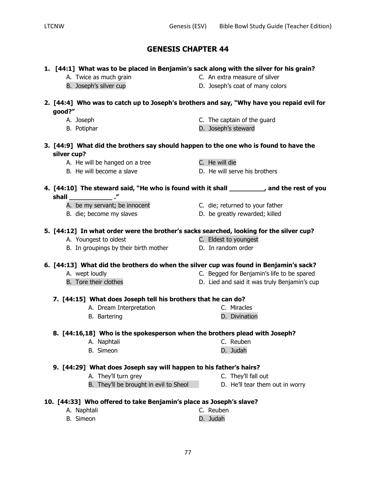### **1. [44:1] What was to be placed in Benjamin's sack along with the silver for his grain?**

- -
- A. Twice as much grain extra measure of silver
- B. Joseph's silver cup determines the D. Joseph's coat of many colors

### **2. [44:4] Who was to catch up to Joseph's brothers and say, "Why have you repaid evil for good?"**

- 
- 
- A. Joseph C. The captain of the guard
- B. Potiphar **B. Potiphar** D. Joseph's steward
- **3. [44:9] What did the brothers say should happen to the one who is found to have the silver cup?**
	- A. He will be hanged on a tree The C. He will die
	-
- 
- B. He will become a slave D. He will serve his brothers

## **4. [44:10] The steward said, "He who is found with it shall \_\_\_\_\_\_\_\_\_, and the rest of you shall \_\_\_\_\_\_\_\_\_\_\_ ."**

- A. be my servant; be innocent C. die; returned to your father
- 
- 
- B. die; become my slaves became b. be greatly rewarded; killed

### **5. [44:12] In what order were the brother's sacks searched, looking for the silver cup?**

- A. Youngest to oldest C. Eldest to youngest
- B. In groupings by their birth mother **D.** In random order

### **6. [44:13] What did the brothers do when the silver cup was found in Benjamin's sack?**

- 
- A. wept loudly C. Begged for Benjamin's life to be spared
- B. Tore their clothes **D.** Lied and said it was truly Benjamin's cup

### **7. [44:15] What does Joseph tell his brothers that he can do?**

- A. Dream Interpretation C. Miracles
- B. Bartering **D. Divination**

### **8. [44:16,18] Who is the spokesperson when the brothers plead with Joseph?**

- A. Naphtali C. Reuben
- B. Simeon **D. Judah D. Judah**

### **9. [44:29] What does Joseph say will happen to his father's hairs?**

- A. They'll turn grey example and the C. They'll fall out
	- B. They'll be brought in evil to Sheol D. He'll tear them out in worry

## **10. [44:33] Who offered to take Benjamin's place as Joseph's slave?**

A. Naphtali C. Reuben B. Simeon **D. D. Judah** 

- 
-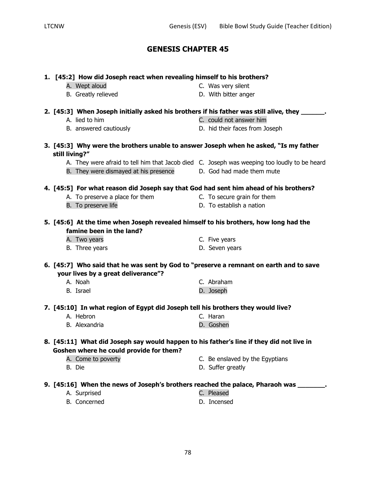| 1. [45:2] How did Joseph react when revealing himself to his brothers?                                                              |                                 |
|-------------------------------------------------------------------------------------------------------------------------------------|---------------------------------|
| A. Wept aloud                                                                                                                       | C. Was very silent              |
| B. Greatly relieved                                                                                                                 | D. With bitter anger            |
| 2. [45:3] When Joseph initially asked his brothers if his father was still alive, they _______.                                     |                                 |
| A. lied to him                                                                                                                      | C. could not answer him         |
| B. answered cautiously                                                                                                              | D. hid their faces from Joseph  |
| 3. [45:3] Why were the brothers unable to answer Joseph when he asked, "Is my father<br>still living?"                              |                                 |
| A. They were afraid to tell him that Jacob died C. Joseph was weeping too loudly to be heard                                        |                                 |
| B. They were dismayed at his presence                                                                                               | D. God had made them mute       |
| 4. [45:5] For what reason did Joseph say that God had sent him ahead of his brothers?                                               |                                 |
| A. To preserve a place for them                                                                                                     | C. To secure grain for them     |
| B. To preserve life                                                                                                                 | D. To establish a nation        |
| 5. [45:6] At the time when Joseph revealed himself to his brothers, how long had the<br>famine been in the land?                    |                                 |
| A. Two years                                                                                                                        | C. Five years                   |
| B. Three years                                                                                                                      | D. Seven years                  |
| 6. [45:7] Who said that he was sent by God to "preserve a remnant on earth and to save<br>your lives by a great deliverance"?       |                                 |
| A. Noah                                                                                                                             | C. Abraham                      |
| B. Israel                                                                                                                           | D. Joseph                       |
| 7. [45:10] In what region of Egypt did Joseph tell his brothers they would live?                                                    |                                 |
| A. Hebron                                                                                                                           | C. Haran                        |
| B. Alexandria                                                                                                                       | D. Goshen                       |
| 8. [45:11] What did Joseph say would happen to his father's line if they did not live in<br>Goshen where he could provide for them? |                                 |
| A. Come to poverty                                                                                                                  | C. Be enslaved by the Egyptians |
| B. Die                                                                                                                              | D. Suffer greatly               |
| 9. [45:16] When the news of Joseph's brothers reached the palace, Pharaoh was _______.                                              |                                 |
| A. Surprised                                                                                                                        | C. Pleased                      |
| B. Concerned                                                                                                                        | D. Incensed                     |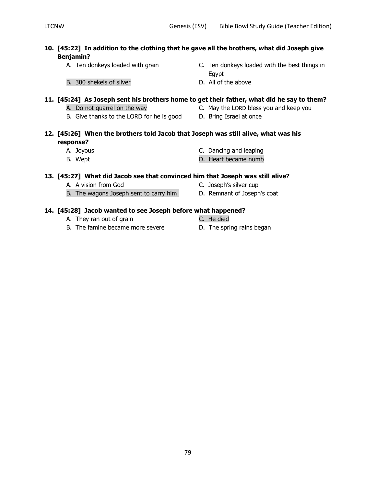### **10. [45:22] In addition to the clothing that he gave all the brothers, what did Joseph give Benjamin?**

- 
- A. Ten donkeys loaded with grain C. Ten donkeys loaded with the best things in Egypt
- B. 300 shekels of silver D. All of the above

#### **11. [45:24] As Joseph sent his brothers home to get their father, what did he say to them?**

- 
- A. Do not quarrel on the way **C.** May the LORD bless you and keep you
- B. Give thanks to the LORD for he is good D. Bring Israel at once
- 

### **12. [45:26] When the brothers told Jacob that Joseph was still alive, what was his response?**

- 
- 
- A. Joyous C. Dancing and leaping
- B. Wept **D.** Heart became numb

#### **13. [45:27] What did Jacob see that convinced him that Joseph was still alive?**

- A. A vision from God C. Joseph's silver cup
	-
- B. The wagons Joseph sent to carry him D. Remnant of Joseph's coat

#### **14. [45:28] Jacob wanted to see Joseph before what happened?**

- A. They ran out of grain Theorem C. He died
- B. The famine became more severe **D.** The spring rains began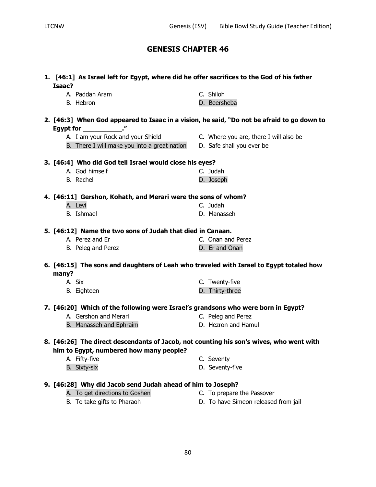| Isaac?                                                                                  |  | 1. [46:1] As Israel left for Egypt, where did he offer sacrifices to the God of his father |
|-----------------------------------------------------------------------------------------|--|--------------------------------------------------------------------------------------------|
| A. Paddan Aram                                                                          |  | C. Shiloh                                                                                  |
| B. Hebron                                                                               |  | D. Beersheba                                                                               |
|                                                                                         |  | 2. [46:3] When God appeared to Isaac in a vision, he said, "Do not be afraid to go down to |
| Egypt for ______________."<br>A. I am your Rock and your Shield                         |  | C. Where you are, there I will also be                                                     |
| B. There I will make you into a great nation D. Safe shall you ever be                  |  |                                                                                            |
|                                                                                         |  |                                                                                            |
| 3. [46:4] Who did God tell Israel would close his eyes?                                 |  |                                                                                            |
| A. God himself                                                                          |  | C. Judah                                                                                   |
| B. Rachel                                                                               |  | D. Joseph                                                                                  |
| 4. [46:11] Gershon, Kohath, and Merari were the sons of whom?                           |  |                                                                                            |
| A. Levi                                                                                 |  | C. Judah                                                                                   |
| <b>B.</b> Ishmael                                                                       |  | D. Manasseh                                                                                |
| 5. [46:12] Name the two sons of Judah that died in Canaan.                              |  |                                                                                            |
| A. Perez and Er                                                                         |  | C. Onan and Perez                                                                          |
| B. Peleg and Perez                                                                      |  | D. Er and Onan                                                                             |
| 6. [46:15] The sons and daughters of Leah who traveled with Israel to Egypt totaled how |  |                                                                                            |
| many?                                                                                   |  |                                                                                            |
| A. Six                                                                                  |  | C. Twenty-five                                                                             |
| B. Eighteen                                                                             |  | D. Thirty-three                                                                            |
|                                                                                         |  | 7. [46:20] Which of the following were Israel's grandsons who were born in Egypt?          |
| A. Gershon and Merari                                                                   |  | C. Peleg and Perez                                                                         |
| B. Manasseh and Ephraim                                                                 |  | D. Hezron and Hamul                                                                        |
|                                                                                         |  | 8. [46:26] The direct descendants of Jacob, not counting his son's wives, who went with    |
| him to Egypt, numbered how many people?                                                 |  |                                                                                            |
| A. Fifty-five                                                                           |  | C. Seventy                                                                                 |
| B. Sixty-six                                                                            |  | D. Seventy-five                                                                            |
|                                                                                         |  |                                                                                            |

### **9. [46:28] Why did Jacob send Judah ahead of him to Joseph?**

- A. To get directions to Goshen **C.** To prepare the Passover
- B. To take gifts to Pharaoh D. To have Simeon released from jail
- - 80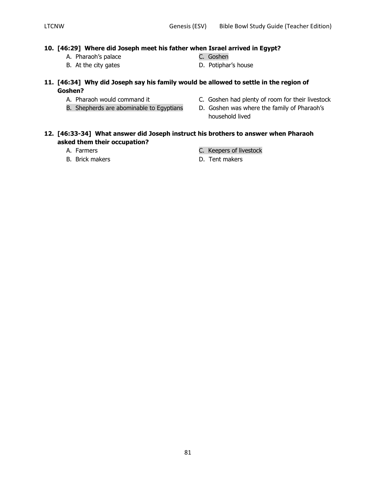### **10. [46:29] Where did Joseph meet his father when Israel arrived in Egypt?**

- A. Pharaoh's palace C. Goshen
- 
- 
- B. At the city gates **D.** Potiphar's house
- **11. [46:34] Why did Joseph say his family would be allowed to settle in the region of Goshen?**
	-
	- B. Shepherds are abominable to Egyptians D. Goshen was where the family of Pharaoh's
	- A. Pharaoh would command it C. Goshen had plenty of room for their livestock
		- household lived

#### **12. [46:33-34] What answer did Joseph instruct his brothers to answer when Pharaoh asked them their occupation?**

- 
- 
- A. Farmers **C. Keepers of livestock**
- B. Brick makers **B. Example 19** Section 1. Tent makers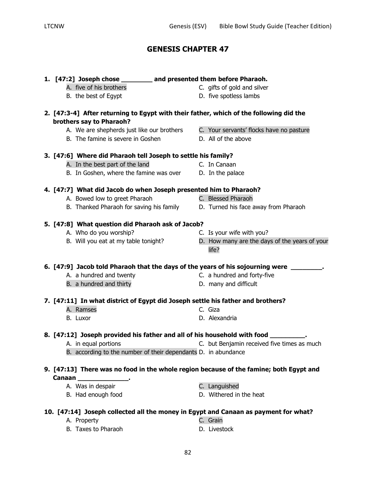|                           | 1. [47:2] Joseph chose _________ and presented them before Pharaoh.             |                                                                                        |
|---------------------------|---------------------------------------------------------------------------------|----------------------------------------------------------------------------------------|
|                           | A. five of his brothers                                                         | C. gifts of gold and silver                                                            |
|                           | B. the best of Egypt                                                            | D. five spotless lambs                                                                 |
|                           |                                                                                 | 2. [47:3-4] After returning to Egypt with their father, which of the following did the |
| brothers say to Pharaoh?  |                                                                                 |                                                                                        |
|                           | A. We are shepherds just like our brothers                                      | C. Your servants' flocks have no pasture                                               |
|                           | B. The famine is severe in Goshen                                               | D. All of the above                                                                    |
|                           | 3. [47:6] Where did Pharaoh tell Joseph to settle his family?                   |                                                                                        |
|                           | A. In the best part of the land                                                 | C. In Canaan                                                                           |
|                           | B. In Goshen, where the famine was over D. In the palace                        |                                                                                        |
|                           | 4. [47:7] What did Jacob do when Joseph presented him to Pharaoh?               |                                                                                        |
|                           | A. Bowed low to greet Pharaoh                                                   | C. Blessed Pharaoh                                                                     |
|                           | B. Thanked Pharaoh for saving his family                                        | D. Turned his face away from Pharaoh                                                   |
|                           | 5. [47:8] What question did Pharaoh ask of Jacob?                               |                                                                                        |
|                           | A. Who do you worship?                                                          | C. Is your wife with you?                                                              |
|                           | B. Will you eat at my table tonight?                                            | D. How many are the days of the years of your                                          |
|                           |                                                                                 | life?                                                                                  |
|                           |                                                                                 | 6. [47:9] Jacob told Pharaoh that the days of the years of his sojourning were ____    |
|                           | A. a hundred and twenty                                                         | C. a hundred and forty-five                                                            |
|                           | B. a hundred and thirty                                                         | D. many and difficult                                                                  |
|                           | 7. [47:11] In what district of Egypt did Joseph settle his father and brothers? |                                                                                        |
| A. Ramses                 |                                                                                 | C. Giza                                                                                |
| B. Luxor                  |                                                                                 | D. Alexandria                                                                          |
|                           | 8. [47:12] Joseph provided his father and all of his household with food _      |                                                                                        |
| A. in equal portions      |                                                                                 | C. but Benjamin received five times as much                                            |
|                           | B. according to the number of their dependants D. in abundance                  |                                                                                        |
|                           |                                                                                 | 9. [47:13] There was no food in the whole region because of the famine; both Egypt and |
| Canaan Participate Canaan |                                                                                 |                                                                                        |
| A. Was in despair         |                                                                                 | C. Languished                                                                          |
|                           | B. Had enough food                                                              | D. Withered in the heat                                                                |
|                           |                                                                                 | 10. [47:14] Joseph collected all the money in Egypt and Canaan as payment for what?    |
| A. Property               |                                                                                 | C. Grain                                                                               |

B. Taxes to Pharaoh D. Livestock

- 
-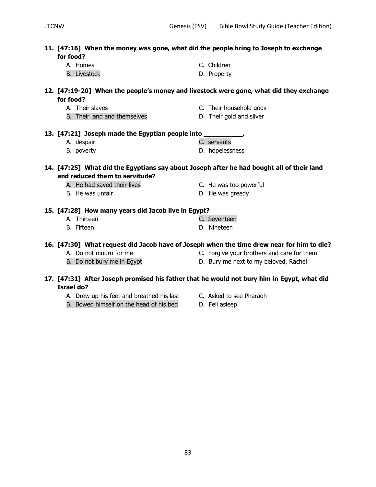| 11. [47:16] When the money was gone, what did the people bring to Joseph to exchange<br>for food?                           |                                            |
|-----------------------------------------------------------------------------------------------------------------------------|--------------------------------------------|
| A. Homes                                                                                                                    | C. Children                                |
| <b>B.</b> Livestock                                                                                                         | D. Property                                |
| 12. [47:19-20] When the people's money and livestock were gone, what did they exchange                                      |                                            |
| for food?                                                                                                                   |                                            |
| A. Their slaves                                                                                                             | C. Their household gods                    |
| B. Their land and themselves                                                                                                | D. Their gold and silver                   |
| 13. [47:21] Joseph made the Egyptian people into ___________.                                                               |                                            |
| A. despair                                                                                                                  | C. servants                                |
| B. poverty                                                                                                                  | D. hopelessness                            |
| 14. [47:25] What did the Egyptians say about Joseph after he had bought all of their land<br>and reduced them to servitude? |                                            |
| A. He had saved their lives                                                                                                 | C. He was too powerful                     |
| B. He was unfair                                                                                                            | D. He was greedy                           |
| 15. [47:28] How many years did Jacob live in Egypt?                                                                         |                                            |
| A. Thirteen                                                                                                                 | C. Seventeen                               |
| B. Fifteen                                                                                                                  | D. Nineteen                                |
| 16. [47:30] What request did Jacob have of Joseph when the time drew near for him to die?                                   |                                            |
| A. Do not mourn for me                                                                                                      | C. Forgive your brothers and care for them |
| B. Do not bury me in Egypt                                                                                                  | D. Bury me next to my beloved, Rachel      |
| 17. [47:31] After Joseph promised his father that he would not bury him in Egypt, what did<br>Israel do?                    |                                            |

- A. Drew up his feet and breathed his last C. Asked to see Pharaoh
- B. Bowed himself on the head of his bed D. Fell asleep
- -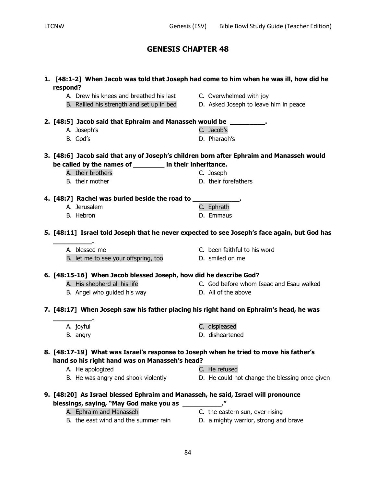| respond?                                                                                                                                               | 1. [48:1-2] When Jacob was told that Joseph had come to him when he was ill, how did he      |
|--------------------------------------------------------------------------------------------------------------------------------------------------------|----------------------------------------------------------------------------------------------|
| A. Drew his knees and breathed his last                                                                                                                | C. Overwhelmed with joy                                                                      |
| B. Rallied his strength and set up in bed                                                                                                              | D. Asked Joseph to leave him in peace                                                        |
| 2. [48:5] Jacob said that Ephraim and Manasseh would be _________.                                                                                     |                                                                                              |
| A. Joseph's                                                                                                                                            | C. Jacob's                                                                                   |
| B. God's                                                                                                                                               | D. Pharaoh's                                                                                 |
| 3. [48:6] Jacob said that any of Joseph's children born after Ephraim and Manasseh would<br>be called by the names of __________ in their inheritance. |                                                                                              |
| A. their brothers                                                                                                                                      | C. Joseph                                                                                    |
| B. their mother                                                                                                                                        | D. their forefathers                                                                         |
|                                                                                                                                                        |                                                                                              |
| 4. [48:7] Rachel was buried beside the road to _____________.                                                                                          |                                                                                              |
| A. Jerusalem                                                                                                                                           | C. Ephrath                                                                                   |
| B. Hebron                                                                                                                                              | D. Emmaus                                                                                    |
|                                                                                                                                                        | 5. [48:11] Israel told Joseph that he never expected to see Joseph's face again, but God has |
| A. blessed me                                                                                                                                          | C. been faithful to his word                                                                 |
| B. let me to see your offspring, too                                                                                                                   | D. smiled on me                                                                              |
| 6. [48:15-16] When Jacob blessed Joseph, how did he describe God?                                                                                      |                                                                                              |
| A. His shepherd all his life                                                                                                                           | C. God before whom Isaac and Esau walked                                                     |
| B. Angel who guided his way <b>Example 20</b> D. All of the above                                                                                      |                                                                                              |
| 7. [48:17] When Joseph saw his father placing his right hand on Ephraim's head, he was                                                                 |                                                                                              |
| A. joyful                                                                                                                                              | C. displeased                                                                                |
| B. angry                                                                                                                                               | D. disheartened                                                                              |
| 8. [48:17-19] What was Israel's response to Joseph when he tried to move his father's<br>hand so his right hand was on Manasseh's head?                |                                                                                              |
| A. He apologized                                                                                                                                       | C. He refused                                                                                |
| B. He was angry and shook violently                                                                                                                    | D. He could not change the blessing once given                                               |
| 9. [48:20] As Israel blessed Ephraim and Manasseh, he said, Israel will pronounce<br>blessings, saying, "May God make you as _______                   |                                                                                              |
| A. Ephraim and Manasseh                                                                                                                                | C. the eastern sun, ever-rising                                                              |
| B. the east wind and the summer rain                                                                                                                   | D. a mighty warrior, strong and brave                                                        |
|                                                                                                                                                        |                                                                                              |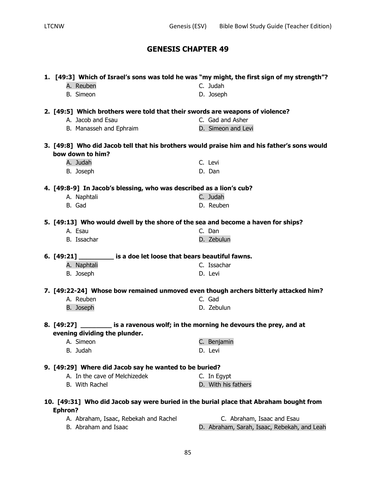| C. Judah<br>A. Reuben<br><b>B.</b> Simeon<br>D. Joseph<br>2. [49:5] Which brothers were told that their swords are weapons of violence?<br>A. Jacob and Esau<br>C. Gad and Asher<br>D. Simeon and Levi<br>B. Manasseh and Ephraim<br>3. [49:8] Who did Jacob tell that his brothers would praise him and his father's sons would<br>bow down to him?<br>A. Judah<br>C. Levi<br>B. Joseph<br>D. Dan<br>4. [49:8-9] In Jacob's blessing, who was described as a lion's cub?<br>C. Judah<br>A. Naphtali<br>B. Gad<br>D. Reuben<br>5. [49:13] Who would dwell by the shore of the sea and become a haven for ships?<br>A. Esau<br>C. Dan<br>B. Issachar<br>D. Zebulun<br>6. [49:21] ___________ is a doe let loose that bears beautiful fawns.<br>C. Issachar<br>A. Naphtali<br>B. Joseph<br>D. Levi<br>7. [49:22-24] Whose bow remained unmoved even though archers bitterly attacked him?<br>A. Reuben<br>C. Gad<br><b>B.</b> Joseph<br>D. Zebulun<br>8. [49:27] __________ is a ravenous wolf; in the morning he devours the prey, and at<br>evening dividing the plunder.<br>C. Benjamin<br>A. Simeon<br>B. Judah<br>D. Levi<br>9. [49:29] Where did Jacob say he wanted to be buried?<br>A. In the cave of Melchizedek<br>C. In Egypt<br>D. With his fathers<br>B. With Rachel |  | 1. [49:3] Which of Israel's sons was told he was "my might, the first sign of my strength"? |
|---------------------------------------------------------------------------------------------------------------------------------------------------------------------------------------------------------------------------------------------------------------------------------------------------------------------------------------------------------------------------------------------------------------------------------------------------------------------------------------------------------------------------------------------------------------------------------------------------------------------------------------------------------------------------------------------------------------------------------------------------------------------------------------------------------------------------------------------------------------------------------------------------------------------------------------------------------------------------------------------------------------------------------------------------------------------------------------------------------------------------------------------------------------------------------------------------------------------------------------------------------------------------------|--|---------------------------------------------------------------------------------------------|
|                                                                                                                                                                                                                                                                                                                                                                                                                                                                                                                                                                                                                                                                                                                                                                                                                                                                                                                                                                                                                                                                                                                                                                                                                                                                                 |  |                                                                                             |
|                                                                                                                                                                                                                                                                                                                                                                                                                                                                                                                                                                                                                                                                                                                                                                                                                                                                                                                                                                                                                                                                                                                                                                                                                                                                                 |  |                                                                                             |
|                                                                                                                                                                                                                                                                                                                                                                                                                                                                                                                                                                                                                                                                                                                                                                                                                                                                                                                                                                                                                                                                                                                                                                                                                                                                                 |  |                                                                                             |
|                                                                                                                                                                                                                                                                                                                                                                                                                                                                                                                                                                                                                                                                                                                                                                                                                                                                                                                                                                                                                                                                                                                                                                                                                                                                                 |  |                                                                                             |
|                                                                                                                                                                                                                                                                                                                                                                                                                                                                                                                                                                                                                                                                                                                                                                                                                                                                                                                                                                                                                                                                                                                                                                                                                                                                                 |  |                                                                                             |
|                                                                                                                                                                                                                                                                                                                                                                                                                                                                                                                                                                                                                                                                                                                                                                                                                                                                                                                                                                                                                                                                                                                                                                                                                                                                                 |  |                                                                                             |
|                                                                                                                                                                                                                                                                                                                                                                                                                                                                                                                                                                                                                                                                                                                                                                                                                                                                                                                                                                                                                                                                                                                                                                                                                                                                                 |  |                                                                                             |
|                                                                                                                                                                                                                                                                                                                                                                                                                                                                                                                                                                                                                                                                                                                                                                                                                                                                                                                                                                                                                                                                                                                                                                                                                                                                                 |  |                                                                                             |
|                                                                                                                                                                                                                                                                                                                                                                                                                                                                                                                                                                                                                                                                                                                                                                                                                                                                                                                                                                                                                                                                                                                                                                                                                                                                                 |  |                                                                                             |
|                                                                                                                                                                                                                                                                                                                                                                                                                                                                                                                                                                                                                                                                                                                                                                                                                                                                                                                                                                                                                                                                                                                                                                                                                                                                                 |  |                                                                                             |
|                                                                                                                                                                                                                                                                                                                                                                                                                                                                                                                                                                                                                                                                                                                                                                                                                                                                                                                                                                                                                                                                                                                                                                                                                                                                                 |  |                                                                                             |
|                                                                                                                                                                                                                                                                                                                                                                                                                                                                                                                                                                                                                                                                                                                                                                                                                                                                                                                                                                                                                                                                                                                                                                                                                                                                                 |  |                                                                                             |
|                                                                                                                                                                                                                                                                                                                                                                                                                                                                                                                                                                                                                                                                                                                                                                                                                                                                                                                                                                                                                                                                                                                                                                                                                                                                                 |  |                                                                                             |
|                                                                                                                                                                                                                                                                                                                                                                                                                                                                                                                                                                                                                                                                                                                                                                                                                                                                                                                                                                                                                                                                                                                                                                                                                                                                                 |  |                                                                                             |
|                                                                                                                                                                                                                                                                                                                                                                                                                                                                                                                                                                                                                                                                                                                                                                                                                                                                                                                                                                                                                                                                                                                                                                                                                                                                                 |  |                                                                                             |
|                                                                                                                                                                                                                                                                                                                                                                                                                                                                                                                                                                                                                                                                                                                                                                                                                                                                                                                                                                                                                                                                                                                                                                                                                                                                                 |  |                                                                                             |
|                                                                                                                                                                                                                                                                                                                                                                                                                                                                                                                                                                                                                                                                                                                                                                                                                                                                                                                                                                                                                                                                                                                                                                                                                                                                                 |  |                                                                                             |
|                                                                                                                                                                                                                                                                                                                                                                                                                                                                                                                                                                                                                                                                                                                                                                                                                                                                                                                                                                                                                                                                                                                                                                                                                                                                                 |  |                                                                                             |
|                                                                                                                                                                                                                                                                                                                                                                                                                                                                                                                                                                                                                                                                                                                                                                                                                                                                                                                                                                                                                                                                                                                                                                                                                                                                                 |  |                                                                                             |
|                                                                                                                                                                                                                                                                                                                                                                                                                                                                                                                                                                                                                                                                                                                                                                                                                                                                                                                                                                                                                                                                                                                                                                                                                                                                                 |  |                                                                                             |
|                                                                                                                                                                                                                                                                                                                                                                                                                                                                                                                                                                                                                                                                                                                                                                                                                                                                                                                                                                                                                                                                                                                                                                                                                                                                                 |  |                                                                                             |
|                                                                                                                                                                                                                                                                                                                                                                                                                                                                                                                                                                                                                                                                                                                                                                                                                                                                                                                                                                                                                                                                                                                                                                                                                                                                                 |  |                                                                                             |
|                                                                                                                                                                                                                                                                                                                                                                                                                                                                                                                                                                                                                                                                                                                                                                                                                                                                                                                                                                                                                                                                                                                                                                                                                                                                                 |  |                                                                                             |
|                                                                                                                                                                                                                                                                                                                                                                                                                                                                                                                                                                                                                                                                                                                                                                                                                                                                                                                                                                                                                                                                                                                                                                                                                                                                                 |  |                                                                                             |
|                                                                                                                                                                                                                                                                                                                                                                                                                                                                                                                                                                                                                                                                                                                                                                                                                                                                                                                                                                                                                                                                                                                                                                                                                                                                                 |  |                                                                                             |
|                                                                                                                                                                                                                                                                                                                                                                                                                                                                                                                                                                                                                                                                                                                                                                                                                                                                                                                                                                                                                                                                                                                                                                                                                                                                                 |  |                                                                                             |
|                                                                                                                                                                                                                                                                                                                                                                                                                                                                                                                                                                                                                                                                                                                                                                                                                                                                                                                                                                                                                                                                                                                                                                                                                                                                                 |  |                                                                                             |
|                                                                                                                                                                                                                                                                                                                                                                                                                                                                                                                                                                                                                                                                                                                                                                                                                                                                                                                                                                                                                                                                                                                                                                                                                                                                                 |  |                                                                                             |
| 10. [49:31] Who did Jacob say were buried in the burial place that Abraham bought from                                                                                                                                                                                                                                                                                                                                                                                                                                                                                                                                                                                                                                                                                                                                                                                                                                                                                                                                                                                                                                                                                                                                                                                          |  |                                                                                             |
| <b>Ephron?</b>                                                                                                                                                                                                                                                                                                                                                                                                                                                                                                                                                                                                                                                                                                                                                                                                                                                                                                                                                                                                                                                                                                                                                                                                                                                                  |  |                                                                                             |
| C. Abraham, Isaac and Esau<br>A. Abraham, Isaac, Rebekah and Rachel                                                                                                                                                                                                                                                                                                                                                                                                                                                                                                                                                                                                                                                                                                                                                                                                                                                                                                                                                                                                                                                                                                                                                                                                             |  |                                                                                             |
| B. Abraham and Isaac                                                                                                                                                                                                                                                                                                                                                                                                                                                                                                                                                                                                                                                                                                                                                                                                                                                                                                                                                                                                                                                                                                                                                                                                                                                            |  | D. Abraham, Sarah, Isaac, Rebekah, and Leah                                                 |